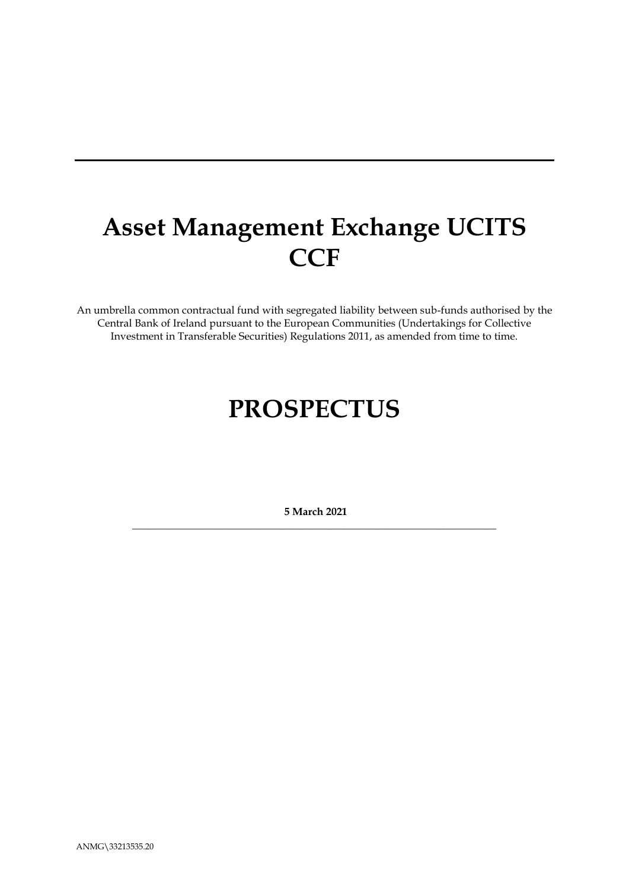# **Asset Management Exchange UCITS CCF**

An umbrella common contractual fund with segregated liability between sub-funds authorised by the Central Bank of Ireland pursuant to the European Communities (Undertakings for Collective Investment in Transferable Securities) Regulations 2011, as amended from time to time.

# **PROSPECTUS**

**5 March 2021** \_\_\_\_\_\_\_\_\_\_\_\_\_\_\_\_\_\_\_\_\_\_\_\_\_\_\_\_\_\_\_\_\_\_\_\_\_\_\_\_\_\_\_\_\_\_\_\_\_\_\_\_\_\_\_\_\_\_\_\_\_\_\_\_\_\_\_\_\_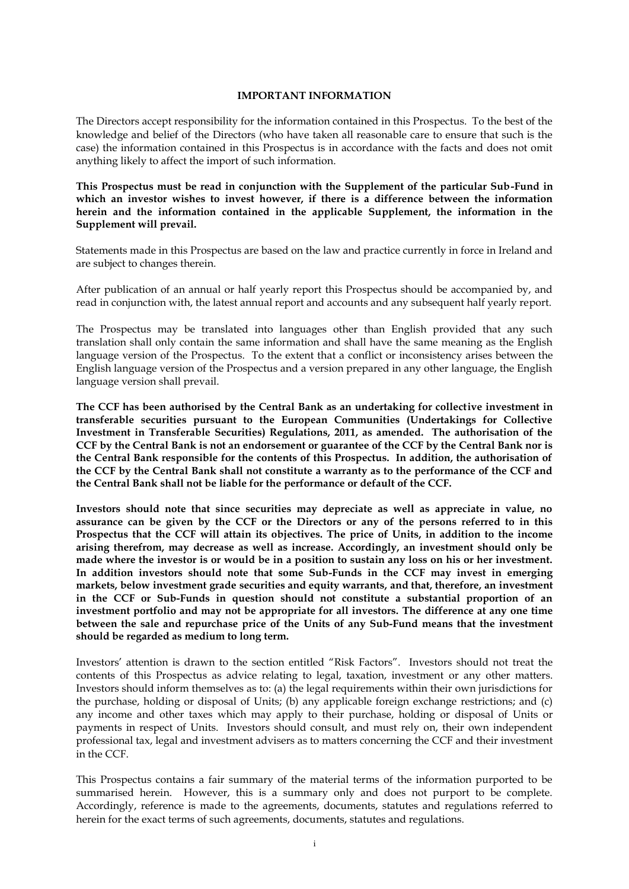#### **IMPORTANT INFORMATION**

The Directors accept responsibility for the information contained in this Prospectus. To the best of the knowledge and belief of the Directors (who have taken all reasonable care to ensure that such is the case) the information contained in this Prospectus is in accordance with the facts and does not omit anything likely to affect the import of such information.

**This Prospectus must be read in conjunction with the Supplement of the particular Sub-Fund in which an investor wishes to invest however, if there is a difference between the information herein and the information contained in the applicable Supplement, the information in the Supplement will prevail.**

Statements made in this Prospectus are based on the law and practice currently in force in Ireland and are subject to changes therein.

After publication of an annual or half yearly report this Prospectus should be accompanied by, and read in conjunction with, the latest annual report and accounts and any subsequent half yearly report.

The Prospectus may be translated into languages other than English provided that any such translation shall only contain the same information and shall have the same meaning as the English language version of the Prospectus. To the extent that a conflict or inconsistency arises between the English language version of the Prospectus and a version prepared in any other language, the English language version shall prevail.

**The CCF has been authorised by the Central Bank as an undertaking for collective investment in transferable securities pursuant to the European Communities (Undertakings for Collective Investment in Transferable Securities) Regulations, 2011, as amended. The authorisation of the CCF by the Central Bank is not an endorsement or guarantee of the CCF by the Central Bank nor is the Central Bank responsible for the contents of this Prospectus. In addition, the authorisation of the CCF by the Central Bank shall not constitute a warranty as to the performance of the CCF and the Central Bank shall not be liable for the performance or default of the CCF.**

**Investors should note that since securities may depreciate as well as appreciate in value, no assurance can be given by the CCF or the Directors or any of the persons referred to in this Prospectus that the CCF will attain its objectives. The price of Units, in addition to the income arising therefrom, may decrease as well as increase. Accordingly, an investment should only be made where the investor is or would be in a position to sustain any loss on his or her investment. In addition investors should note that some Sub-Funds in the CCF may invest in emerging markets, below investment grade securities and equity warrants, and that, therefore, an investment in the CCF or Sub-Funds in question should not constitute a substantial proportion of an investment portfolio and may not be appropriate for all investors. The difference at any one time between the sale and repurchase price of the Units of any Sub-Fund means that the investment should be regarded as medium to long term.**

Investors' attention is drawn to the section entitled "Risk Factors". Investors should not treat the contents of this Prospectus as advice relating to legal, taxation, investment or any other matters. Investors should inform themselves as to: (a) the legal requirements within their own jurisdictions for the purchase, holding or disposal of Units; (b) any applicable foreign exchange restrictions; and (c) any income and other taxes which may apply to their purchase, holding or disposal of Units or payments in respect of Units. Investors should consult, and must rely on, their own independent professional tax, legal and investment advisers as to matters concerning the CCF and their investment in the CCF.

This Prospectus contains a fair summary of the material terms of the information purported to be summarised herein. However, this is a summary only and does not purport to be complete. Accordingly, reference is made to the agreements, documents, statutes and regulations referred to herein for the exact terms of such agreements, documents, statutes and regulations.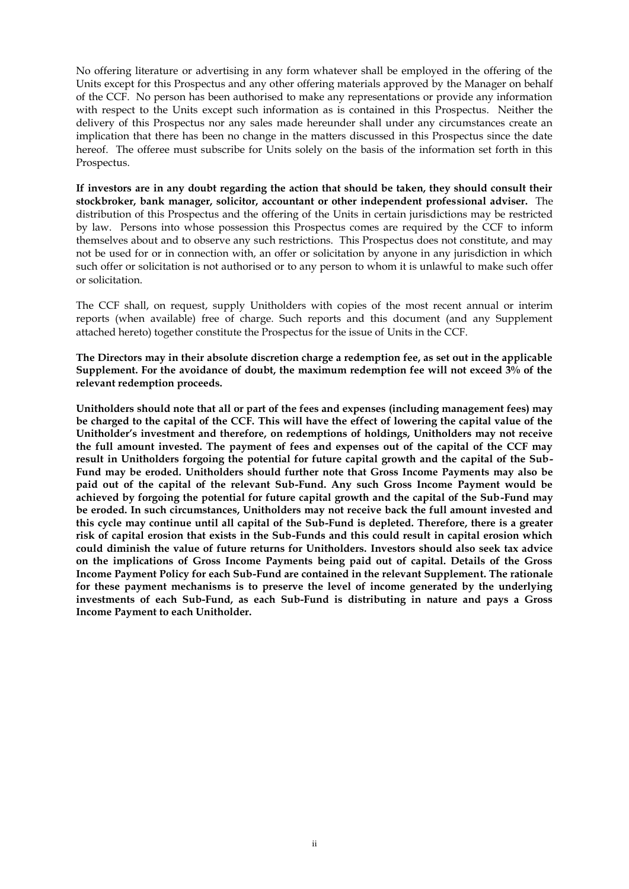No offering literature or advertising in any form whatever shall be employed in the offering of the Units except for this Prospectus and any other offering materials approved by the Manager on behalf of the CCF. No person has been authorised to make any representations or provide any information with respect to the Units except such information as is contained in this Prospectus. Neither the delivery of this Prospectus nor any sales made hereunder shall under any circumstances create an implication that there has been no change in the matters discussed in this Prospectus since the date hereof. The offeree must subscribe for Units solely on the basis of the information set forth in this Prospectus.

**If investors are in any doubt regarding the action that should be taken, they should consult their stockbroker, bank manager, solicitor, accountant or other independent professional adviser.** The distribution of this Prospectus and the offering of the Units in certain jurisdictions may be restricted by law. Persons into whose possession this Prospectus comes are required by the CCF to inform themselves about and to observe any such restrictions. This Prospectus does not constitute, and may not be used for or in connection with, an offer or solicitation by anyone in any jurisdiction in which such offer or solicitation is not authorised or to any person to whom it is unlawful to make such offer or solicitation.

The CCF shall, on request, supply Unitholders with copies of the most recent annual or interim reports (when available) free of charge. Such reports and this document (and any Supplement attached hereto) together constitute the Prospectus for the issue of Units in the CCF.

**The Directors may in their absolute discretion charge a redemption fee, as set out in the applicable Supplement. For the avoidance of doubt, the maximum redemption fee will not exceed 3% of the relevant redemption proceeds.** 

**Unitholders should note that all or part of the fees and expenses (including management fees) may be charged to the capital of the CCF. This will have the effect of lowering the capital value of the Unitholder's investment and therefore, on redemptions of holdings, Unitholders may not receive the full amount invested. The payment of fees and expenses out of the capital of the CCF may result in Unitholders forgoing the potential for future capital growth and the capital of the Sub-Fund may be eroded. Unitholders should further note that Gross Income Payments may also be paid out of the capital of the relevant Sub-Fund. Any such Gross Income Payment would be achieved by forgoing the potential for future capital growth and the capital of the Sub-Fund may be eroded. In such circumstances, Unitholders may not receive back the full amount invested and this cycle may continue until all capital of the Sub-Fund is depleted. Therefore, there is a greater risk of capital erosion that exists in the Sub-Funds and this could result in capital erosion which could diminish the value of future returns for Unitholders. Investors should also seek tax advice on the implications of Gross Income Payments being paid out of capital. Details of the Gross Income Payment Policy for each Sub-Fund are contained in the relevant Supplement. The rationale for these payment mechanisms is to preserve the level of income generated by the underlying investments of each Sub-Fund, as each Sub-Fund is distributing in nature and pays a Gross Income Payment to each Unitholder.**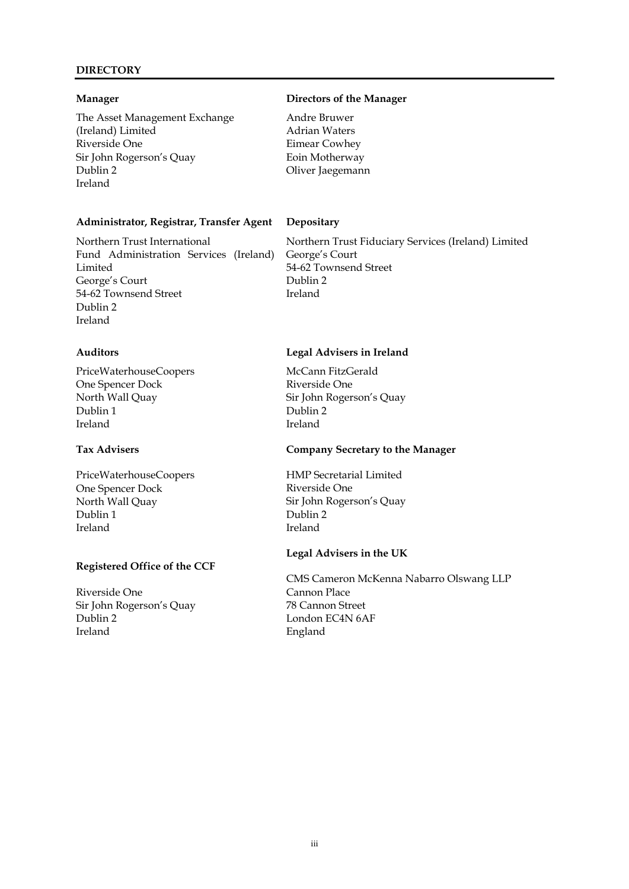#### **DIRECTORY**

The Asset Management Exchange (Ireland) Limited Riverside One Sir John Rogerson's Quay Dublin 2 Ireland

### **Administrator, Registrar, Transfer Agent Depositary**

Northern Trust International Fund Administration Services (Ireland) Limited George's Court 54-62 Townsend Street Dublin 2 Ireland

PriceWaterhouseCoopers One Spencer Dock North Wall Quay Dublin 1 Ireland

# **Tax Advisers**

PriceWaterhouseCoopers One Spencer Dock North Wall Quay Dublin 1 Ireland

# **Registered Office of the CCF**

Riverside One Sir John Rogerson's Quay Dublin 2 Ireland

### **Manager Directors of the Manager**

Andre Bruwer Adrian Waters Eimear Cowhey Eoin Motherway Oliver Jaegemann

Northern Trust Fiduciary Services (Ireland) Limited George's Court 54-62 Townsend Street Dublin 2 Ireland

#### **Auditors Legal Advisers in Ireland**

McCann FitzGerald Riverside One Sir John Rogerson's Quay Dublin 2 Ireland

### **Company Secretary to the Manager**

HMP Secretarial Limited Riverside One Sir John Rogerson's Quay Dublin 2 Ireland

#### **Legal Advisers in the UK**

CMS Cameron McKenna Nabarro Olswang LLP Cannon Place 78 Cannon Street London EC4N 6AF England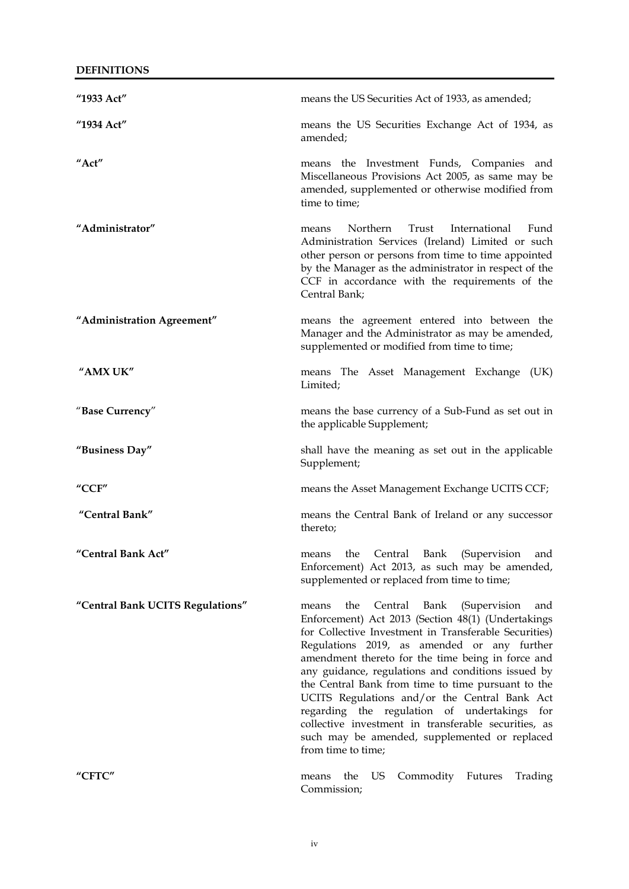| "1933 Act"                              | means the US Securities Act of 1933, as amended;                                                                                                                                                                                                                                                                                                                                                                                                                                                                                                                                                                      |
|-----------------------------------------|-----------------------------------------------------------------------------------------------------------------------------------------------------------------------------------------------------------------------------------------------------------------------------------------------------------------------------------------------------------------------------------------------------------------------------------------------------------------------------------------------------------------------------------------------------------------------------------------------------------------------|
| "1934 Act"                              | means the US Securities Exchange Act of 1934, as<br>amended;                                                                                                                                                                                                                                                                                                                                                                                                                                                                                                                                                          |
| "Act"                                   | means the Investment Funds, Companies and<br>Miscellaneous Provisions Act 2005, as same may be<br>amended, supplemented or otherwise modified from<br>time to time;                                                                                                                                                                                                                                                                                                                                                                                                                                                   |
| "Administrator"                         | Northern<br>International<br>Trust<br>Fund<br>means<br>Administration Services (Ireland) Limited or such<br>other person or persons from time to time appointed<br>by the Manager as the administrator in respect of the<br>CCF in accordance with the requirements of the<br>Central Bank;                                                                                                                                                                                                                                                                                                                           |
| "Administration Agreement"              | means the agreement entered into between the<br>Manager and the Administrator as may be amended,<br>supplemented or modified from time to time;                                                                                                                                                                                                                                                                                                                                                                                                                                                                       |
| "AMX UK"                                | means The Asset Management Exchange (UK)<br>Limited;                                                                                                                                                                                                                                                                                                                                                                                                                                                                                                                                                                  |
| "Base Currency"                         | means the base currency of a Sub-Fund as set out in<br>the applicable Supplement;                                                                                                                                                                                                                                                                                                                                                                                                                                                                                                                                     |
| "Business Day"                          | shall have the meaning as set out in the applicable<br>Supplement;                                                                                                                                                                                                                                                                                                                                                                                                                                                                                                                                                    |
| $^{\prime\prime}$ CCF $^{\prime\prime}$ | means the Asset Management Exchange UCITS CCF;                                                                                                                                                                                                                                                                                                                                                                                                                                                                                                                                                                        |
| "Central Bank"                          | means the Central Bank of Ireland or any successor<br>thereto;                                                                                                                                                                                                                                                                                                                                                                                                                                                                                                                                                        |
| "Central Bank Act"                      | Central<br>Bank<br>(Supervision<br>the<br>and<br>means<br>Enforcement) Act 2013, as such may be amended,<br>supplemented or replaced from time to time;                                                                                                                                                                                                                                                                                                                                                                                                                                                               |
| "Central Bank UCITS Regulations"        | Central<br>the<br>Bank<br>(Supervision<br>means<br>and<br>Enforcement) Act 2013 (Section 48(1) (Undertakings<br>for Collective Investment in Transferable Securities)<br>Regulations 2019, as amended or any further<br>amendment thereto for the time being in force and<br>any guidance, regulations and conditions issued by<br>the Central Bank from time to time pursuant to the<br>UCITS Regulations and/or the Central Bank Act<br>regarding the regulation of undertakings for<br>collective investment in transferable securities, as<br>such may be amended, supplemented or replaced<br>from time to time; |
| "CFTC"                                  | US<br>Commodity Futures<br>the<br>Trading<br>means<br>Commission;                                                                                                                                                                                                                                                                                                                                                                                                                                                                                                                                                     |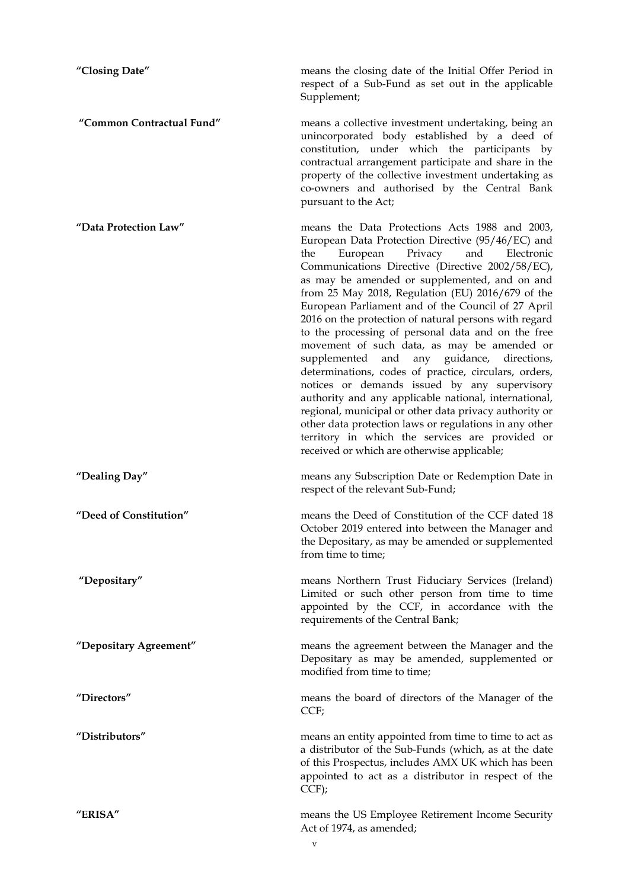**"Closing Date"** means the closing date of the Initial Offer Period in respect of a Sub-Fund as set out in the applicable Supplement; **"Common Contractual Fund"** means a collective investment undertaking, being an unincorporated body established by a deed of constitution, under which the participants by contractual arrangement participate and share in the property of the collective investment undertaking as co-owners and authorised by the Central Bank pursuant to the Act; **"Data Protection Law"** means the Data Protections Acts 1988 and 2003, European Data Protection Directive (95/46/EC) and the European Privacy and Electronic Communications Directive (Directive 2002/58/EC), as may be amended or supplemented, and on and from 25 May 2018, Regulation (EU) 2016/679 of the European Parliament and of the Council of 27 April 2016 on the protection of natural persons with regard to the processing of personal data and on the free movement of such data, as may be amended or supplemented and any guidance, directions, determinations, codes of practice, circulars, orders, notices or demands issued by any supervisory authority and any applicable national, international, regional, municipal or other data privacy authority or other data protection laws or regulations in any other territory in which the services are provided or received or which are otherwise applicable; **"Dealing Day"** means any Subscription Date or Redemption Date in respect of the relevant Sub-Fund; **"Deed of Constitution"** means the Deed of Constitution of the CCF dated 18 October 2019 entered into between the Manager and the Depositary, as may be amended or supplemented from time to time; **"Depositary"** means Northern Trust Fiduciary Services (Ireland) Limited or such other person from time to time appointed by the CCF, in accordance with the requirements of the Central Bank; **"Depositary Agreement"** means the agreement between the Manager and the Depositary as may be amended, supplemented or modified from time to time; **"Directors"** means the board of directors of the Manager of the CCF; **"Distributors"** means an entity appointed from time to time to act as a distributor of the Sub-Funds (which, as at the date of this Prospectus, includes AMX UK which has been appointed to act as a distributor in respect of the CCF); **"ERISA"** means the US Employee Retirement Income Security Act of 1974, as amended;

v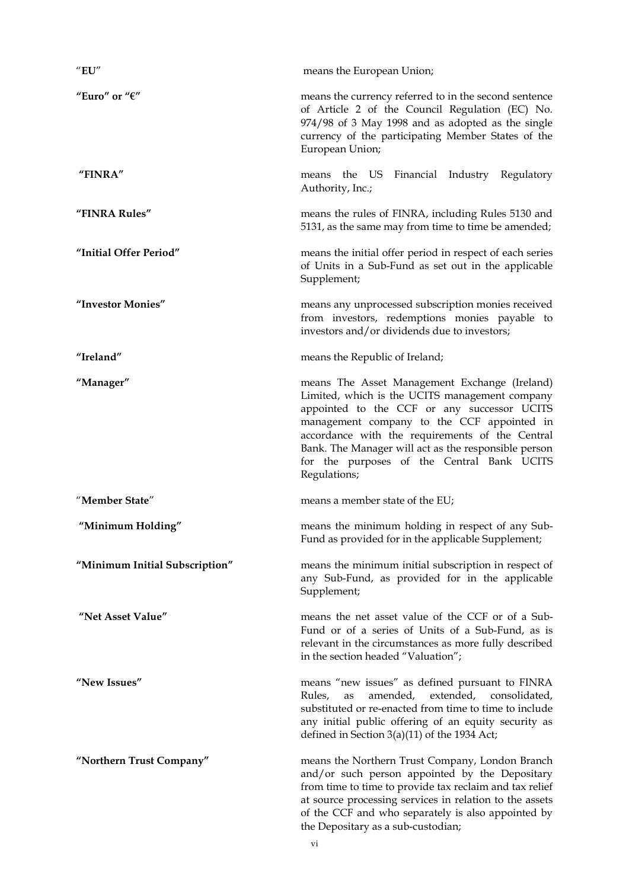| "EU"                           | means the European Union;                                                                                                                                                                                                                                                                                                                                             |
|--------------------------------|-----------------------------------------------------------------------------------------------------------------------------------------------------------------------------------------------------------------------------------------------------------------------------------------------------------------------------------------------------------------------|
| "Euro" or " $\varepsilon$ "    | means the currency referred to in the second sentence<br>of Article 2 of the Council Regulation (EC) No.<br>974/98 of 3 May 1998 and as adopted as the single<br>currency of the participating Member States of the<br>European Union;                                                                                                                                |
| "FINRA"                        | means the US<br>Financial Industry Regulatory<br>Authority, Inc.;                                                                                                                                                                                                                                                                                                     |
| "FINRA Rules"                  | means the rules of FINRA, including Rules 5130 and<br>5131, as the same may from time to time be amended;                                                                                                                                                                                                                                                             |
| "Initial Offer Period"         | means the initial offer period in respect of each series<br>of Units in a Sub-Fund as set out in the applicable<br>Supplement;                                                                                                                                                                                                                                        |
| "Investor Monies"              | means any unprocessed subscription monies received<br>from investors, redemptions monies payable to<br>investors and/or dividends due to investors;                                                                                                                                                                                                                   |
| "Ireland"                      | means the Republic of Ireland;                                                                                                                                                                                                                                                                                                                                        |
| "Manager"                      | means The Asset Management Exchange (Ireland)<br>Limited, which is the UCITS management company<br>appointed to the CCF or any successor UCITS<br>management company to the CCF appointed in<br>accordance with the requirements of the Central<br>Bank. The Manager will act as the responsible person<br>for the purposes of the Central Bank UCITS<br>Regulations; |
| "Member State"                 | means a member state of the EU;                                                                                                                                                                                                                                                                                                                                       |
| "Minimum Holding"              | means the minimum holding in respect of any Sub-<br>Fund as provided for in the applicable Supplement;                                                                                                                                                                                                                                                                |
| "Minimum Initial Subscription" | means the minimum initial subscription in respect of<br>any Sub-Fund, as provided for in the applicable<br>Supplement;                                                                                                                                                                                                                                                |
| "Net Asset Value"              | means the net asset value of the CCF or of a Sub-<br>Fund or of a series of Units of a Sub-Fund, as is<br>relevant in the circumstances as more fully described<br>in the section headed "Valuation";                                                                                                                                                                 |
| "New Issues"                   | means "new issues" as defined pursuant to FINRA<br>amended, extended, consolidated,<br>Rules,<br>as<br>substituted or re-enacted from time to time to include<br>any initial public offering of an equity security as<br>defined in Section $3(a)(11)$ of the 1934 Act;                                                                                               |
| "Northern Trust Company"       | means the Northern Trust Company, London Branch<br>and/or such person appointed by the Depositary<br>from time to time to provide tax reclaim and tax relief<br>at source processing services in relation to the assets<br>of the CCF and who separately is also appointed by<br>the Depositary as a sub-custodian;                                                   |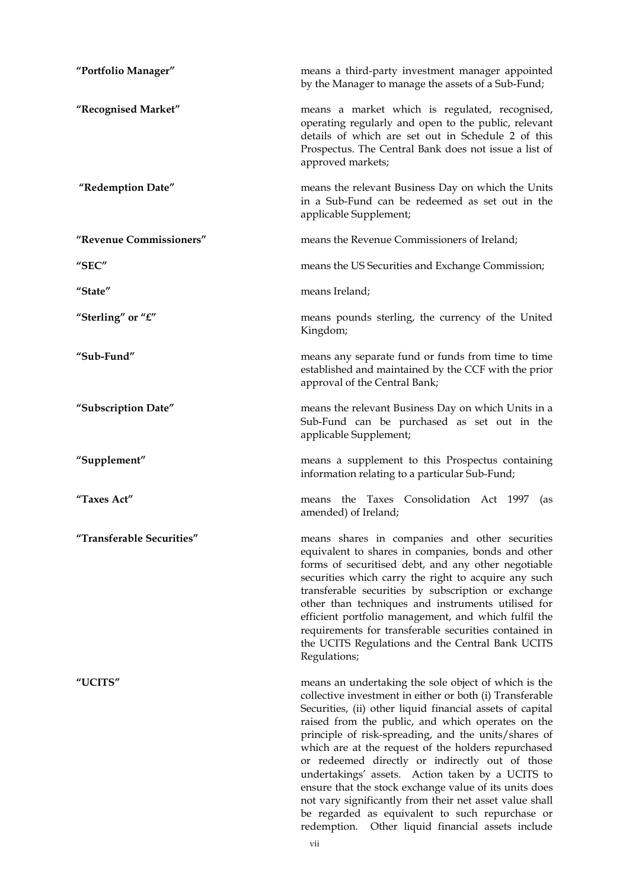| "Portfolio Manager"       | means a third-party investment manager appointed<br>by the Manager to manage the assets of a Sub-Fund;                                                                                                                                                                                                                                                                                                                                                                                                                                                                                                                                                                                   |
|---------------------------|------------------------------------------------------------------------------------------------------------------------------------------------------------------------------------------------------------------------------------------------------------------------------------------------------------------------------------------------------------------------------------------------------------------------------------------------------------------------------------------------------------------------------------------------------------------------------------------------------------------------------------------------------------------------------------------|
| "Recognised Market"       | means a market which is regulated, recognised,<br>operating regularly and open to the public, relevant<br>details of which are set out in Schedule 2 of this<br>Prospectus. The Central Bank does not issue a list of<br>approved markets;                                                                                                                                                                                                                                                                                                                                                                                                                                               |
| "Redemption Date"         | means the relevant Business Day on which the Units<br>in a Sub-Fund can be redeemed as set out in the<br>applicable Supplement;                                                                                                                                                                                                                                                                                                                                                                                                                                                                                                                                                          |
| "Revenue Commissioners"   | means the Revenue Commissioners of Ireland;                                                                                                                                                                                                                                                                                                                                                                                                                                                                                                                                                                                                                                              |
| "SEC"                     | means the US Securities and Exchange Commission;                                                                                                                                                                                                                                                                                                                                                                                                                                                                                                                                                                                                                                         |
| "State"                   | means Ireland;                                                                                                                                                                                                                                                                                                                                                                                                                                                                                                                                                                                                                                                                           |
| "Sterling" or " $E$ "     | means pounds sterling, the currency of the United<br>Kingdom;                                                                                                                                                                                                                                                                                                                                                                                                                                                                                                                                                                                                                            |
| "Sub-Fund"                | means any separate fund or funds from time to time<br>established and maintained by the CCF with the prior<br>approval of the Central Bank;                                                                                                                                                                                                                                                                                                                                                                                                                                                                                                                                              |
| "Subscription Date"       | means the relevant Business Day on which Units in a<br>Sub-Fund can be purchased as set out in the<br>applicable Supplement;                                                                                                                                                                                                                                                                                                                                                                                                                                                                                                                                                             |
| "Supplement"              | means a supplement to this Prospectus containing<br>information relating to a particular Sub-Fund;                                                                                                                                                                                                                                                                                                                                                                                                                                                                                                                                                                                       |
| "Taxes Act"               | means the Taxes Consolidation Act 1997<br>(as<br>amended) of Ireland;                                                                                                                                                                                                                                                                                                                                                                                                                                                                                                                                                                                                                    |
| "Transferable Securities" | means shares in companies and other securities<br>equivalent to shares in companies, bonds and other<br>forms of securitised debt, and any other negotiable<br>securities which carry the right to acquire any such<br>transferable securities by subscription or exchange<br>other than techniques and instruments utilised for<br>efficient portfolio management, and which fulfil the<br>requirements for transferable securities contained in<br>the UCITS Regulations and the Central Bank UCITS<br>Regulations;                                                                                                                                                                    |
| "UCITS"                   | means an undertaking the sole object of which is the<br>collective investment in either or both (i) Transferable<br>Securities, (ii) other liquid financial assets of capital<br>raised from the public, and which operates on the<br>principle of risk-spreading, and the units/shares of<br>which are at the request of the holders repurchased<br>or redeemed directly or indirectly out of those<br>undertakings' assets. Action taken by a UCITS to<br>ensure that the stock exchange value of its units does<br>not vary significantly from their net asset value shall<br>be regarded as equivalent to such repurchase or<br>redemption.<br>Other liquid financial assets include |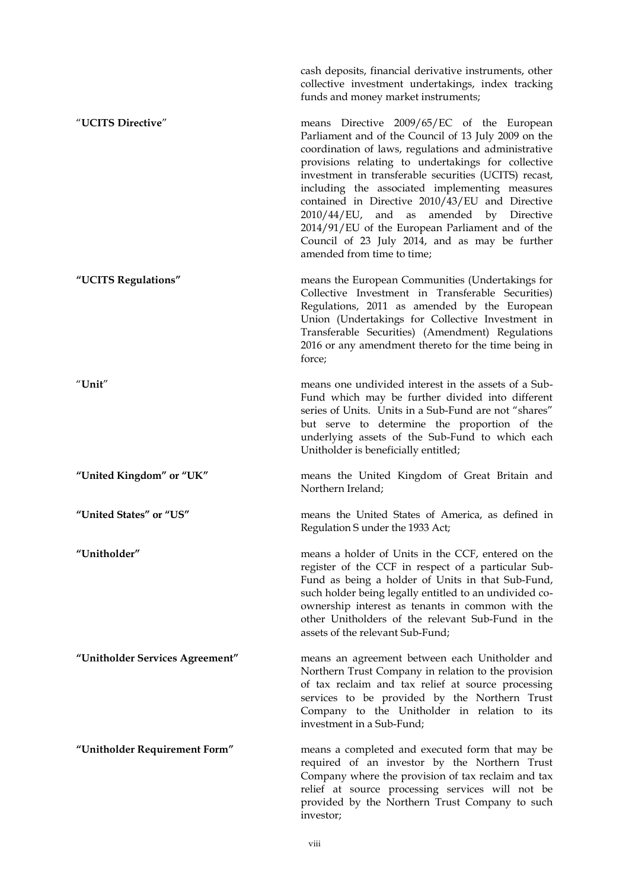cash deposits, financial derivative instruments, other collective investment undertakings, index tracking funds and money market instruments;

"**UCITS Directive**" means Directive 2009/65/EC of the European Parliament and of the Council of 13 July 2009 on the coordination of laws, regulations and administrative provisions relating to undertakings for collective investment in transferable securities (UCITS) recast, including the associated implementing measures contained in Directive 2010/43/EU and Directive 2010/44/EU, and as amended by Directive 2014/91/EU of the European Parliament and of the Council of 23 July 2014, and as may be further amended from time to time;

**"UCITS Regulations"** means the European Communities (Undertakings for Collective Investment in Transferable Securities) Regulations, 2011 as amended by the European Union (Undertakings for Collective Investment in Transferable Securities) (Amendment) Regulations 2016 or any amendment thereto for the time being in force;

"**Unit**" means one undivided interest in the assets of a Sub-Fund which may be further divided into different series of Units. Units in a Sub-Fund are not "shares" but serve to determine the proportion of the underlying assets of the Sub-Fund to which each Unitholder is beneficially entitled;

**"United Kingdom" or "UK"** means the United Kingdom of Great Britain and Northern Ireland;

**"United States" or "US"** means the United States of America, as defined in Regulation S under the 1933 Act;

**"Unitholder"** means a holder of Units in the CCF, entered on the register of the CCF in respect of a particular Sub-Fund as being a holder of Units in that Sub-Fund, such holder being legally entitled to an undivided coownership interest as tenants in common with the other Unitholders of the relevant Sub-Fund in the assets of the relevant Sub-Fund;

**"Unitholder Services Agreement"** means an agreement between each Unitholder and Northern Trust Company in relation to the provision of tax reclaim and tax relief at source processing services to be provided by the Northern Trust Company to the Unitholder in relation to its investment in a Sub-Fund;

**"Unitholder Requirement Form"** means a completed and executed form that may be required of an investor by the Northern Trust Company where the provision of tax reclaim and tax relief at source processing services will not be provided by the Northern Trust Company to such investor;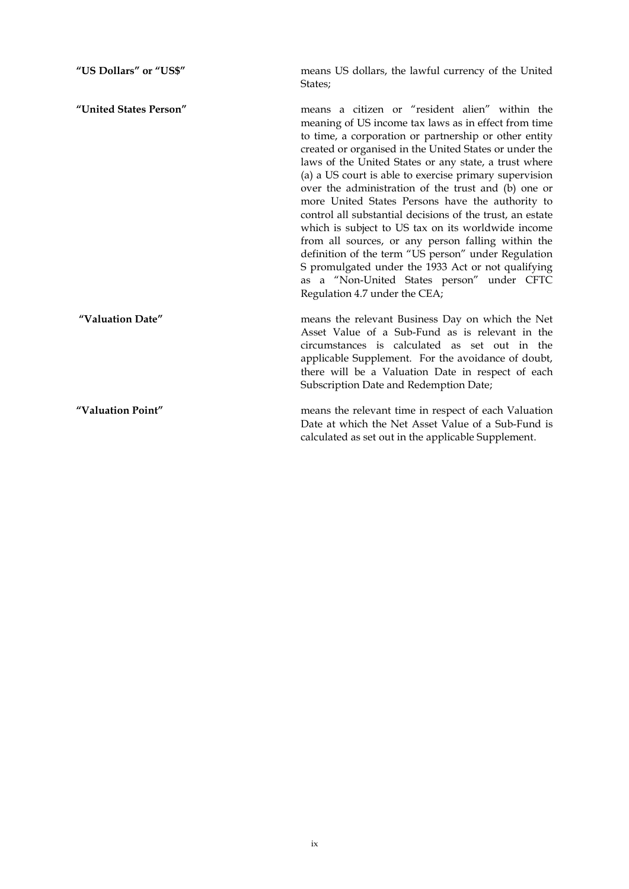| "US Dollars" or "US\$" | means US dollars, the lawful currency of the United<br>States;                                                                                                                                                                                                                                                                                                                                                                                                                                                                                                                                                                                                                                                                                                                                                               |
|------------------------|------------------------------------------------------------------------------------------------------------------------------------------------------------------------------------------------------------------------------------------------------------------------------------------------------------------------------------------------------------------------------------------------------------------------------------------------------------------------------------------------------------------------------------------------------------------------------------------------------------------------------------------------------------------------------------------------------------------------------------------------------------------------------------------------------------------------------|
| "United States Person" | means a citizen or "resident alien" within the<br>meaning of US income tax laws as in effect from time<br>to time, a corporation or partnership or other entity<br>created or organised in the United States or under the<br>laws of the United States or any state, a trust where<br>(a) a US court is able to exercise primary supervision<br>over the administration of the trust and (b) one or<br>more United States Persons have the authority to<br>control all substantial decisions of the trust, an estate<br>which is subject to US tax on its worldwide income<br>from all sources, or any person falling within the<br>definition of the term "US person" under Regulation<br>S promulgated under the 1933 Act or not qualifying<br>as a "Non-United States person" under CFTC<br>Regulation 4.7 under the CEA; |
| "Valuation Date"       | means the relevant Business Day on which the Net<br>Asset Value of a Sub-Fund as is relevant in the<br>circumstances is calculated as set out in the<br>applicable Supplement. For the avoidance of doubt,<br>there will be a Valuation Date in respect of each<br>Subscription Date and Redemption Date;                                                                                                                                                                                                                                                                                                                                                                                                                                                                                                                    |
| "Valuation Point"      | means the relevant time in respect of each Valuation<br>Date at which the Net Asset Value of a Sub-Fund is<br>calculated as set out in the applicable Supplement.                                                                                                                                                                                                                                                                                                                                                                                                                                                                                                                                                                                                                                                            |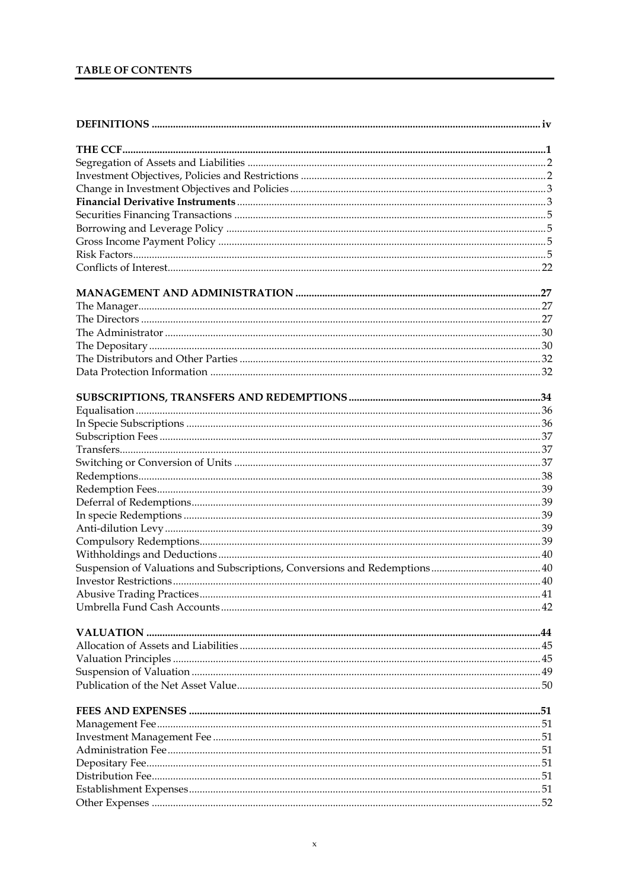# TABLE OF CONTENTS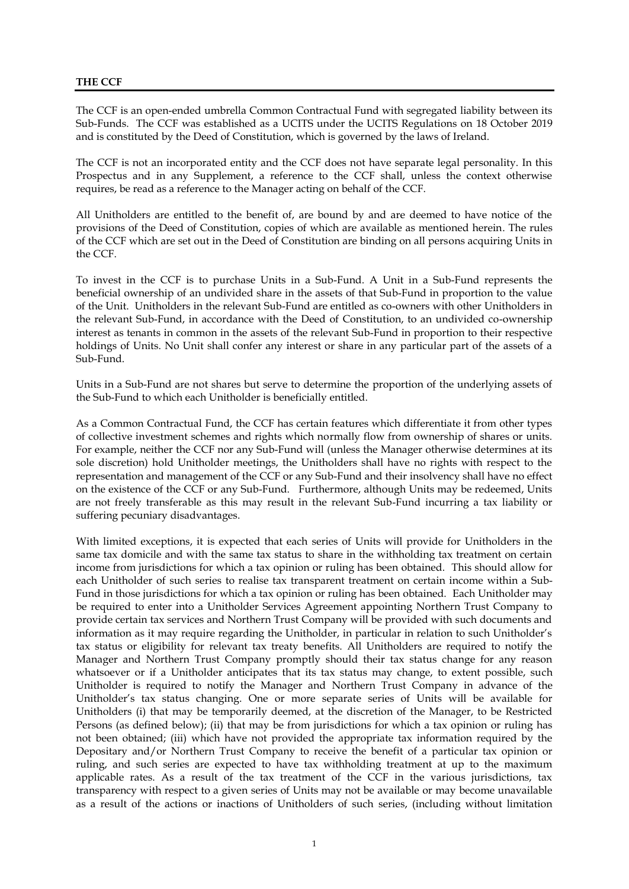# **THE CCF**

The CCF is an open-ended umbrella Common Contractual Fund with segregated liability between its Sub-Funds. The CCF was established as a UCITS under the UCITS Regulations on 18 October 2019 and is constituted by the Deed of Constitution, which is governed by the laws of Ireland.

The CCF is not an incorporated entity and the CCF does not have separate legal personality. In this Prospectus and in any Supplement, a reference to the CCF shall, unless the context otherwise requires, be read as a reference to the Manager acting on behalf of the CCF.

All Unitholders are entitled to the benefit of, are bound by and are deemed to have notice of the provisions of the Deed of Constitution, copies of which are available as mentioned herein. The rules of the CCF which are set out in the Deed of Constitution are binding on all persons acquiring Units in the CCF.

To invest in the CCF is to purchase Units in a Sub-Fund. A Unit in a Sub-Fund represents the beneficial ownership of an undivided share in the assets of that Sub-Fund in proportion to the value of the Unit. Unitholders in the relevant Sub-Fund are entitled as co-owners with other Unitholders in the relevant Sub-Fund, in accordance with the Deed of Constitution, to an undivided co-ownership interest as tenants in common in the assets of the relevant Sub-Fund in proportion to their respective holdings of Units. No Unit shall confer any interest or share in any particular part of the assets of a Sub-Fund.

Units in a Sub-Fund are not shares but serve to determine the proportion of the underlying assets of the Sub-Fund to which each Unitholder is beneficially entitled.

As a Common Contractual Fund, the CCF has certain features which differentiate it from other types of collective investment schemes and rights which normally flow from ownership of shares or units. For example, neither the CCF nor any Sub-Fund will (unless the Manager otherwise determines at its sole discretion) hold Unitholder meetings, the Unitholders shall have no rights with respect to the representation and management of the CCF or any Sub-Fund and their insolvency shall have no effect on the existence of the CCF or any Sub-Fund. Furthermore, although Units may be redeemed, Units are not freely transferable as this may result in the relevant Sub-Fund incurring a tax liability or suffering pecuniary disadvantages.

With limited exceptions, it is expected that each series of Units will provide for Unitholders in the same tax domicile and with the same tax status to share in the withholding tax treatment on certain income from jurisdictions for which a tax opinion or ruling has been obtained. This should allow for each Unitholder of such series to realise tax transparent treatment on certain income within a Sub-Fund in those jurisdictions for which a tax opinion or ruling has been obtained. Each Unitholder may be required to enter into a Unitholder Services Agreement appointing Northern Trust Company to provide certain tax services and Northern Trust Company will be provided with such documents and information as it may require regarding the Unitholder, in particular in relation to such Unitholder's tax status or eligibility for relevant tax treaty benefits. All Unitholders are required to notify the Manager and Northern Trust Company promptly should their tax status change for any reason whatsoever or if a Unitholder anticipates that its tax status may change, to extent possible, such Unitholder is required to notify the Manager and Northern Trust Company in advance of the Unitholder's tax status changing. One or more separate series of Units will be available for Unitholders (i) that may be temporarily deemed, at the discretion of the Manager, to be Restricted Persons (as defined below); (ii) that may be from jurisdictions for which a tax opinion or ruling has not been obtained; (iii) which have not provided the appropriate tax information required by the Depositary and/or Northern Trust Company to receive the benefit of a particular tax opinion or ruling, and such series are expected to have tax withholding treatment at up to the maximum applicable rates. As a result of the tax treatment of the CCF in the various jurisdictions, tax transparency with respect to a given series of Units may not be available or may become unavailable as a result of the actions or inactions of Unitholders of such series, (including without limitation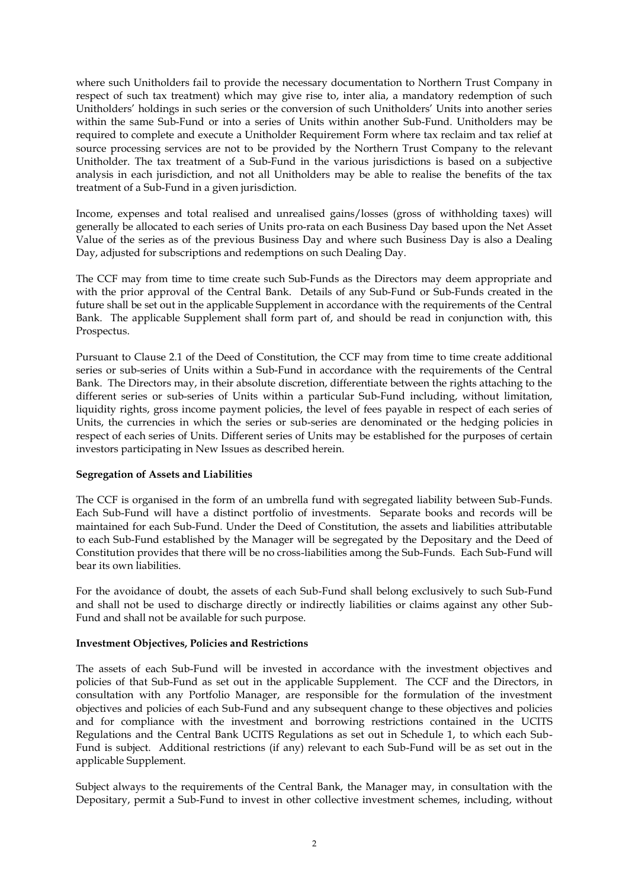where such Unitholders fail to provide the necessary documentation to Northern Trust Company in respect of such tax treatment) which may give rise to, inter alia, a mandatory redemption of such Unitholders' holdings in such series or the conversion of such Unitholders' Units into another series within the same Sub-Fund or into a series of Units within another Sub-Fund. Unitholders may be required to complete and execute a Unitholder Requirement Form where tax reclaim and tax relief at source processing services are not to be provided by the Northern Trust Company to the relevant Unitholder. The tax treatment of a Sub-Fund in the various jurisdictions is based on a subjective analysis in each jurisdiction, and not all Unitholders may be able to realise the benefits of the tax treatment of a Sub-Fund in a given jurisdiction.

Income, expenses and total realised and unrealised gains/losses (gross of withholding taxes) will generally be allocated to each series of Units pro-rata on each Business Day based upon the Net Asset Value of the series as of the previous Business Day and where such Business Day is also a Dealing Day, adjusted for subscriptions and redemptions on such Dealing Day.

The CCF may from time to time create such Sub-Funds as the Directors may deem appropriate and with the prior approval of the Central Bank. Details of any Sub-Fund or Sub-Funds created in the future shall be set out in the applicable Supplement in accordance with the requirements of the Central Bank. The applicable Supplement shall form part of, and should be read in conjunction with, this Prospectus.

Pursuant to Clause 2.1 of the Deed of Constitution, the CCF may from time to time create additional series or sub-series of Units within a Sub-Fund in accordance with the requirements of the Central Bank. The Directors may, in their absolute discretion, differentiate between the rights attaching to the different series or sub-series of Units within a particular Sub-Fund including, without limitation, liquidity rights, gross income payment policies, the level of fees payable in respect of each series of Units, the currencies in which the series or sub-series are denominated or the hedging policies in respect of each series of Units. Different series of Units may be established for the purposes of certain investors participating in New Issues as described herein.

#### **Segregation of Assets and Liabilities**

The CCF is organised in the form of an umbrella fund with segregated liability between Sub-Funds. Each Sub-Fund will have a distinct portfolio of investments. Separate books and records will be maintained for each Sub-Fund. Under the Deed of Constitution, the assets and liabilities attributable to each Sub-Fund established by the Manager will be segregated by the Depositary and the Deed of Constitution provides that there will be no cross-liabilities among the Sub-Funds. Each Sub-Fund will bear its own liabilities.

For the avoidance of doubt, the assets of each Sub-Fund shall belong exclusively to such Sub-Fund and shall not be used to discharge directly or indirectly liabilities or claims against any other Sub-Fund and shall not be available for such purpose.

# **Investment Objectives, Policies and Restrictions**

The assets of each Sub-Fund will be invested in accordance with the investment objectives and policies of that Sub-Fund as set out in the applicable Supplement. The CCF and the Directors, in consultation with any Portfolio Manager, are responsible for the formulation of the investment objectives and policies of each Sub-Fund and any subsequent change to these objectives and policies and for compliance with the investment and borrowing restrictions contained in the UCITS Regulations and the Central Bank UCITS Regulations as set out in Schedule 1, to which each Sub-Fund is subject. Additional restrictions (if any) relevant to each Sub-Fund will be as set out in the applicable Supplement.

Subject always to the requirements of the Central Bank, the Manager may, in consultation with the Depositary, permit a Sub-Fund to invest in other collective investment schemes, including, without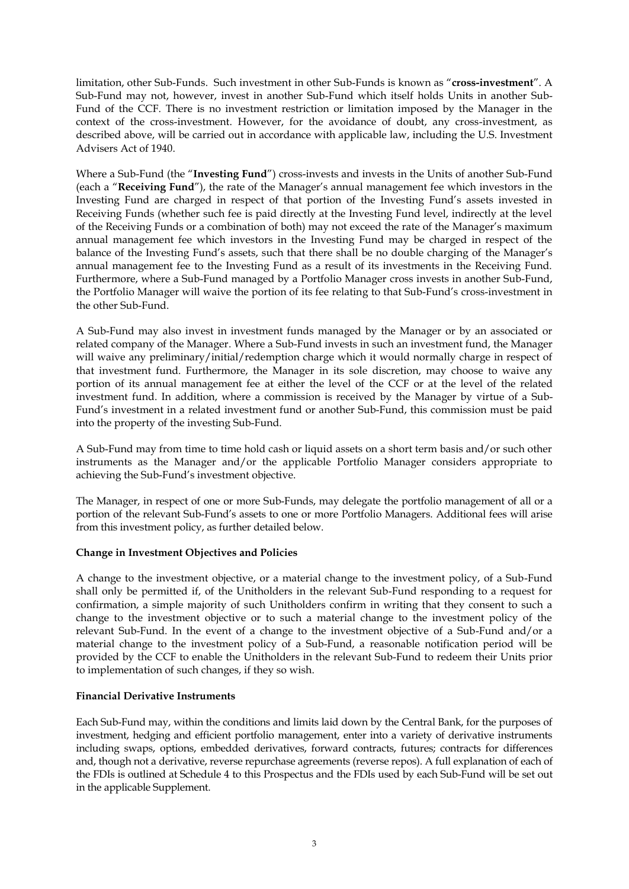limitation, other Sub-Funds. Such investment in other Sub-Funds is known as "**cross-investment**". A Sub-Fund may not, however, invest in another Sub-Fund which itself holds Units in another Sub-Fund of the CCF. There is no investment restriction or limitation imposed by the Manager in the context of the cross-investment. However, for the avoidance of doubt, any cross-investment, as described above, will be carried out in accordance with applicable law, including the U.S. Investment Advisers Act of 1940.

Where a Sub-Fund (the "**Investing Fund**") cross-invests and invests in the Units of another Sub-Fund (each a "**Receiving Fund**"), the rate of the Manager's annual management fee which investors in the Investing Fund are charged in respect of that portion of the Investing Fund's assets invested in Receiving Funds (whether such fee is paid directly at the Investing Fund level, indirectly at the level of the Receiving Funds or a combination of both) may not exceed the rate of the Manager's maximum annual management fee which investors in the Investing Fund may be charged in respect of the balance of the Investing Fund's assets, such that there shall be no double charging of the Manager's annual management fee to the Investing Fund as a result of its investments in the Receiving Fund. Furthermore, where a Sub-Fund managed by a Portfolio Manager cross invests in another Sub-Fund, the Portfolio Manager will waive the portion of its fee relating to that Sub-Fund's cross-investment in the other Sub-Fund.

A Sub-Fund may also invest in investment funds managed by the Manager or by an associated or related company of the Manager. Where a Sub-Fund invests in such an investment fund, the Manager will waive any preliminary/initial/redemption charge which it would normally charge in respect of that investment fund. Furthermore, the Manager in its sole discretion, may choose to waive any portion of its annual management fee at either the level of the CCF or at the level of the related investment fund. In addition, where a commission is received by the Manager by virtue of a Sub-Fund's investment in a related investment fund or another Sub-Fund, this commission must be paid into the property of the investing Sub-Fund.

A Sub-Fund may from time to time hold cash or liquid assets on a short term basis and/or such other instruments as the Manager and/or the applicable Portfolio Manager considers appropriate to achieving the Sub-Fund's investment objective.

The Manager, in respect of one or more Sub-Funds, may delegate the portfolio management of all or a portion of the relevant Sub-Fund's assets to one or more Portfolio Managers. Additional fees will arise from this investment policy, as further detailed below.

# **Change in Investment Objectives and Policies**

A change to the investment objective, or a material change to the investment policy, of a Sub-Fund shall only be permitted if, of the Unitholders in the relevant Sub-Fund responding to a request for confirmation, a simple majority of such Unitholders confirm in writing that they consent to such a change to the investment objective or to such a material change to the investment policy of the relevant Sub-Fund. In the event of a change to the investment objective of a Sub-Fund and/or a material change to the investment policy of a Sub-Fund, a reasonable notification period will be provided by the CCF to enable the Unitholders in the relevant Sub-Fund to redeem their Units prior to implementation of such changes, if they so wish.

# **Financial Derivative Instruments**

Each Sub-Fund may, within the conditions and limits laid down by the Central Bank, for the purposes of investment, hedging and efficient portfolio management, enter into a variety of derivative instruments including swaps, options, embedded derivatives, forward contracts, futures; contracts for differences and, though not a derivative, reverse repurchase agreements (reverse repos). A full explanation of each of the FDIs is outlined at Schedule 4 to this Prospectus and the FDIs used by each Sub-Fund will be set out in the applicable Supplement.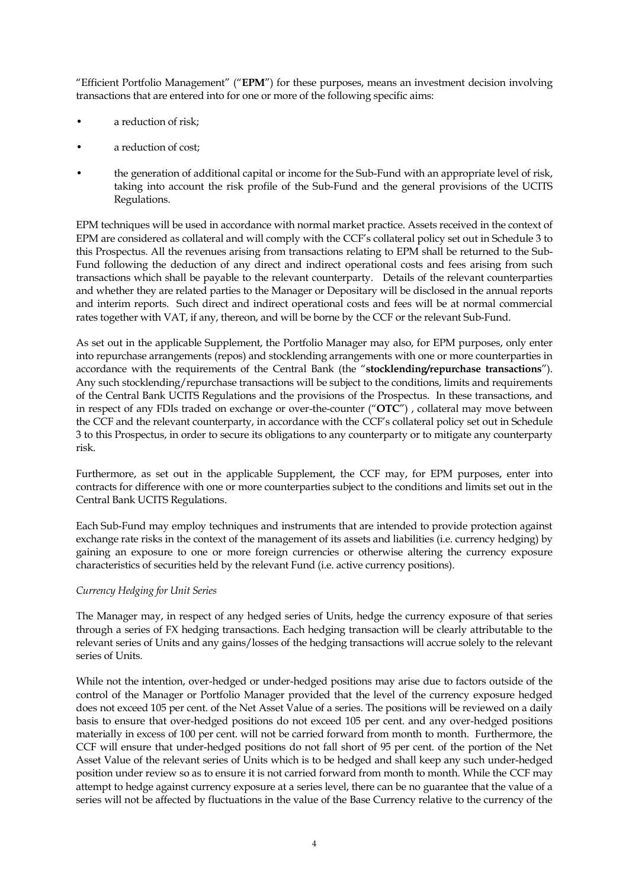"Efficient Portfolio Management" ("**EPM**") for these purposes, means an investment decision involving transactions that are entered into for one or more of the following specific aims:

- a reduction of risk;
- a reduction of cost;
- the generation of additional capital or income for the Sub-Fund with an appropriate level of risk, taking into account the risk profile of the Sub-Fund and the general provisions of the UCITS Regulations.

EPM techniques will be used in accordance with normal market practice. Assets received in the context of EPM are considered as collateral and will comply with the CCF's collateral policy set out in Schedule 3 to this Prospectus. All the revenues arising from transactions relating to EPM shall be returned to the Sub-Fund following the deduction of any direct and indirect operational costs and fees arising from such transactions which shall be payable to the relevant counterparty. Details of the relevant counterparties and whether they are related parties to the Manager or Depositary will be disclosed in the annual reports and interim reports. Such direct and indirect operational costs and fees will be at normal commercial rates together with VAT, if any, thereon, and will be borne by the CCF or the relevant Sub-Fund.

As set out in the applicable Supplement, the Portfolio Manager may also, for EPM purposes, only enter into repurchase arrangements (repos) and stocklending arrangements with one or more counterparties in accordance with the requirements of the Central Bank (the "**stocklending/repurchase transactions**"). Any such stocklending/repurchase transactions will be subject to the conditions, limits and requirements of the Central Bank UCITS Regulations and the provisions of the Prospectus. In these transactions, and in respect of any FDIs traded on exchange or over-the-counter ("**OTC**") , collateral may move between the CCF and the relevant counterparty, in accordance with the CCF's collateral policy set out in Schedule 3 to this Prospectus, in order to secure its obligations to any counterparty or to mitigate any counterparty risk.

Furthermore, as set out in the applicable Supplement, the CCF may, for EPM purposes, enter into contracts for difference with one or more counterparties subject to the conditions and limits set out in the Central Bank UCITS Regulations.

Each Sub-Fund may employ techniques and instruments that are intended to provide protection against exchange rate risks in the context of the management of its assets and liabilities (i.e. currency hedging) by gaining an exposure to one or more foreign currencies or otherwise altering the currency exposure characteristics of securities held by the relevant Fund (i.e. active currency positions).

# *Currency Hedging for Unit Series*

The Manager may, in respect of any hedged series of Units, hedge the currency exposure of that series through a series of FX hedging transactions. Each hedging transaction will be clearly attributable to the relevant series of Units and any gains/losses of the hedging transactions will accrue solely to the relevant series of Units.

While not the intention, over-hedged or under-hedged positions may arise due to factors outside of the control of the Manager or Portfolio Manager provided that the level of the currency exposure hedged does not exceed 105 per cent. of the Net Asset Value of a series. The positions will be reviewed on a daily basis to ensure that over-hedged positions do not exceed 105 per cent. and any over-hedged positions materially in excess of 100 per cent. will not be carried forward from month to month. Furthermore, the CCF will ensure that under-hedged positions do not fall short of 95 per cent. of the portion of the Net Asset Value of the relevant series of Units which is to be hedged and shall keep any such under-hedged position under review so as to ensure it is not carried forward from month to month. While the CCF may attempt to hedge against currency exposure at a series level, there can be no guarantee that the value of a series will not be affected by fluctuations in the value of the Base Currency relative to the currency of the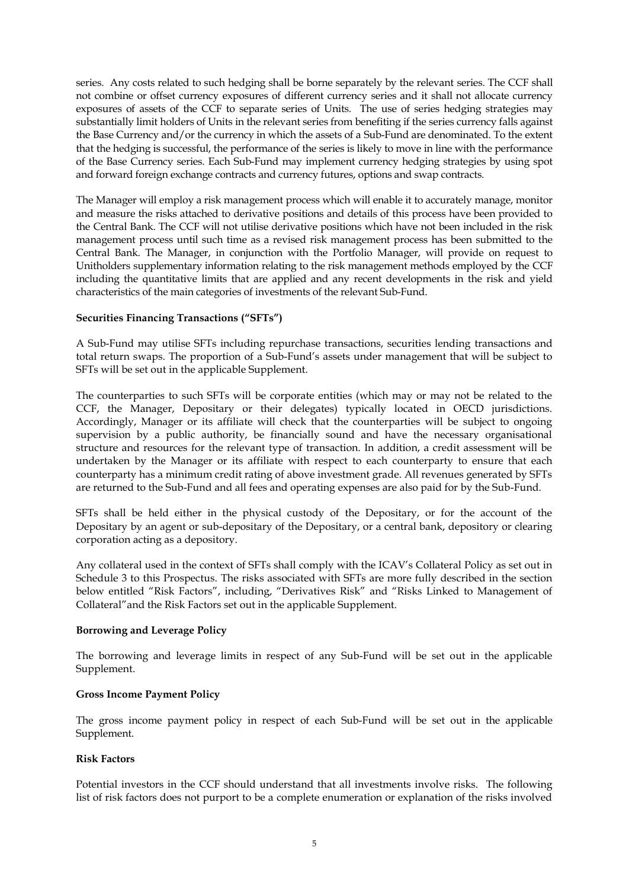series. Any costs related to such hedging shall be borne separately by the relevant series. The CCF shall not combine or offset currency exposures of different currency series and it shall not allocate currency exposures of assets of the CCF to separate series of Units. The use of series hedging strategies may substantially limit holders of Units in the relevant series from benefiting if the series currency falls against the Base Currency and/or the currency in which the assets of a Sub-Fund are denominated. To the extent that the hedging is successful, the performance of the series is likely to move in line with the performance of the Base Currency series. Each Sub-Fund may implement currency hedging strategies by using spot and forward foreign exchange contracts and currency futures, options and swap contracts.

The Manager will employ a risk management process which will enable it to accurately manage, monitor and measure the risks attached to derivative positions and details of this process have been provided to the Central Bank. The CCF will not utilise derivative positions which have not been included in the risk management process until such time as a revised risk management process has been submitted to the Central Bank. The Manager, in conjunction with the Portfolio Manager, will provide on request to Unitholders supplementary information relating to the risk management methods employed by the CCF including the quantitative limits that are applied and any recent developments in the risk and yield characteristics of the main categories of investments of the relevant Sub-Fund.

# **Securities Financing Transactions ("SFTs")**

A Sub-Fund may utilise SFTs including repurchase transactions, securities lending transactions and total return swaps. The proportion of a Sub-Fund's assets under management that will be subject to SFTs will be set out in the applicable Supplement.

The counterparties to such SFTs will be corporate entities (which may or may not be related to the CCF, the Manager, Depositary or their delegates) typically located in OECD jurisdictions. Accordingly, Manager or its affiliate will check that the counterparties will be subject to ongoing supervision by a public authority, be financially sound and have the necessary organisational structure and resources for the relevant type of transaction. In addition, a credit assessment will be undertaken by the Manager or its affiliate with respect to each counterparty to ensure that each counterparty has a minimum credit rating of above investment grade. All revenues generated by SFTs are returned to the Sub-Fund and all fees and operating expenses are also paid for by the Sub-Fund.

SFTs shall be held either in the physical custody of the Depositary, or for the account of the Depositary by an agent or sub-depositary of the Depositary, or a central bank, depository or clearing corporation acting as a depository.

Any collateral used in the context of SFTs shall comply with the ICAV's Collateral Policy as set out in Schedule 3 to this Prospectus. The risks associated with SFTs are more fully described in the section below entitled "Risk Factors", including, "Derivatives Risk" and "Risks Linked to Management of Collateral"and the Risk Factors set out in the applicable Supplement.

#### **Borrowing and Leverage Policy**

The borrowing and leverage limits in respect of any Sub-Fund will be set out in the applicable Supplement.

#### **Gross Income Payment Policy**

The gross income payment policy in respect of each Sub-Fund will be set out in the applicable Supplement.

#### **Risk Factors**

Potential investors in the CCF should understand that all investments involve risks. The following list of risk factors does not purport to be a complete enumeration or explanation of the risks involved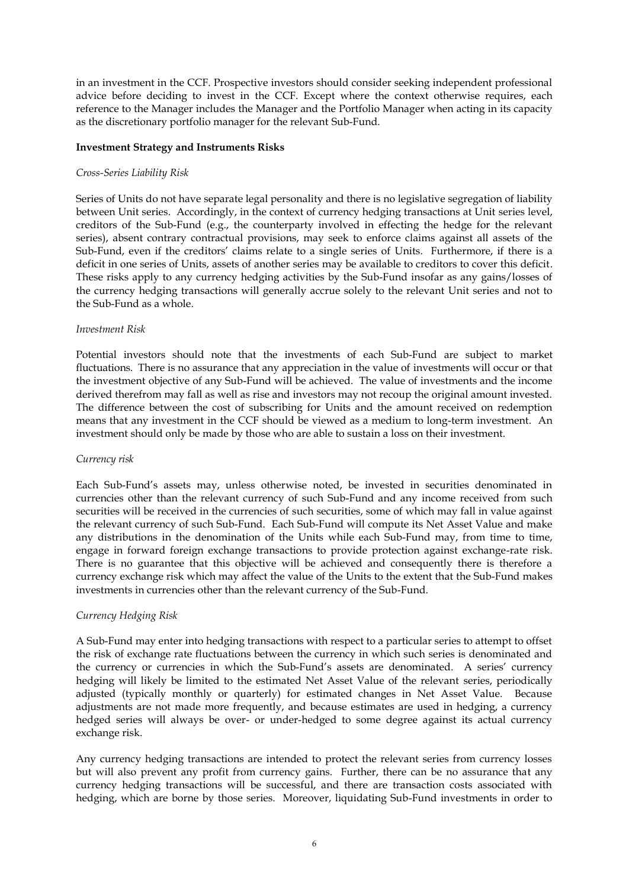in an investment in the CCF. Prospective investors should consider seeking independent professional advice before deciding to invest in the CCF. Except where the context otherwise requires, each reference to the Manager includes the Manager and the Portfolio Manager when acting in its capacity as the discretionary portfolio manager for the relevant Sub-Fund.

## **Investment Strategy and Instruments Risks**

#### *Cross-Series Liability Risk*

Series of Units do not have separate legal personality and there is no legislative segregation of liability between Unit series. Accordingly, in the context of currency hedging transactions at Unit series level, creditors of the Sub-Fund (e.g., the counterparty involved in effecting the hedge for the relevant series), absent contrary contractual provisions, may seek to enforce claims against all assets of the Sub-Fund, even if the creditors' claims relate to a single series of Units. Furthermore, if there is a deficit in one series of Units, assets of another series may be available to creditors to cover this deficit. These risks apply to any currency hedging activities by the Sub-Fund insofar as any gains/losses of the currency hedging transactions will generally accrue solely to the relevant Unit series and not to the Sub-Fund as a whole.

## *Investment Risk*

Potential investors should note that the investments of each Sub-Fund are subject to market fluctuations. There is no assurance that any appreciation in the value of investments will occur or that the investment objective of any Sub-Fund will be achieved. The value of investments and the income derived therefrom may fall as well as rise and investors may not recoup the original amount invested. The difference between the cost of subscribing for Units and the amount received on redemption means that any investment in the CCF should be viewed as a medium to long-term investment. An investment should only be made by those who are able to sustain a loss on their investment.

#### *Currency risk*

Each Sub-Fund's assets may, unless otherwise noted, be invested in securities denominated in currencies other than the relevant currency of such Sub-Fund and any income received from such securities will be received in the currencies of such securities, some of which may fall in value against the relevant currency of such Sub-Fund. Each Sub-Fund will compute its Net Asset Value and make any distributions in the denomination of the Units while each Sub-Fund may, from time to time, engage in forward foreign exchange transactions to provide protection against exchange-rate risk. There is no guarantee that this objective will be achieved and consequently there is therefore a currency exchange risk which may affect the value of the Units to the extent that the Sub-Fund makes investments in currencies other than the relevant currency of the Sub-Fund.

#### *Currency Hedging Risk*

A Sub-Fund may enter into hedging transactions with respect to a particular series to attempt to offset the risk of exchange rate fluctuations between the currency in which such series is denominated and the currency or currencies in which the Sub-Fund's assets are denominated. A series' currency hedging will likely be limited to the estimated Net Asset Value of the relevant series, periodically adjusted (typically monthly or quarterly) for estimated changes in Net Asset Value. Because adjustments are not made more frequently, and because estimates are used in hedging, a currency hedged series will always be over- or under-hedged to some degree against its actual currency exchange risk.

Any currency hedging transactions are intended to protect the relevant series from currency losses but will also prevent any profit from currency gains. Further, there can be no assurance that any currency hedging transactions will be successful, and there are transaction costs associated with hedging, which are borne by those series. Moreover, liquidating Sub-Fund investments in order to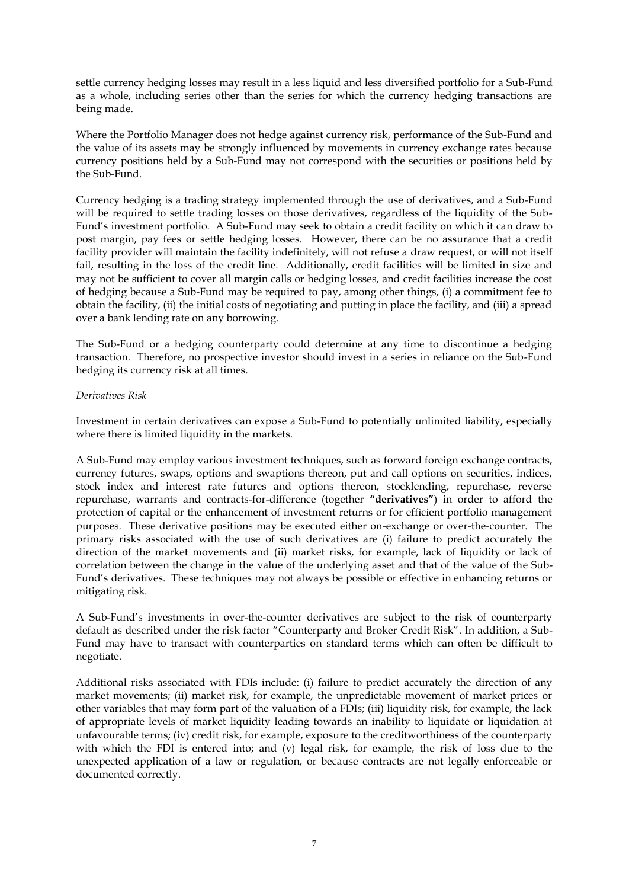settle currency hedging losses may result in a less liquid and less diversified portfolio for a Sub-Fund as a whole, including series other than the series for which the currency hedging transactions are being made.

Where the Portfolio Manager does not hedge against currency risk, performance of the Sub-Fund and the value of its assets may be strongly influenced by movements in currency exchange rates because currency positions held by a Sub-Fund may not correspond with the securities or positions held by the Sub-Fund.

Currency hedging is a trading strategy implemented through the use of derivatives, and a Sub-Fund will be required to settle trading losses on those derivatives, regardless of the liquidity of the Sub-Fund's investment portfolio. A Sub-Fund may seek to obtain a credit facility on which it can draw to post margin, pay fees or settle hedging losses. However, there can be no assurance that a credit facility provider will maintain the facility indefinitely, will not refuse a draw request, or will not itself fail, resulting in the loss of the credit line. Additionally, credit facilities will be limited in size and may not be sufficient to cover all margin calls or hedging losses, and credit facilities increase the cost of hedging because a Sub-Fund may be required to pay, among other things, (i) a commitment fee to obtain the facility, (ii) the initial costs of negotiating and putting in place the facility, and (iii) a spread over a bank lending rate on any borrowing.

The Sub-Fund or a hedging counterparty could determine at any time to discontinue a hedging transaction. Therefore, no prospective investor should invest in a series in reliance on the Sub-Fund hedging its currency risk at all times.

## *Derivatives Risk*

Investment in certain derivatives can expose a Sub-Fund to potentially unlimited liability, especially where there is limited liquidity in the markets.

A Sub-Fund may employ various investment techniques, such as forward foreign exchange contracts, currency futures, swaps, options and swaptions thereon, put and call options on securities, indices, stock index and interest rate futures and options thereon, stocklending, repurchase, reverse repurchase, warrants and contracts-for-difference (together **"derivatives"**) in order to afford the protection of capital or the enhancement of investment returns or for efficient portfolio management purposes. These derivative positions may be executed either on-exchange or over-the-counter. The primary risks associated with the use of such derivatives are (i) failure to predict accurately the direction of the market movements and (ii) market risks, for example, lack of liquidity or lack of correlation between the change in the value of the underlying asset and that of the value of the Sub-Fund's derivatives. These techniques may not always be possible or effective in enhancing returns or mitigating risk.

A Sub-Fund's investments in over-the-counter derivatives are subject to the risk of counterparty default as described under the risk factor "Counterparty and Broker Credit Risk". In addition, a Sub-Fund may have to transact with counterparties on standard terms which can often be difficult to negotiate.

Additional risks associated with FDIs include: (i) failure to predict accurately the direction of any market movements; (ii) market risk, for example, the unpredictable movement of market prices or other variables that may form part of the valuation of a FDIs; (iii) liquidity risk, for example, the lack of appropriate levels of market liquidity leading towards an inability to liquidate or liquidation at unfavourable terms; (iv) credit risk, for example, exposure to the creditworthiness of the counterparty with which the FDI is entered into; and (v) legal risk, for example, the risk of loss due to the unexpected application of a law or regulation, or because contracts are not legally enforceable or documented correctly.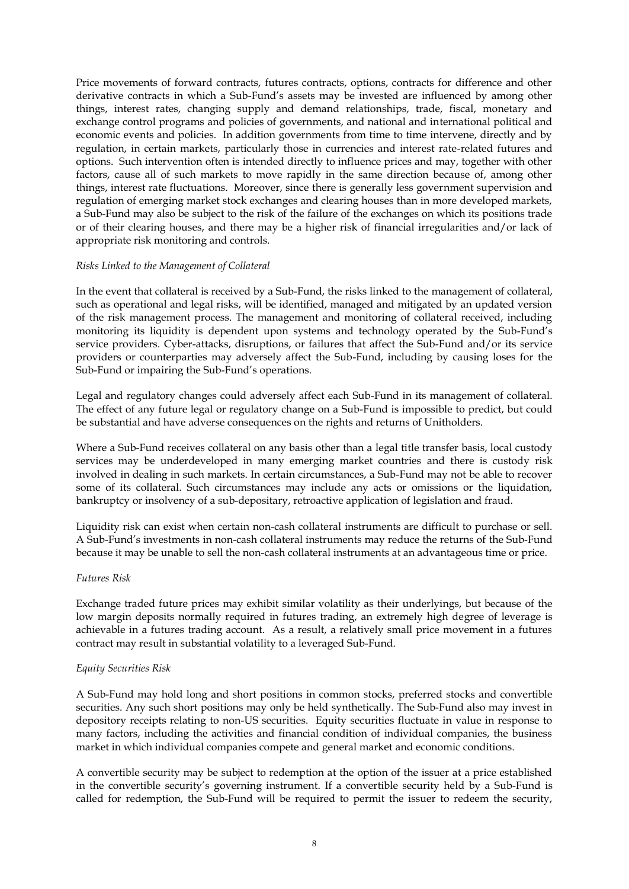Price movements of forward contracts, futures contracts, options, contracts for difference and other derivative contracts in which a Sub-Fund's assets may be invested are influenced by among other things, interest rates, changing supply and demand relationships, trade, fiscal, monetary and exchange control programs and policies of governments, and national and international political and economic events and policies. In addition governments from time to time intervene, directly and by regulation, in certain markets, particularly those in currencies and interest rate-related futures and options. Such intervention often is intended directly to influence prices and may, together with other factors, cause all of such markets to move rapidly in the same direction because of, among other things, interest rate fluctuations. Moreover, since there is generally less government supervision and regulation of emerging market stock exchanges and clearing houses than in more developed markets, a Sub-Fund may also be subject to the risk of the failure of the exchanges on which its positions trade or of their clearing houses, and there may be a higher risk of financial irregularities and/or lack of appropriate risk monitoring and controls.

#### *Risks Linked to the Management of Collateral*

In the event that collateral is received by a Sub-Fund, the risks linked to the management of collateral, such as operational and legal risks, will be identified, managed and mitigated by an updated version of the risk management process. The management and monitoring of collateral received, including monitoring its liquidity is dependent upon systems and technology operated by the Sub-Fund's service providers. Cyber-attacks, disruptions, or failures that affect the Sub-Fund and/or its service providers or counterparties may adversely affect the Sub-Fund, including by causing loses for the Sub-Fund or impairing the Sub-Fund's operations.

Legal and regulatory changes could adversely affect each Sub-Fund in its management of collateral. The effect of any future legal or regulatory change on a Sub-Fund is impossible to predict, but could be substantial and have adverse consequences on the rights and returns of Unitholders.

Where a Sub-Fund receives collateral on any basis other than a legal title transfer basis, local custody services may be underdeveloped in many emerging market countries and there is custody risk involved in dealing in such markets. In certain circumstances, a Sub-Fund may not be able to recover some of its collateral. Such circumstances may include any acts or omissions or the liquidation, bankruptcy or insolvency of a sub-depositary, retroactive application of legislation and fraud.

Liquidity risk can exist when certain non-cash collateral instruments are difficult to purchase or sell. A Sub-Fund's investments in non-cash collateral instruments may reduce the returns of the Sub-Fund because it may be unable to sell the non-cash collateral instruments at an advantageous time or price.

#### *Futures Risk*

Exchange traded future prices may exhibit similar volatility as their underlyings, but because of the low margin deposits normally required in futures trading, an extremely high degree of leverage is achievable in a futures trading account. As a result, a relatively small price movement in a futures contract may result in substantial volatility to a leveraged Sub-Fund.

# *Equity Securities Risk*

A Sub-Fund may hold long and short positions in common stocks, preferred stocks and convertible securities. Any such short positions may only be held synthetically. The Sub-Fund also may invest in depository receipts relating to non-US securities. Equity securities fluctuate in value in response to many factors, including the activities and financial condition of individual companies, the business market in which individual companies compete and general market and economic conditions.

A convertible security may be subject to redemption at the option of the issuer at a price established in the convertible security's governing instrument. If a convertible security held by a Sub-Fund is called for redemption, the Sub-Fund will be required to permit the issuer to redeem the security,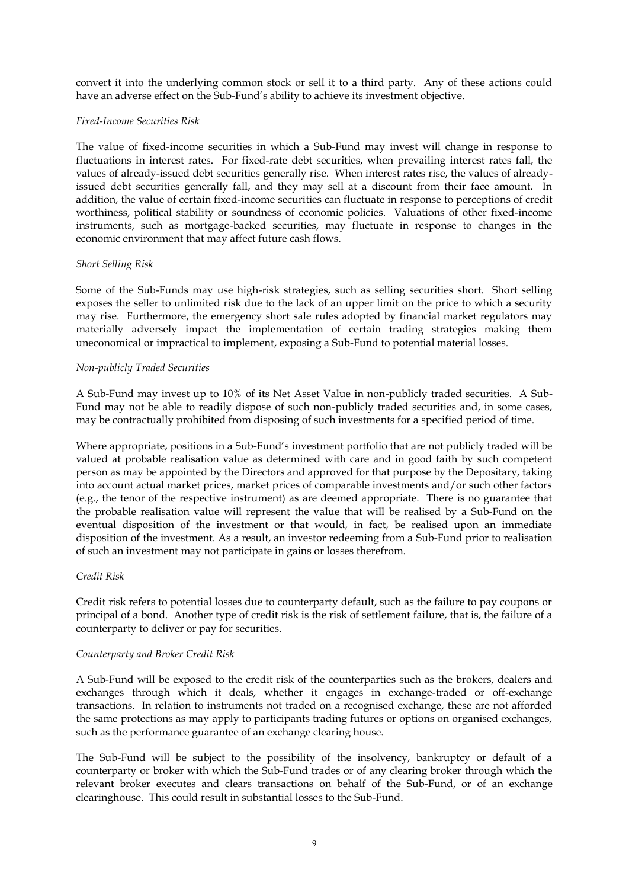convert it into the underlying common stock or sell it to a third party. Any of these actions could have an adverse effect on the Sub-Fund's ability to achieve its investment objective.

#### *Fixed-Income Securities Risk*

The value of fixed-income securities in which a Sub-Fund may invest will change in response to fluctuations in interest rates. For fixed-rate debt securities, when prevailing interest rates fall, the values of already-issued debt securities generally rise. When interest rates rise, the values of alreadyissued debt securities generally fall, and they may sell at a discount from their face amount. In addition, the value of certain fixed-income securities can fluctuate in response to perceptions of credit worthiness, political stability or soundness of economic policies. Valuations of other fixed-income instruments, such as mortgage-backed securities, may fluctuate in response to changes in the economic environment that may affect future cash flows.

#### *Short Selling Risk*

Some of the Sub-Funds may use high-risk strategies, such as selling securities short. Short selling exposes the seller to unlimited risk due to the lack of an upper limit on the price to which a security may rise. Furthermore, the emergency short sale rules adopted by financial market regulators may materially adversely impact the implementation of certain trading strategies making them uneconomical or impractical to implement, exposing a Sub-Fund to potential material losses.

#### *Non-publicly Traded Securities*

A Sub-Fund may invest up to 10% of its Net Asset Value in non-publicly traded securities. A Sub-Fund may not be able to readily dispose of such non-publicly traded securities and, in some cases, may be contractually prohibited from disposing of such investments for a specified period of time.

Where appropriate, positions in a Sub-Fund's investment portfolio that are not publicly traded will be valued at probable realisation value as determined with care and in good faith by such competent person as may be appointed by the Directors and approved for that purpose by the Depositary, taking into account actual market prices, market prices of comparable investments and/or such other factors (e.g., the tenor of the respective instrument) as are deemed appropriate. There is no guarantee that the probable realisation value will represent the value that will be realised by a Sub-Fund on the eventual disposition of the investment or that would, in fact, be realised upon an immediate disposition of the investment. As a result, an investor redeeming from a Sub-Fund prior to realisation of such an investment may not participate in gains or losses therefrom.

### *Credit Risk*

Credit risk refers to potential losses due to counterparty default, such as the failure to pay coupons or principal of a bond. Another type of credit risk is the risk of settlement failure, that is, the failure of a counterparty to deliver or pay for securities.

#### *Counterparty and Broker Credit Risk*

A Sub-Fund will be exposed to the credit risk of the counterparties such as the brokers, dealers and exchanges through which it deals, whether it engages in exchange-traded or off-exchange transactions. In relation to instruments not traded on a recognised exchange, these are not afforded the same protections as may apply to participants trading futures or options on organised exchanges, such as the performance guarantee of an exchange clearing house.

The Sub-Fund will be subject to the possibility of the insolvency, bankruptcy or default of a counterparty or broker with which the Sub-Fund trades or of any clearing broker through which the relevant broker executes and clears transactions on behalf of the Sub-Fund, or of an exchange clearinghouse. This could result in substantial losses to the Sub-Fund.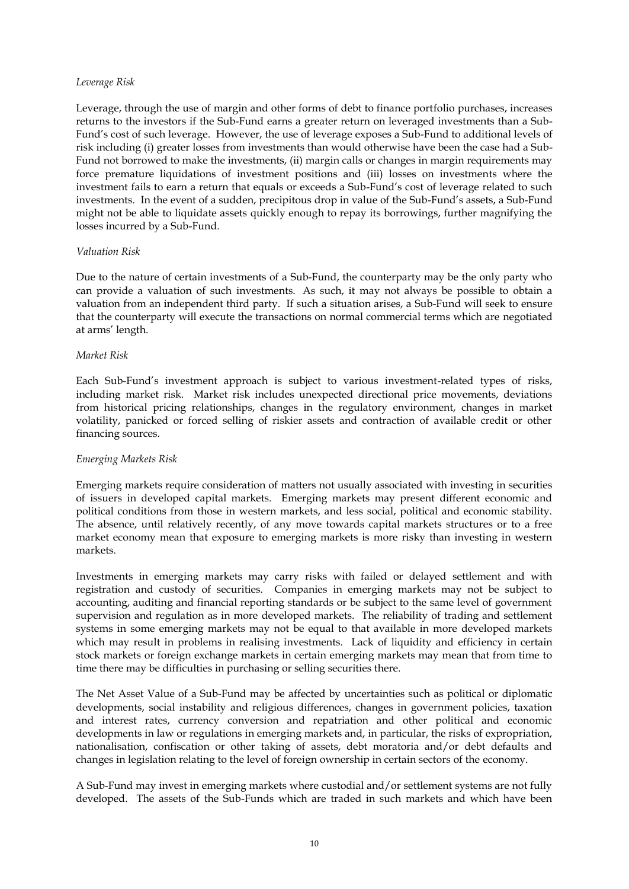#### *Leverage Risk*

Leverage, through the use of margin and other forms of debt to finance portfolio purchases, increases returns to the investors if the Sub-Fund earns a greater return on leveraged investments than a Sub-Fund's cost of such leverage. However, the use of leverage exposes a Sub-Fund to additional levels of risk including (i) greater losses from investments than would otherwise have been the case had a Sub-Fund not borrowed to make the investments, (ii) margin calls or changes in margin requirements may force premature liquidations of investment positions and (iii) losses on investments where the investment fails to earn a return that equals or exceeds a Sub-Fund's cost of leverage related to such investments. In the event of a sudden, precipitous drop in value of the Sub-Fund's assets, a Sub-Fund might not be able to liquidate assets quickly enough to repay its borrowings, further magnifying the losses incurred by a Sub-Fund.

## *Valuation Risk*

Due to the nature of certain investments of a Sub-Fund, the counterparty may be the only party who can provide a valuation of such investments. As such, it may not always be possible to obtain a valuation from an independent third party. If such a situation arises, a Sub-Fund will seek to ensure that the counterparty will execute the transactions on normal commercial terms which are negotiated at arms' length.

#### *Market Risk*

Each Sub-Fund's investment approach is subject to various investment-related types of risks, including market risk. Market risk includes unexpected directional price movements, deviations from historical pricing relationships, changes in the regulatory environment, changes in market volatility, panicked or forced selling of riskier assets and contraction of available credit or other financing sources.

# *Emerging Markets Risk*

Emerging markets require consideration of matters not usually associated with investing in securities of issuers in developed capital markets. Emerging markets may present different economic and political conditions from those in western markets, and less social, political and economic stability. The absence, until relatively recently, of any move towards capital markets structures or to a free market economy mean that exposure to emerging markets is more risky than investing in western markets.

Investments in emerging markets may carry risks with failed or delayed settlement and with registration and custody of securities. Companies in emerging markets may not be subject to accounting, auditing and financial reporting standards or be subject to the same level of government supervision and regulation as in more developed markets. The reliability of trading and settlement systems in some emerging markets may not be equal to that available in more developed markets which may result in problems in realising investments. Lack of liquidity and efficiency in certain stock markets or foreign exchange markets in certain emerging markets may mean that from time to time there may be difficulties in purchasing or selling securities there.

The Net Asset Value of a Sub-Fund may be affected by uncertainties such as political or diplomatic developments, social instability and religious differences, changes in government policies, taxation and interest rates, currency conversion and repatriation and other political and economic developments in law or regulations in emerging markets and, in particular, the risks of expropriation, nationalisation, confiscation or other taking of assets, debt moratoria and/or debt defaults and changes in legislation relating to the level of foreign ownership in certain sectors of the economy.

A Sub-Fund may invest in emerging markets where custodial and/or settlement systems are not fully developed. The assets of the Sub-Funds which are traded in such markets and which have been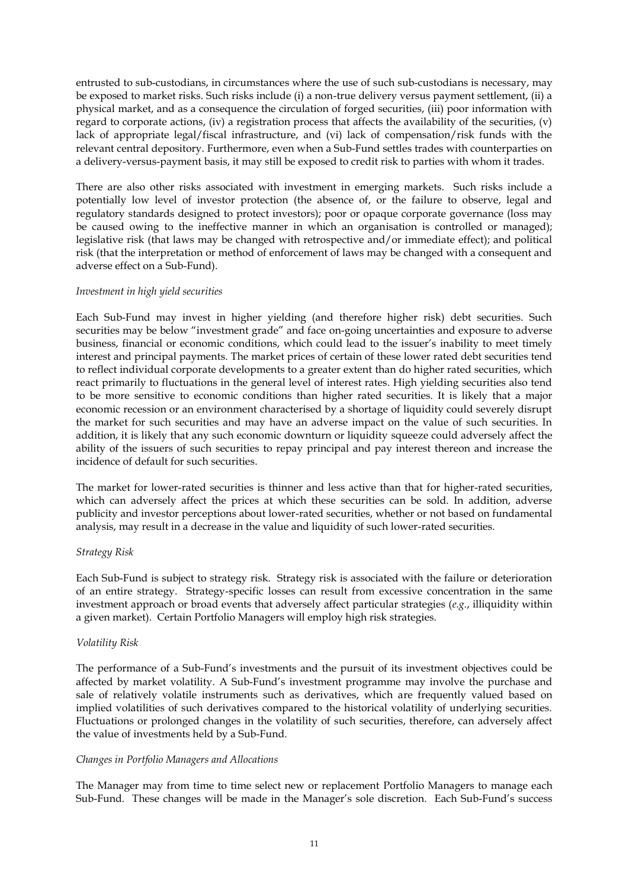entrusted to sub-custodians, in circumstances where the use of such sub-custodians is necessary, may be exposed to market risks. Such risks include (i) a non-true delivery versus payment settlement, (ii) a physical market, and as a consequence the circulation of forged securities, (iii) poor information with regard to corporate actions, (iv) a registration process that affects the availability of the securities, (v) lack of appropriate legal/fiscal infrastructure, and (vi) lack of compensation/risk funds with the relevant central depository. Furthermore, even when a Sub-Fund settles trades with counterparties on a delivery-versus-payment basis, it may still be exposed to credit risk to parties with whom it trades.

There are also other risks associated with investment in emerging markets. Such risks include a potentially low level of investor protection (the absence of, or the failure to observe, legal and regulatory standards designed to protect investors); poor or opaque corporate governance (loss may be caused owing to the ineffective manner in which an organisation is controlled or managed); legislative risk (that laws may be changed with retrospective and/or immediate effect); and political risk (that the interpretation or method of enforcement of laws may be changed with a consequent and adverse effect on a Sub-Fund).

#### *Investment in high yield securities*

Each Sub-Fund may invest in higher yielding (and therefore higher risk) debt securities. Such securities may be below "investment grade" and face on-going uncertainties and exposure to adverse business, financial or economic conditions, which could lead to the issuer's inability to meet timely interest and principal payments. The market prices of certain of these lower rated debt securities tend to reflect individual corporate developments to a greater extent than do higher rated securities, which react primarily to fluctuations in the general level of interest rates. High yielding securities also tend to be more sensitive to economic conditions than higher rated securities. It is likely that a major economic recession or an environment characterised by a shortage of liquidity could severely disrupt the market for such securities and may have an adverse impact on the value of such securities. In addition, it is likely that any such economic downturn or liquidity squeeze could adversely affect the ability of the issuers of such securities to repay principal and pay interest thereon and increase the incidence of default for such securities.

The market for lower-rated securities is thinner and less active than that for higher-rated securities, which can adversely affect the prices at which these securities can be sold. In addition, adverse publicity and investor perceptions about lower-rated securities, whether or not based on fundamental analysis, may result in a decrease in the value and liquidity of such lower-rated securities.

#### *Strategy Risk*

Each Sub-Fund is subject to strategy risk. Strategy risk is associated with the failure or deterioration of an entire strategy. Strategy-specific losses can result from excessive concentration in the same investment approach or broad events that adversely affect particular strategies (*e.g.*, illiquidity within a given market). Certain Portfolio Managers will employ high risk strategies.

# *Volatility Risk*

The performance of a Sub-Fund's investments and the pursuit of its investment objectives could be affected by market volatility. A Sub-Fund's investment programme may involve the purchase and sale of relatively volatile instruments such as derivatives, which are frequently valued based on implied volatilities of such derivatives compared to the historical volatility of underlying securities. Fluctuations or prolonged changes in the volatility of such securities, therefore, can adversely affect the value of investments held by a Sub-Fund.

#### *Changes in Portfolio Managers and Allocations*

The Manager may from time to time select new or replacement Portfolio Managers to manage each Sub-Fund. These changes will be made in the Manager's sole discretion. Each Sub-Fund's success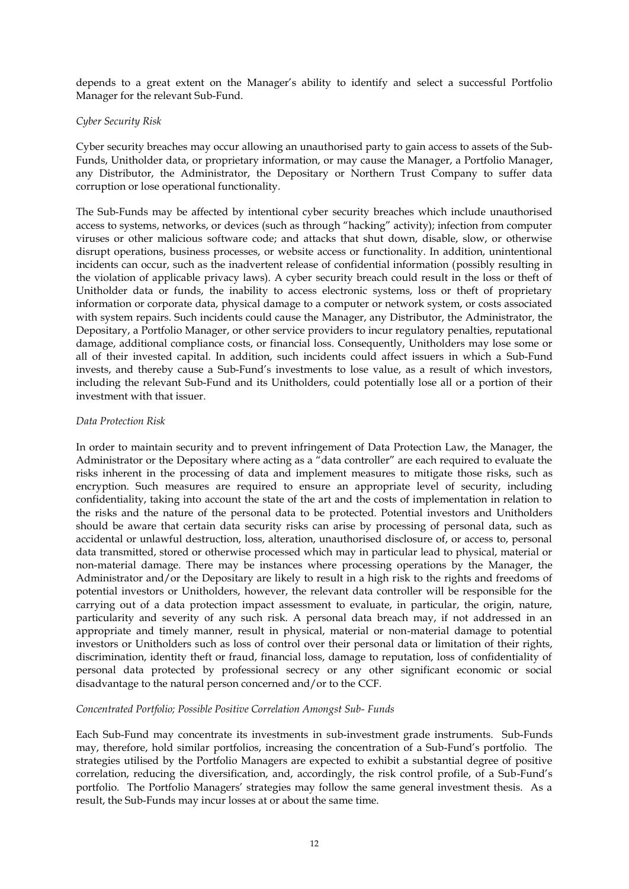depends to a great extent on the Manager's ability to identify and select a successful Portfolio Manager for the relevant Sub-Fund.

#### *Cyber Security Risk*

Cyber security breaches may occur allowing an unauthorised party to gain access to assets of the Sub-Funds, Unitholder data, or proprietary information, or may cause the Manager, a Portfolio Manager, any Distributor, the Administrator, the Depositary or Northern Trust Company to suffer data corruption or lose operational functionality.

The Sub-Funds may be affected by intentional cyber security breaches which include unauthorised access to systems, networks, or devices (such as through "hacking" activity); infection from computer viruses or other malicious software code; and attacks that shut down, disable, slow, or otherwise disrupt operations, business processes, or website access or functionality. In addition, unintentional incidents can occur, such as the inadvertent release of confidential information (possibly resulting in the violation of applicable privacy laws). A cyber security breach could result in the loss or theft of Unitholder data or funds, the inability to access electronic systems, loss or theft of proprietary information or corporate data, physical damage to a computer or network system, or costs associated with system repairs. Such incidents could cause the Manager, any Distributor, the Administrator, the Depositary, a Portfolio Manager, or other service providers to incur regulatory penalties, reputational damage, additional compliance costs, or financial loss. Consequently, Unitholders may lose some or all of their invested capital. In addition, such incidents could affect issuers in which a Sub-Fund invests, and thereby cause a Sub-Fund's investments to lose value, as a result of which investors, including the relevant Sub-Fund and its Unitholders, could potentially lose all or a portion of their investment with that issuer.

#### *Data Protection Risk*

In order to maintain security and to prevent infringement of Data Protection Law, the Manager, the Administrator or the Depositary where acting as a "data controller" are each required to evaluate the risks inherent in the processing of data and implement measures to mitigate those risks, such as encryption. Such measures are required to ensure an appropriate level of security, including confidentiality, taking into account the state of the art and the costs of implementation in relation to the risks and the nature of the personal data to be protected. Potential investors and Unitholders should be aware that certain data security risks can arise by processing of personal data, such as accidental or unlawful destruction, loss, alteration, unauthorised disclosure of, or access to, personal data transmitted, stored or otherwise processed which may in particular lead to physical, material or non-material damage. There may be instances where processing operations by the Manager, the Administrator and/or the Depositary are likely to result in a high risk to the rights and freedoms of potential investors or Unitholders, however, the relevant data controller will be responsible for the carrying out of a data protection impact assessment to evaluate, in particular, the origin, nature, particularity and severity of any such risk. A personal data breach may, if not addressed in an appropriate and timely manner, result in physical, material or non-material damage to potential investors or Unitholders such as loss of control over their personal data or limitation of their rights, discrimination, identity theft or fraud, financial loss, damage to reputation, loss of confidentiality of personal data protected by professional secrecy or any other significant economic or social disadvantage to the natural person concerned and/or to the CCF.

#### *Concentrated Portfolio; Possible Positive Correlation Amongst Sub- Funds*

Each Sub-Fund may concentrate its investments in sub-investment grade instruments. Sub-Funds may, therefore, hold similar portfolios, increasing the concentration of a Sub-Fund's portfolio. The strategies utilised by the Portfolio Managers are expected to exhibit a substantial degree of positive correlation, reducing the diversification, and, accordingly, the risk control profile, of a Sub-Fund's portfolio. The Portfolio Managers' strategies may follow the same general investment thesis. As a result, the Sub-Funds may incur losses at or about the same time.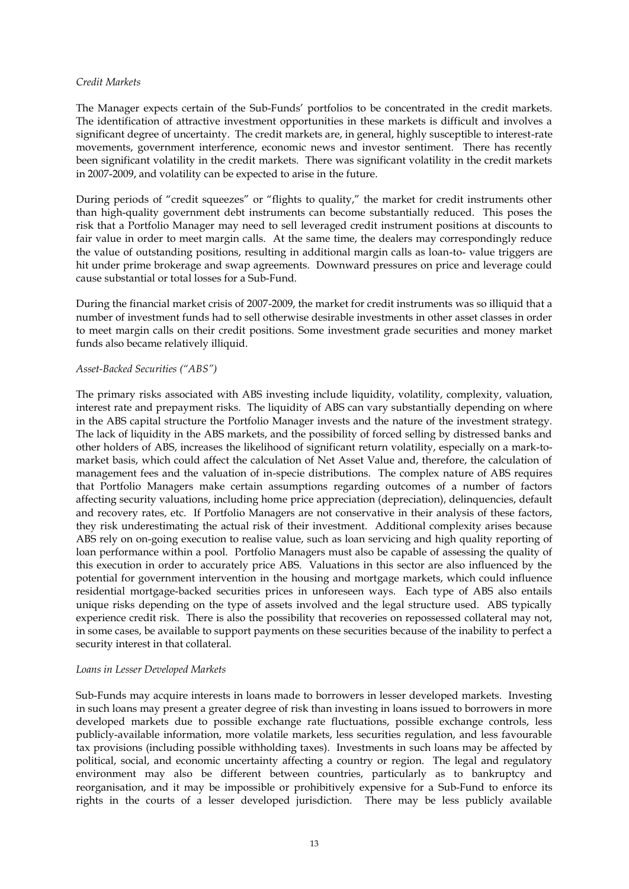#### *Credit Markets*

The Manager expects certain of the Sub-Funds' portfolios to be concentrated in the credit markets. The identification of attractive investment opportunities in these markets is difficult and involves a significant degree of uncertainty. The credit markets are, in general, highly susceptible to interest-rate movements, government interference, economic news and investor sentiment. There has recently been significant volatility in the credit markets. There was significant volatility in the credit markets in 2007-2009, and volatility can be expected to arise in the future.

During periods of "credit squeezes" or "flights to quality," the market for credit instruments other than high-quality government debt instruments can become substantially reduced. This poses the risk that a Portfolio Manager may need to sell leveraged credit instrument positions at discounts to fair value in order to meet margin calls. At the same time, the dealers may correspondingly reduce the value of outstanding positions, resulting in additional margin calls as loan-to- value triggers are hit under prime brokerage and swap agreements. Downward pressures on price and leverage could cause substantial or total losses for a Sub-Fund.

During the financial market crisis of 2007-2009, the market for credit instruments was so illiquid that a number of investment funds had to sell otherwise desirable investments in other asset classes in order to meet margin calls on their credit positions. Some investment grade securities and money market funds also became relatively illiquid.

#### *Asset-Backed Securities ("ABS")*

The primary risks associated with ABS investing include liquidity, volatility, complexity, valuation, interest rate and prepayment risks. The liquidity of ABS can vary substantially depending on where in the ABS capital structure the Portfolio Manager invests and the nature of the investment strategy. The lack of liquidity in the ABS markets, and the possibility of forced selling by distressed banks and other holders of ABS, increases the likelihood of significant return volatility, especially on a mark-tomarket basis, which could affect the calculation of Net Asset Value and, therefore, the calculation of management fees and the valuation of in-specie distributions. The complex nature of ABS requires that Portfolio Managers make certain assumptions regarding outcomes of a number of factors affecting security valuations, including home price appreciation (depreciation), delinquencies, default and recovery rates, etc. If Portfolio Managers are not conservative in their analysis of these factors, they risk underestimating the actual risk of their investment. Additional complexity arises because ABS rely on on-going execution to realise value, such as loan servicing and high quality reporting of loan performance within a pool. Portfolio Managers must also be capable of assessing the quality of this execution in order to accurately price ABS. Valuations in this sector are also influenced by the potential for government intervention in the housing and mortgage markets, which could influence residential mortgage-backed securities prices in unforeseen ways. Each type of ABS also entails unique risks depending on the type of assets involved and the legal structure used. ABS typically experience credit risk. There is also the possibility that recoveries on repossessed collateral may not, in some cases, be available to support payments on these securities because of the inability to perfect a security interest in that collateral.

#### *Loans in Lesser Developed Markets*

Sub-Funds may acquire interests in loans made to borrowers in lesser developed markets. Investing in such loans may present a greater degree of risk than investing in loans issued to borrowers in more developed markets due to possible exchange rate fluctuations, possible exchange controls, less publicly-available information, more volatile markets, less securities regulation, and less favourable tax provisions (including possible withholding taxes). Investments in such loans may be affected by political, social, and economic uncertainty affecting a country or region. The legal and regulatory environment may also be different between countries, particularly as to bankruptcy and reorganisation, and it may be impossible or prohibitively expensive for a Sub-Fund to enforce its rights in the courts of a lesser developed jurisdiction. There may be less publicly available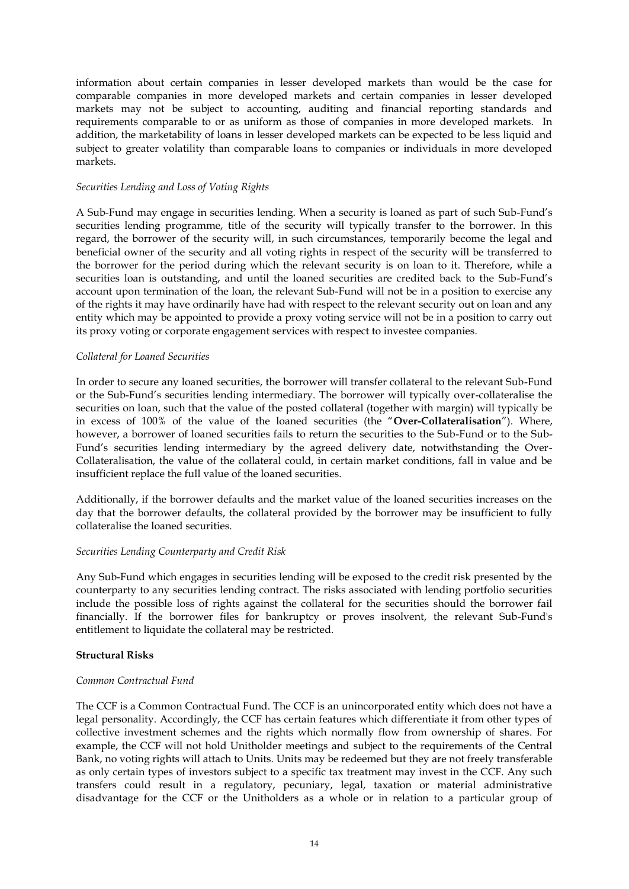information about certain companies in lesser developed markets than would be the case for comparable companies in more developed markets and certain companies in lesser developed markets may not be subject to accounting, auditing and financial reporting standards and requirements comparable to or as uniform as those of companies in more developed markets. In addition, the marketability of loans in lesser developed markets can be expected to be less liquid and subject to greater volatility than comparable loans to companies or individuals in more developed markets.

#### *Securities Lending and Loss of Voting Rights*

A Sub-Fund may engage in securities lending. When a security is loaned as part of such Sub-Fund's securities lending programme, title of the security will typically transfer to the borrower. In this regard, the borrower of the security will, in such circumstances, temporarily become the legal and beneficial owner of the security and all voting rights in respect of the security will be transferred to the borrower for the period during which the relevant security is on loan to it. Therefore, while a securities loan is outstanding, and until the loaned securities are credited back to the Sub-Fund's account upon termination of the loan, the relevant Sub-Fund will not be in a position to exercise any of the rights it may have ordinarily have had with respect to the relevant security out on loan and any entity which may be appointed to provide a proxy voting service will not be in a position to carry out its proxy voting or corporate engagement services with respect to investee companies.

## *Collateral for Loaned Securities*

In order to secure any loaned securities, the borrower will transfer collateral to the relevant Sub-Fund or the Sub-Fund's securities lending intermediary. The borrower will typically over-collateralise the securities on loan, such that the value of the posted collateral (together with margin) will typically be in excess of 100% of the value of the loaned securities (the "**Over-Collateralisation**"). Where, however, a borrower of loaned securities fails to return the securities to the Sub-Fund or to the Sub-Fund's securities lending intermediary by the agreed delivery date, notwithstanding the Over-Collateralisation, the value of the collateral could, in certain market conditions, fall in value and be insufficient replace the full value of the loaned securities.

Additionally, if the borrower defaults and the market value of the loaned securities increases on the day that the borrower defaults, the collateral provided by the borrower may be insufficient to fully collateralise the loaned securities.

# *Securities Lending Counterparty and Credit Risk*

Any Sub-Fund which engages in securities lending will be exposed to the credit risk presented by the counterparty to any securities lending contract. The risks associated with lending portfolio securities include the possible loss of rights against the collateral for the securities should the borrower fail financially. If the borrower files for bankruptcy or proves insolvent, the relevant Sub-Fund's entitlement to liquidate the collateral may be restricted.

# **Structural Risks**

#### *Common Contractual Fund*

The CCF is a Common Contractual Fund. The CCF is an unincorporated entity which does not have a legal personality. Accordingly, the CCF has certain features which differentiate it from other types of collective investment schemes and the rights which normally flow from ownership of shares. For example, the CCF will not hold Unitholder meetings and subject to the requirements of the Central Bank, no voting rights will attach to Units. Units may be redeemed but they are not freely transferable as only certain types of investors subject to a specific tax treatment may invest in the CCF. Any such transfers could result in a regulatory, pecuniary, legal, taxation or material administrative disadvantage for the CCF or the Unitholders as a whole or in relation to a particular group of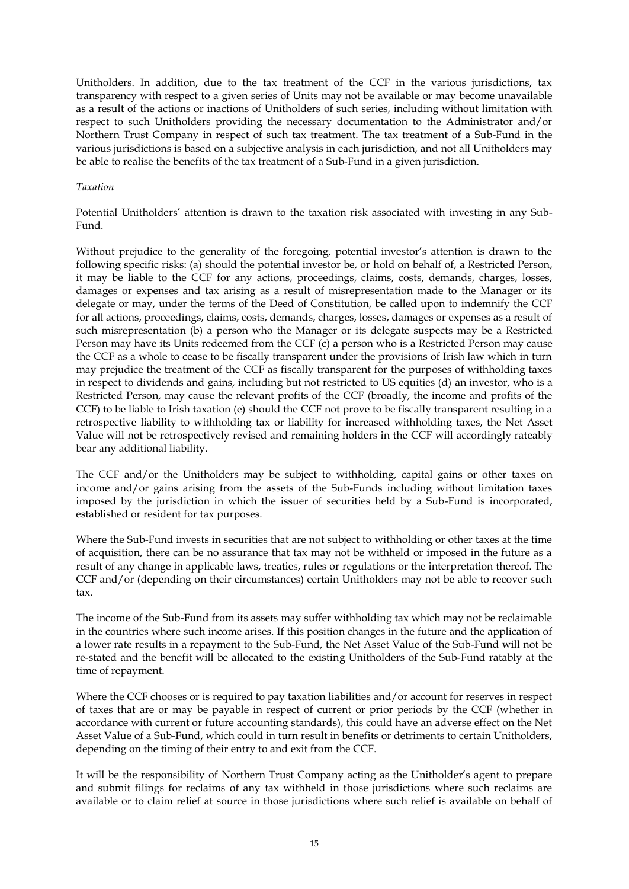Unitholders. In addition, due to the tax treatment of the CCF in the various jurisdictions, tax transparency with respect to a given series of Units may not be available or may become unavailable as a result of the actions or inactions of Unitholders of such series, including without limitation with respect to such Unitholders providing the necessary documentation to the Administrator and/or Northern Trust Company in respect of such tax treatment. The tax treatment of a Sub-Fund in the various jurisdictions is based on a subjective analysis in each jurisdiction, and not all Unitholders may be able to realise the benefits of the tax treatment of a Sub-Fund in a given jurisdiction.

#### *Taxation*

Potential Unitholders' attention is drawn to the taxation risk associated with investing in any Sub-Fund.

Without prejudice to the generality of the foregoing, potential investor's attention is drawn to the following specific risks: (a) should the potential investor be, or hold on behalf of, a Restricted Person, it may be liable to the CCF for any actions, proceedings, claims, costs, demands, charges, losses, damages or expenses and tax arising as a result of misrepresentation made to the Manager or its delegate or may, under the terms of the Deed of Constitution, be called upon to indemnify the CCF for all actions, proceedings, claims, costs, demands, charges, losses, damages or expenses as a result of such misrepresentation (b) a person who the Manager or its delegate suspects may be a Restricted Person may have its Units redeemed from the CCF (c) a person who is a Restricted Person may cause the CCF as a whole to cease to be fiscally transparent under the provisions of Irish law which in turn may prejudice the treatment of the CCF as fiscally transparent for the purposes of withholding taxes in respect to dividends and gains, including but not restricted to US equities (d) an investor, who is a Restricted Person, may cause the relevant profits of the CCF (broadly, the income and profits of the CCF) to be liable to Irish taxation (e) should the CCF not prove to be fiscally transparent resulting in a retrospective liability to withholding tax or liability for increased withholding taxes, the Net Asset Value will not be retrospectively revised and remaining holders in the CCF will accordingly rateably bear any additional liability.

The CCF and/or the Unitholders may be subject to withholding, capital gains or other taxes on income and/or gains arising from the assets of the Sub-Funds including without limitation taxes imposed by the jurisdiction in which the issuer of securities held by a Sub-Fund is incorporated, established or resident for tax purposes.

Where the Sub-Fund invests in securities that are not subject to withholding or other taxes at the time of acquisition, there can be no assurance that tax may not be withheld or imposed in the future as a result of any change in applicable laws, treaties, rules or regulations or the interpretation thereof. The CCF and/or (depending on their circumstances) certain Unitholders may not be able to recover such tax.

The income of the Sub-Fund from its assets may suffer withholding tax which may not be reclaimable in the countries where such income arises. If this position changes in the future and the application of a lower rate results in a repayment to the Sub-Fund, the Net Asset Value of the Sub-Fund will not be re-stated and the benefit will be allocated to the existing Unitholders of the Sub-Fund ratably at the time of repayment.

Where the CCF chooses or is required to pay taxation liabilities and/or account for reserves in respect of taxes that are or may be payable in respect of current or prior periods by the CCF (whether in accordance with current or future accounting standards), this could have an adverse effect on the Net Asset Value of a Sub-Fund, which could in turn result in benefits or detriments to certain Unitholders, depending on the timing of their entry to and exit from the CCF.

It will be the responsibility of Northern Trust Company acting as the Unitholder's agent to prepare and submit filings for reclaims of any tax withheld in those jurisdictions where such reclaims are available or to claim relief at source in those jurisdictions where such relief is available on behalf of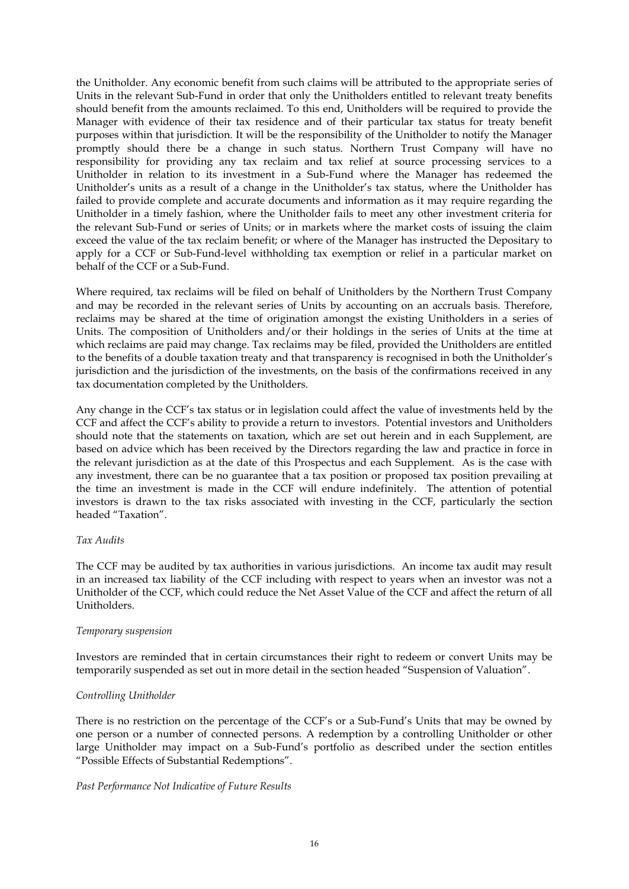the Unitholder. Any economic benefit from such claims will be attributed to the appropriate series of Units in the relevant Sub-Fund in order that only the Unitholders entitled to relevant treaty benefits should benefit from the amounts reclaimed. To this end, Unitholders will be required to provide the Manager with evidence of their tax residence and of their particular tax status for treaty benefit purposes within that jurisdiction. It will be the responsibility of the Unitholder to notify the Manager promptly should there be a change in such status. Northern Trust Company will have no responsibility for providing any tax reclaim and tax relief at source processing services to a Unitholder in relation to its investment in a Sub-Fund where the Manager has redeemed the Unitholder's units as a result of a change in the Unitholder's tax status, where the Unitholder has failed to provide complete and accurate documents and information as it may require regarding the Unitholder in a timely fashion, where the Unitholder fails to meet any other investment criteria for the relevant Sub-Fund or series of Units; or in markets where the market costs of issuing the claim exceed the value of the tax reclaim benefit; or where of the Manager has instructed the Depositary to apply for a CCF or Sub-Fund-level withholding tax exemption or relief in a particular market on behalf of the CCF or a Sub-Fund.

Where required, tax reclaims will be filed on behalf of Unitholders by the Northern Trust Company and may be recorded in the relevant series of Units by accounting on an accruals basis. Therefore, reclaims may be shared at the time of origination amongst the existing Unitholders in a series of Units. The composition of Unitholders and/or their holdings in the series of Units at the time at which reclaims are paid may change. Tax reclaims may be filed, provided the Unitholders are entitled to the benefits of a double taxation treaty and that transparency is recognised in both the Unitholder's jurisdiction and the jurisdiction of the investments, on the basis of the confirmations received in any tax documentation completed by the Unitholders.

Any change in the CCF's tax status or in legislation could affect the value of investments held by the CCF and affect the CCF's ability to provide a return to investors. Potential investors and Unitholders should note that the statements on taxation, which are set out herein and in each Supplement, are based on advice which has been received by the Directors regarding the law and practice in force in the relevant jurisdiction as at the date of this Prospectus and each Supplement. As is the case with any investment, there can be no guarantee that a tax position or proposed tax position prevailing at the time an investment is made in the CCF will endure indefinitely. The attention of potential investors is drawn to the tax risks associated with investing in the CCF, particularly the section headed "Taxation".

# *Tax Audits*

The CCF may be audited by tax authorities in various jurisdictions. An income tax audit may result in an increased tax liability of the CCF including with respect to years when an investor was not a Unitholder of the CCF, which could reduce the Net Asset Value of the CCF and affect the return of all Unitholders.

#### *Temporary suspension*

Investors are reminded that in certain circumstances their right to redeem or convert Units may be temporarily suspended as set out in more detail in the section headed "Suspension of Valuation".

# *Controlling Unitholder*

There is no restriction on the percentage of the CCF's or a Sub-Fund's Units that may be owned by one person or a number of connected persons. A redemption by a controlling Unitholder or other large Unitholder may impact on a Sub-Fund's portfolio as described under the section entitles "Possible Effects of Substantial Redemptions".

#### *Past Performance Not Indicative of Future Results*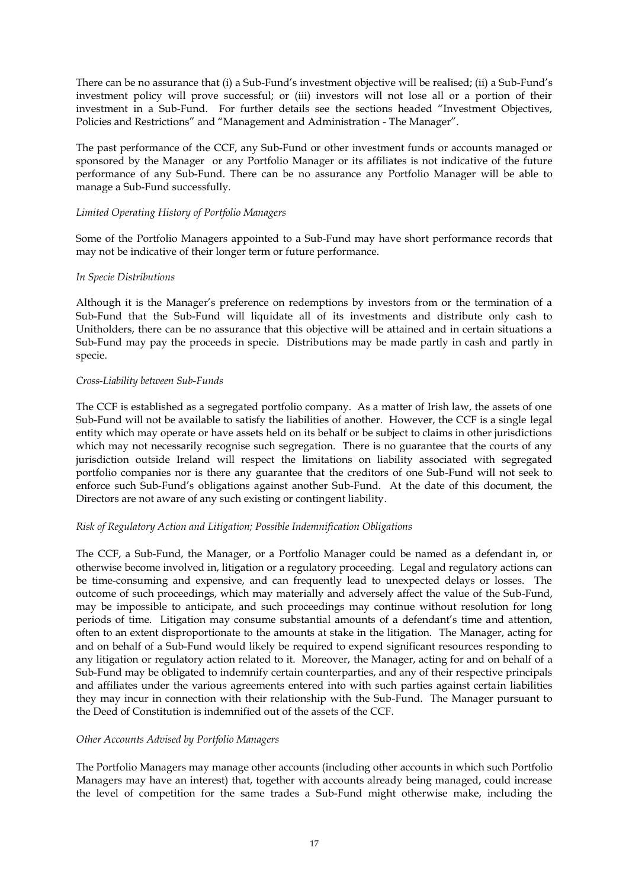There can be no assurance that (i) a Sub-Fund's investment objective will be realised; (ii) a Sub-Fund's investment policy will prove successful; or (iii) investors will not lose all or a portion of their investment in a Sub-Fund. For further details see the sections headed "Investment Objectives, Policies and Restrictions" and "Management and Administration - The Manager".

The past performance of the CCF, any Sub-Fund or other investment funds or accounts managed or sponsored by the Manager or any Portfolio Manager or its affiliates is not indicative of the future performance of any Sub-Fund. There can be no assurance any Portfolio Manager will be able to manage a Sub-Fund successfully.

# *Limited Operating History of Portfolio Managers*

Some of the Portfolio Managers appointed to a Sub-Fund may have short performance records that may not be indicative of their longer term or future performance.

## *In Specie Distributions*

Although it is the Manager's preference on redemptions by investors from or the termination of a Sub-Fund that the Sub-Fund will liquidate all of its investments and distribute only cash to Unitholders, there can be no assurance that this objective will be attained and in certain situations a Sub-Fund may pay the proceeds in specie. Distributions may be made partly in cash and partly in specie.

## *Cross-Liability between Sub*-*Funds*

The CCF is established as a segregated portfolio company. As a matter of Irish law, the assets of one Sub-Fund will not be available to satisfy the liabilities of another. However, the CCF is a single legal entity which may operate or have assets held on its behalf or be subject to claims in other jurisdictions which may not necessarily recognise such segregation. There is no guarantee that the courts of any jurisdiction outside Ireland will respect the limitations on liability associated with segregated portfolio companies nor is there any guarantee that the creditors of one Sub-Fund will not seek to enforce such Sub-Fund's obligations against another Sub-Fund. At the date of this document, the Directors are not aware of any such existing or contingent liability.

#### *Risk of Regulatory Action and Litigation; Possible Indemnification Obligations*

The CCF, a Sub-Fund, the Manager, or a Portfolio Manager could be named as a defendant in, or otherwise become involved in, litigation or a regulatory proceeding. Legal and regulatory actions can be time-consuming and expensive, and can frequently lead to unexpected delays or losses. The outcome of such proceedings, which may materially and adversely affect the value of the Sub-Fund, may be impossible to anticipate, and such proceedings may continue without resolution for long periods of time. Litigation may consume substantial amounts of a defendant's time and attention, often to an extent disproportionate to the amounts at stake in the litigation. The Manager, acting for and on behalf of a Sub-Fund would likely be required to expend significant resources responding to any litigation or regulatory action related to it. Moreover, the Manager, acting for and on behalf of a Sub-Fund may be obligated to indemnify certain counterparties, and any of their respective principals and affiliates under the various agreements entered into with such parties against certain liabilities they may incur in connection with their relationship with the Sub-Fund. The Manager pursuant to the Deed of Constitution is indemnified out of the assets of the CCF.

# *Other Accounts Advised by Portfolio Managers*

The Portfolio Managers may manage other accounts (including other accounts in which such Portfolio Managers may have an interest) that, together with accounts already being managed, could increase the level of competition for the same trades a Sub-Fund might otherwise make, including the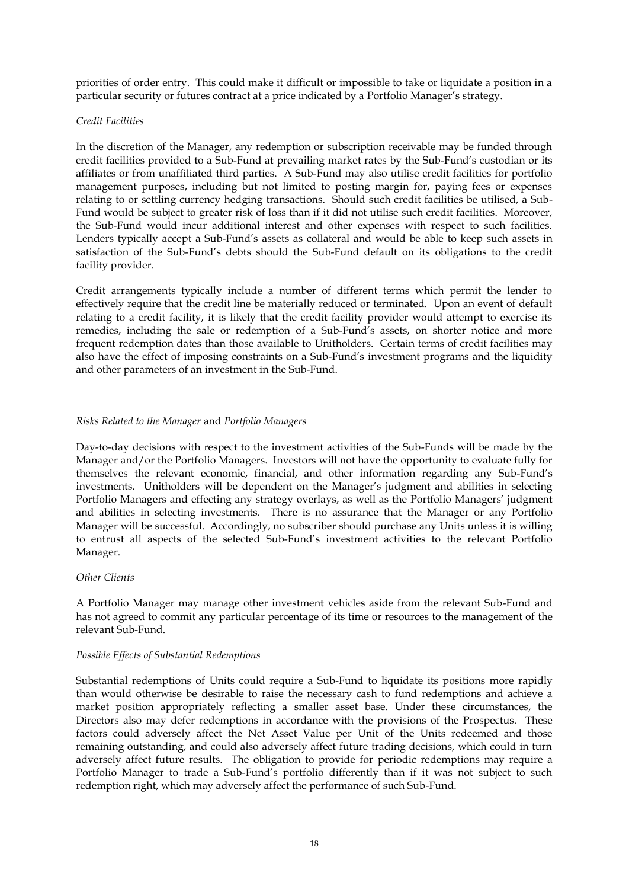priorities of order entry. This could make it difficult or impossible to take or liquidate a position in a particular security or futures contract at a price indicated by a Portfolio Manager's strategy.

#### *Credit Facilities*

In the discretion of the Manager, any redemption or subscription receivable may be funded through credit facilities provided to a Sub-Fund at prevailing market rates by the Sub-Fund's custodian or its affiliates or from unaffiliated third parties. A Sub-Fund may also utilise credit facilities for portfolio management purposes, including but not limited to posting margin for, paying fees or expenses relating to or settling currency hedging transactions. Should such credit facilities be utilised, a Sub-Fund would be subject to greater risk of loss than if it did not utilise such credit facilities. Moreover, the Sub-Fund would incur additional interest and other expenses with respect to such facilities. Lenders typically accept a Sub-Fund's assets as collateral and would be able to keep such assets in satisfaction of the Sub-Fund's debts should the Sub-Fund default on its obligations to the credit facility provider.

Credit arrangements typically include a number of different terms which permit the lender to effectively require that the credit line be materially reduced or terminated. Upon an event of default relating to a credit facility, it is likely that the credit facility provider would attempt to exercise its remedies, including the sale or redemption of a Sub-Fund's assets, on shorter notice and more frequent redemption dates than those available to Unitholders. Certain terms of credit facilities may also have the effect of imposing constraints on a Sub-Fund's investment programs and the liquidity and other parameters of an investment in the Sub-Fund.

## *Risks Related to the Manager* and *Portfolio Managers*

Day-to-day decisions with respect to the investment activities of the Sub-Funds will be made by the Manager and/or the Portfolio Managers. Investors will not have the opportunity to evaluate fully for themselves the relevant economic, financial, and other information regarding any Sub-Fund's investments. Unitholders will be dependent on the Manager's judgment and abilities in selecting Portfolio Managers and effecting any strategy overlays, as well as the Portfolio Managers' judgment and abilities in selecting investments. There is no assurance that the Manager or any Portfolio Manager will be successful. Accordingly, no subscriber should purchase any Units unless it is willing to entrust all aspects of the selected Sub-Fund's investment activities to the relevant Portfolio Manager.

#### *Other Clients*

A Portfolio Manager may manage other investment vehicles aside from the relevant Sub-Fund and has not agreed to commit any particular percentage of its time or resources to the management of the relevant Sub-Fund.

#### *Possible Effects of Substantial Redemptions*

Substantial redemptions of Units could require a Sub-Fund to liquidate its positions more rapidly than would otherwise be desirable to raise the necessary cash to fund redemptions and achieve a market position appropriately reflecting a smaller asset base. Under these circumstances, the Directors also may defer redemptions in accordance with the provisions of the Prospectus. These factors could adversely affect the Net Asset Value per Unit of the Units redeemed and those remaining outstanding, and could also adversely affect future trading decisions, which could in turn adversely affect future results. The obligation to provide for periodic redemptions may require a Portfolio Manager to trade a Sub-Fund's portfolio differently than if it was not subject to such redemption right, which may adversely affect the performance of such Sub-Fund.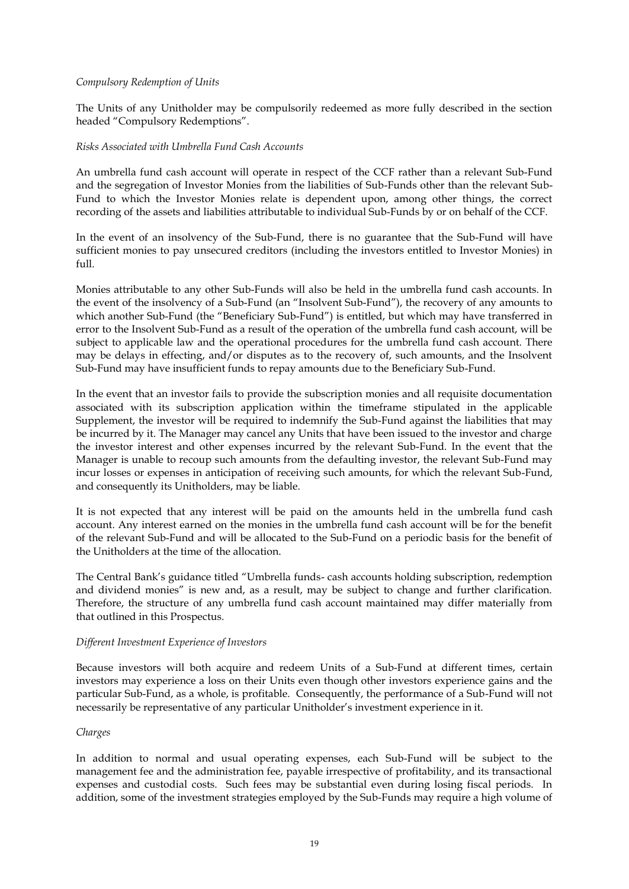### *Compulsory Redemption of Units*

The Units of any Unitholder may be compulsorily redeemed as more fully described in the section headed "Compulsory Redemptions".

#### *Risks Associated with Umbrella Fund Cash Accounts*

An umbrella fund cash account will operate in respect of the CCF rather than a relevant Sub-Fund and the segregation of Investor Monies from the liabilities of Sub-Funds other than the relevant Sub-Fund to which the Investor Monies relate is dependent upon, among other things, the correct recording of the assets and liabilities attributable to individual Sub-Funds by or on behalf of the CCF.

In the event of an insolvency of the Sub-Fund, there is no guarantee that the Sub-Fund will have sufficient monies to pay unsecured creditors (including the investors entitled to Investor Monies) in full.

Monies attributable to any other Sub-Funds will also be held in the umbrella fund cash accounts. In the event of the insolvency of a Sub-Fund (an "Insolvent Sub-Fund"), the recovery of any amounts to which another Sub-Fund (the "Beneficiary Sub-Fund") is entitled, but which may have transferred in error to the Insolvent Sub-Fund as a result of the operation of the umbrella fund cash account, will be subject to applicable law and the operational procedures for the umbrella fund cash account. There may be delays in effecting, and/or disputes as to the recovery of, such amounts, and the Insolvent Sub-Fund may have insufficient funds to repay amounts due to the Beneficiary Sub-Fund.

In the event that an investor fails to provide the subscription monies and all requisite documentation associated with its subscription application within the timeframe stipulated in the applicable Supplement, the investor will be required to indemnify the Sub-Fund against the liabilities that may be incurred by it. The Manager may cancel any Units that have been issued to the investor and charge the investor interest and other expenses incurred by the relevant Sub-Fund. In the event that the Manager is unable to recoup such amounts from the defaulting investor, the relevant Sub-Fund may incur losses or expenses in anticipation of receiving such amounts, for which the relevant Sub-Fund, and consequently its Unitholders, may be liable.

It is not expected that any interest will be paid on the amounts held in the umbrella fund cash account. Any interest earned on the monies in the umbrella fund cash account will be for the benefit of the relevant Sub-Fund and will be allocated to the Sub-Fund on a periodic basis for the benefit of the Unitholders at the time of the allocation.

The Central Bank's guidance titled "Umbrella funds- cash accounts holding subscription, redemption and dividend monies" is new and, as a result, may be subject to change and further clarification. Therefore, the structure of any umbrella fund cash account maintained may differ materially from that outlined in this Prospectus.

#### *Different Investment Experience of Investors*

Because investors will both acquire and redeem Units of a Sub-Fund at different times, certain investors may experience a loss on their Units even though other investors experience gains and the particular Sub-Fund, as a whole, is profitable. Consequently, the performance of a Sub-Fund will not necessarily be representative of any particular Unitholder's investment experience in it.

#### *Charges*

In addition to normal and usual operating expenses, each Sub-Fund will be subject to the management fee and the administration fee, payable irrespective of profitability, and its transactional expenses and custodial costs. Such fees may be substantial even during losing fiscal periods. In addition, some of the investment strategies employed by the Sub-Funds may require a high volume of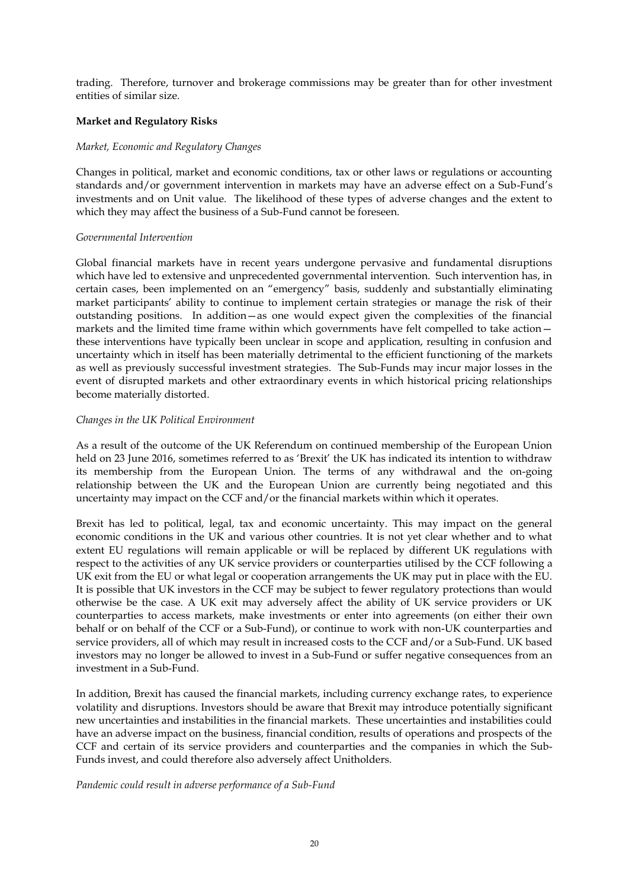trading. Therefore, turnover and brokerage commissions may be greater than for other investment entities of similar size.

# **Market and Regulatory Risks**

#### *Market, Economic and Regulatory Changes*

Changes in political, market and economic conditions, tax or other laws or regulations or accounting standards and/or government intervention in markets may have an adverse effect on a Sub-Fund's investments and on Unit value. The likelihood of these types of adverse changes and the extent to which they may affect the business of a Sub-Fund cannot be foreseen.

#### *Governmental Intervention*

Global financial markets have in recent years undergone pervasive and fundamental disruptions which have led to extensive and unprecedented governmental intervention. Such intervention has, in certain cases, been implemented on an "emergency" basis, suddenly and substantially eliminating market participants' ability to continue to implement certain strategies or manage the risk of their outstanding positions. In addition—as one would expect given the complexities of the financial markets and the limited time frame within which governments have felt compelled to take action these interventions have typically been unclear in scope and application, resulting in confusion and uncertainty which in itself has been materially detrimental to the efficient functioning of the markets as well as previously successful investment strategies. The Sub-Funds may incur major losses in the event of disrupted markets and other extraordinary events in which historical pricing relationships become materially distorted.

## *Changes in the UK Political Environment*

As a result of the outcome of the UK Referendum on continued membership of the European Union held on 23 June 2016, sometimes referred to as 'Brexit' the UK has indicated its intention to withdraw its membership from the European Union. The terms of any withdrawal and the on-going relationship between the UK and the European Union are currently being negotiated and this uncertainty may impact on the CCF and/or the financial markets within which it operates.

Brexit has led to political, legal, tax and economic uncertainty. This may impact on the general economic conditions in the UK and various other countries. It is not yet clear whether and to what extent EU regulations will remain applicable or will be replaced by different UK regulations with respect to the activities of any UK service providers or counterparties utilised by the CCF following a UK exit from the EU or what legal or cooperation arrangements the UK may put in place with the EU. It is possible that UK investors in the CCF may be subject to fewer regulatory protections than would otherwise be the case. A UK exit may adversely affect the ability of UK service providers or UK counterparties to access markets, make investments or enter into agreements (on either their own behalf or on behalf of the CCF or a Sub-Fund), or continue to work with non-UK counterparties and service providers, all of which may result in increased costs to the CCF and/or a Sub-Fund. UK based investors may no longer be allowed to invest in a Sub-Fund or suffer negative consequences from an investment in a Sub-Fund.

In addition, Brexit has caused the financial markets, including currency exchange rates, to experience volatility and disruptions. Investors should be aware that Brexit may introduce potentially significant new uncertainties and instabilities in the financial markets. These uncertainties and instabilities could have an adverse impact on the business, financial condition, results of operations and prospects of the CCF and certain of its service providers and counterparties and the companies in which the Sub-Funds invest, and could therefore also adversely affect Unitholders.

#### *Pandemic could result in adverse performance of a Sub-Fund*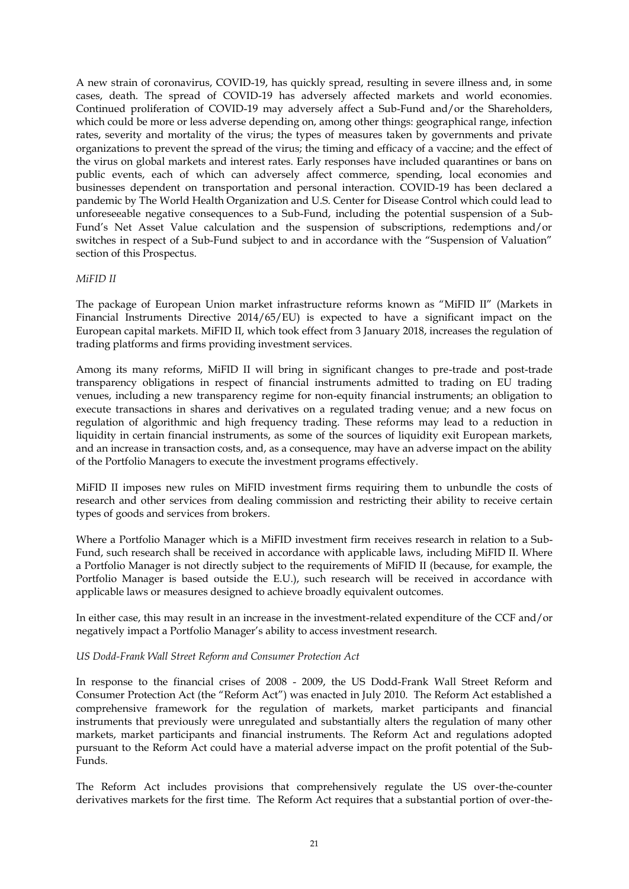A new strain of coronavirus, COVID-19, has quickly spread, resulting in severe illness and, in some cases, death. The spread of COVID-19 has adversely affected markets and world economies. Continued proliferation of COVID-19 may adversely affect a Sub-Fund and/or the Shareholders, which could be more or less adverse depending on, among other things: geographical range, infection rates, severity and mortality of the virus; the types of measures taken by governments and private organizations to prevent the spread of the virus; the timing and efficacy of a vaccine; and the effect of the virus on global markets and interest rates. Early responses have included quarantines or bans on public events, each of which can adversely affect commerce, spending, local economies and businesses dependent on transportation and personal interaction. COVID-19 has been declared a pandemic by The World Health Organization and U.S. Center for Disease Control which could lead to unforeseeable negative consequences to a Sub-Fund, including the potential suspension of a Sub-Fund's Net Asset Value calculation and the suspension of subscriptions, redemptions and/or switches in respect of a Sub-Fund subject to and in accordance with the "Suspension of Valuation" section of this Prospectus.

#### *MiFID II*

The package of European Union market infrastructure reforms known as "MiFID II" (Markets in Financial Instruments Directive 2014/65/EU) is expected to have a significant impact on the European capital markets. MiFID II, which took effect from 3 January 2018, increases the regulation of trading platforms and firms providing investment services.

Among its many reforms, MiFID II will bring in significant changes to pre-trade and post-trade transparency obligations in respect of financial instruments admitted to trading on EU trading venues, including a new transparency regime for non-equity financial instruments; an obligation to execute transactions in shares and derivatives on a regulated trading venue; and a new focus on regulation of algorithmic and high frequency trading. These reforms may lead to a reduction in liquidity in certain financial instruments, as some of the sources of liquidity exit European markets, and an increase in transaction costs, and, as a consequence, may have an adverse impact on the ability of the Portfolio Managers to execute the investment programs effectively.

MiFID II imposes new rules on MiFID investment firms requiring them to unbundle the costs of research and other services from dealing commission and restricting their ability to receive certain types of goods and services from brokers.

Where a Portfolio Manager which is a MiFID investment firm receives research in relation to a Sub-Fund, such research shall be received in accordance with applicable laws, including MiFID II. Where a Portfolio Manager is not directly subject to the requirements of MiFID II (because, for example, the Portfolio Manager is based outside the E.U.), such research will be received in accordance with applicable laws or measures designed to achieve broadly equivalent outcomes.

In either case, this may result in an increase in the investment-related expenditure of the CCF and/or negatively impact a Portfolio Manager's ability to access investment research.

#### *US Dodd-Frank Wall Street Reform and Consumer Protection Act*

In response to the financial crises of 2008 - 2009, the US Dodd-Frank Wall Street Reform and Consumer Protection Act (the "Reform Act") was enacted in July 2010. The Reform Act established a comprehensive framework for the regulation of markets, market participants and financial instruments that previously were unregulated and substantially alters the regulation of many other markets, market participants and financial instruments. The Reform Act and regulations adopted pursuant to the Reform Act could have a material adverse impact on the profit potential of the Sub-Funds.

The Reform Act includes provisions that comprehensively regulate the US over-the-counter derivatives markets for the first time. The Reform Act requires that a substantial portion of over-the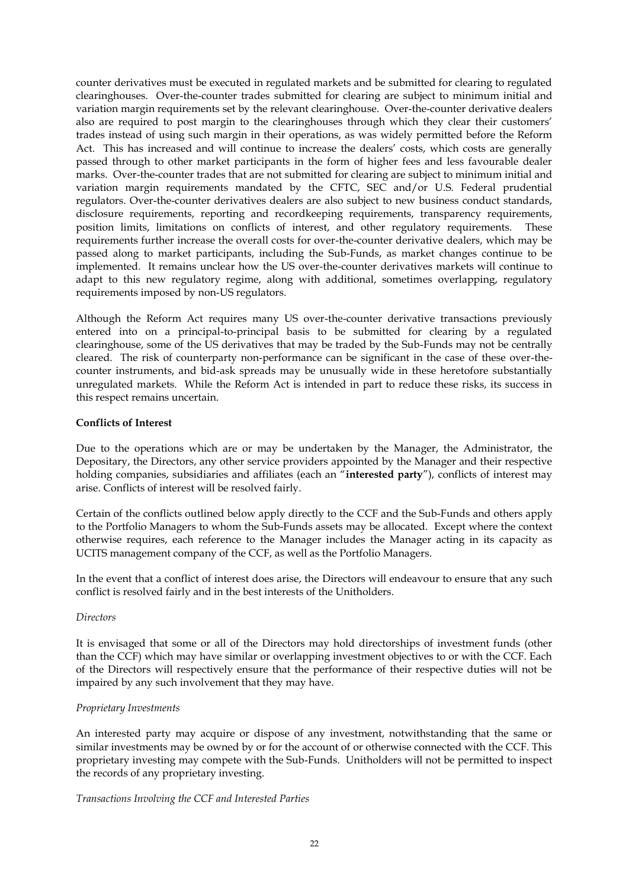counter derivatives must be executed in regulated markets and be submitted for clearing to regulated clearinghouses. Over-the-counter trades submitted for clearing are subject to minimum initial and variation margin requirements set by the relevant clearinghouse. Over-the-counter derivative dealers also are required to post margin to the clearinghouses through which they clear their customers' trades instead of using such margin in their operations, as was widely permitted before the Reform Act. This has increased and will continue to increase the dealers' costs, which costs are generally passed through to other market participants in the form of higher fees and less favourable dealer marks. Over-the-counter trades that are not submitted for clearing are subject to minimum initial and variation margin requirements mandated by the CFTC, SEC and/or U.S. Federal prudential regulators. Over-the-counter derivatives dealers are also subject to new business conduct standards, disclosure requirements, reporting and recordkeeping requirements, transparency requirements, position limits, limitations on conflicts of interest, and other regulatory requirements. These requirements further increase the overall costs for over-the-counter derivative dealers, which may be passed along to market participants, including the Sub-Funds, as market changes continue to be implemented. It remains unclear how the US over-the-counter derivatives markets will continue to adapt to this new regulatory regime, along with additional, sometimes overlapping, regulatory requirements imposed by non-US regulators.

Although the Reform Act requires many US over-the-counter derivative transactions previously entered into on a principal-to-principal basis to be submitted for clearing by a regulated clearinghouse, some of the US derivatives that may be traded by the Sub-Funds may not be centrally cleared. The risk of counterparty non-performance can be significant in the case of these over-thecounter instruments, and bid-ask spreads may be unusually wide in these heretofore substantially unregulated markets. While the Reform Act is intended in part to reduce these risks, its success in this respect remains uncertain.

# **Conflicts of Interest**

Due to the operations which are or may be undertaken by the Manager, the Administrator, the Depositary, the Directors, any other service providers appointed by the Manager and their respective holding companies, subsidiaries and affiliates (each an "**interested party**"), conflicts of interest may arise. Conflicts of interest will be resolved fairly.

Certain of the conflicts outlined below apply directly to the CCF and the Sub-Funds and others apply to the Portfolio Managers to whom the Sub-Funds assets may be allocated. Except where the context otherwise requires, each reference to the Manager includes the Manager acting in its capacity as UCITS management company of the CCF, as well as the Portfolio Managers.

In the event that a conflict of interest does arise, the Directors will endeavour to ensure that any such conflict is resolved fairly and in the best interests of the Unitholders.

#### *Directors*

It is envisaged that some or all of the Directors may hold directorships of investment funds (other than the CCF) which may have similar or overlapping investment objectives to or with the CCF. Each of the Directors will respectively ensure that the performance of their respective duties will not be impaired by any such involvement that they may have.

#### *Proprietary Investments*

An interested party may acquire or dispose of any investment, notwithstanding that the same or similar investments may be owned by or for the account of or otherwise connected with the CCF. This proprietary investing may compete with the Sub-Funds. Unitholders will not be permitted to inspect the records of any proprietary investing.

#### *Transactions Involving the CCF and Interested Parties*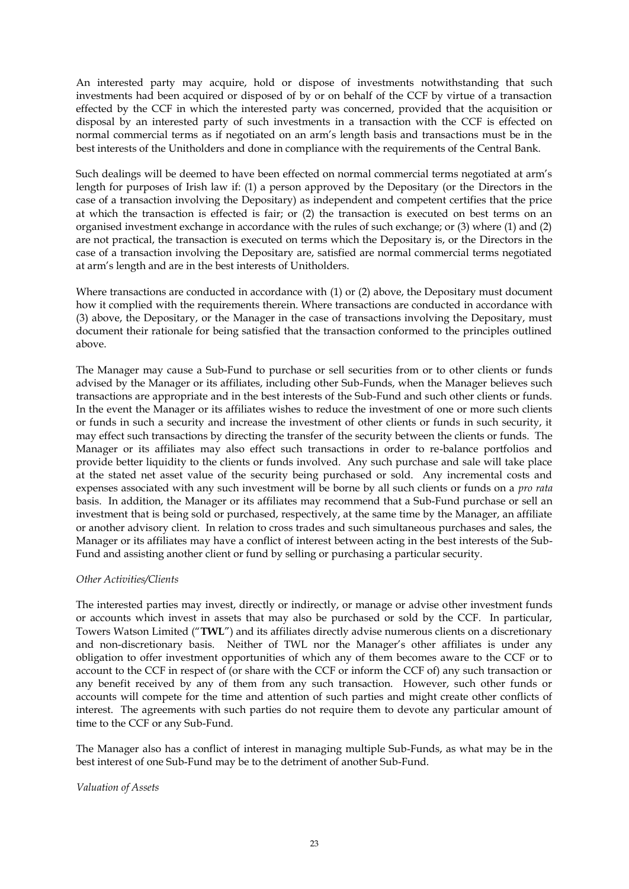An interested party may acquire, hold or dispose of investments notwithstanding that such investments had been acquired or disposed of by or on behalf of the CCF by virtue of a transaction effected by the CCF in which the interested party was concerned, provided that the acquisition or disposal by an interested party of such investments in a transaction with the CCF is effected on normal commercial terms as if negotiated on an arm's length basis and transactions must be in the best interests of the Unitholders and done in compliance with the requirements of the Central Bank.

Such dealings will be deemed to have been effected on normal commercial terms negotiated at arm's length for purposes of Irish law if: (1) a person approved by the Depositary (or the Directors in the case of a transaction involving the Depositary) as independent and competent certifies that the price at which the transaction is effected is fair; or (2) the transaction is executed on best terms on an organised investment exchange in accordance with the rules of such exchange; or (3) where (1) and (2) are not practical, the transaction is executed on terms which the Depositary is, or the Directors in the case of a transaction involving the Depositary are, satisfied are normal commercial terms negotiated at arm's length and are in the best interests of Unitholders.

Where transactions are conducted in accordance with (1) or (2) above, the Depositary must document how it complied with the requirements therein. Where transactions are conducted in accordance with (3) above, the Depositary, or the Manager in the case of transactions involving the Depositary, must document their rationale for being satisfied that the transaction conformed to the principles outlined above.

The Manager may cause a Sub-Fund to purchase or sell securities from or to other clients or funds advised by the Manager or its affiliates, including other Sub-Funds, when the Manager believes such transactions are appropriate and in the best interests of the Sub-Fund and such other clients or funds. In the event the Manager or its affiliates wishes to reduce the investment of one or more such clients or funds in such a security and increase the investment of other clients or funds in such security, it may effect such transactions by directing the transfer of the security between the clients or funds. The Manager or its affiliates may also effect such transactions in order to re-balance portfolios and provide better liquidity to the clients or funds involved. Any such purchase and sale will take place at the stated net asset value of the security being purchased or sold. Any incremental costs and expenses associated with any such investment will be borne by all such clients or funds on a *pro rata* basis. In addition, the Manager or its affiliates may recommend that a Sub-Fund purchase or sell an investment that is being sold or purchased, respectively, at the same time by the Manager, an affiliate or another advisory client. In relation to cross trades and such simultaneous purchases and sales, the Manager or its affiliates may have a conflict of interest between acting in the best interests of the Sub-Fund and assisting another client or fund by selling or purchasing a particular security.

#### *Other Activities/Clients*

The interested parties may invest, directly or indirectly, or manage or advise other investment funds or accounts which invest in assets that may also be purchased or sold by the CCF. In particular, Towers Watson Limited ("**TWL**") and its affiliates directly advise numerous clients on a discretionary and non-discretionary basis. Neither of TWL nor the Manager's other affiliates is under any obligation to offer investment opportunities of which any of them becomes aware to the CCF or to account to the CCF in respect of (or share with the CCF or inform the CCF of) any such transaction or any benefit received by any of them from any such transaction. However, such other funds or accounts will compete for the time and attention of such parties and might create other conflicts of interest. The agreements with such parties do not require them to devote any particular amount of time to the CCF or any Sub-Fund.

The Manager also has a conflict of interest in managing multiple Sub-Funds, as what may be in the best interest of one Sub-Fund may be to the detriment of another Sub-Fund.

*Valuation of Assets*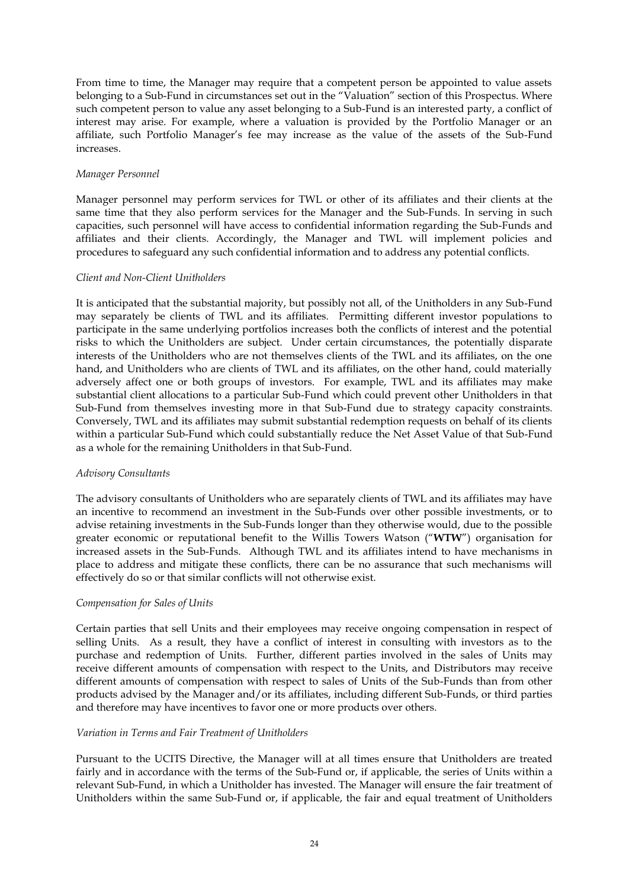From time to time, the Manager may require that a competent person be appointed to value assets belonging to a Sub-Fund in circumstances set out in the "Valuation" section of this Prospectus. Where such competent person to value any asset belonging to a Sub-Fund is an interested party, a conflict of interest may arise. For example, where a valuation is provided by the Portfolio Manager or an affiliate, such Portfolio Manager's fee may increase as the value of the assets of the Sub-Fund increases.

#### *Manager Personnel*

Manager personnel may perform services for TWL or other of its affiliates and their clients at the same time that they also perform services for the Manager and the Sub-Funds. In serving in such capacities, such personnel will have access to confidential information regarding the Sub-Funds and affiliates and their clients. Accordingly, the Manager and TWL will implement policies and procedures to safeguard any such confidential information and to address any potential conflicts.

# *Client and Non-Client Unitholders*

It is anticipated that the substantial majority, but possibly not all, of the Unitholders in any Sub-Fund may separately be clients of TWL and its affiliates. Permitting different investor populations to participate in the same underlying portfolios increases both the conflicts of interest and the potential risks to which the Unitholders are subject. Under certain circumstances, the potentially disparate interests of the Unitholders who are not themselves clients of the TWL and its affiliates, on the one hand, and Unitholders who are clients of TWL and its affiliates, on the other hand, could materially adversely affect one or both groups of investors. For example, TWL and its affiliates may make substantial client allocations to a particular Sub-Fund which could prevent other Unitholders in that Sub-Fund from themselves investing more in that Sub-Fund due to strategy capacity constraints. Conversely, TWL and its affiliates may submit substantial redemption requests on behalf of its clients within a particular Sub-Fund which could substantially reduce the Net Asset Value of that Sub-Fund as a whole for the remaining Unitholders in that Sub-Fund.

# *Advisory Consultants*

The advisory consultants of Unitholders who are separately clients of TWL and its affiliates may have an incentive to recommend an investment in the Sub-Funds over other possible investments, or to advise retaining investments in the Sub-Funds longer than they otherwise would, due to the possible greater economic or reputational benefit to the Willis Towers Watson ("**WTW**") organisation for increased assets in the Sub-Funds. Although TWL and its affiliates intend to have mechanisms in place to address and mitigate these conflicts, there can be no assurance that such mechanisms will effectively do so or that similar conflicts will not otherwise exist.

# *Compensation for Sales of Units*

Certain parties that sell Units and their employees may receive ongoing compensation in respect of selling Units. As a result, they have a conflict of interest in consulting with investors as to the purchase and redemption of Units. Further, different parties involved in the sales of Units may receive different amounts of compensation with respect to the Units, and Distributors may receive different amounts of compensation with respect to sales of Units of the Sub-Funds than from other products advised by the Manager and/or its affiliates, including different Sub-Funds, or third parties and therefore may have incentives to favor one or more products over others.

#### *Variation in Terms and Fair Treatment of Unitholders*

Pursuant to the UCITS Directive, the Manager will at all times ensure that Unitholders are treated fairly and in accordance with the terms of the Sub-Fund or, if applicable, the series of Units within a relevant Sub-Fund, in which a Unitholder has invested. The Manager will ensure the fair treatment of Unitholders within the same Sub-Fund or, if applicable, the fair and equal treatment of Unitholders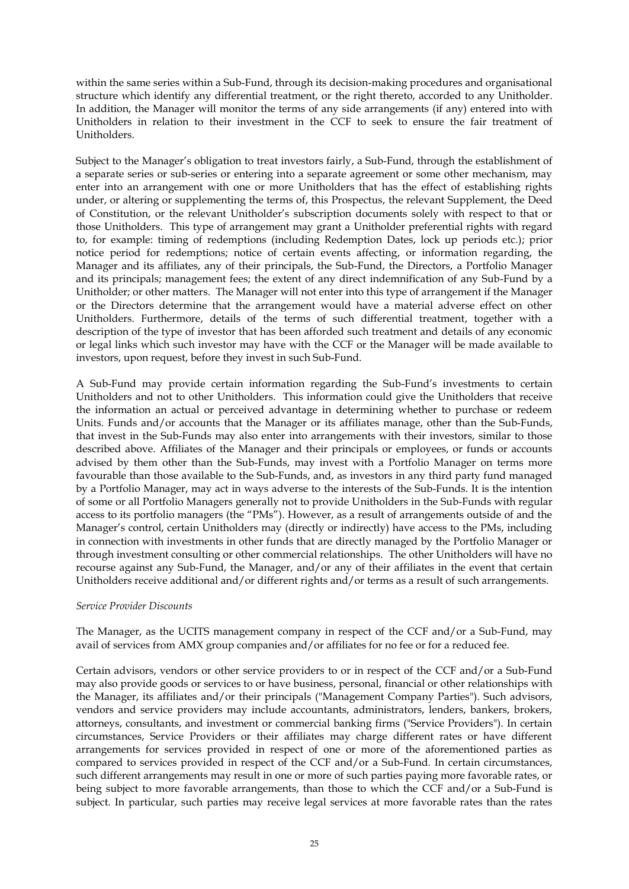within the same series within a Sub-Fund, through its decision-making procedures and organisational structure which identify any differential treatment, or the right thereto, accorded to any Unitholder. In addition, the Manager will monitor the terms of any side arrangements (if any) entered into with Unitholders in relation to their investment in the CCF to seek to ensure the fair treatment of Unitholders.

Subject to the Manager's obligation to treat investors fairly, a Sub-Fund, through the establishment of a separate series or sub-series or entering into a separate agreement or some other mechanism, may enter into an arrangement with one or more Unitholders that has the effect of establishing rights under, or altering or supplementing the terms of, this Prospectus, the relevant Supplement, the Deed of Constitution, or the relevant Unitholder's subscription documents solely with respect to that or those Unitholders. This type of arrangement may grant a Unitholder preferential rights with regard to, for example: timing of redemptions (including Redemption Dates, lock up periods etc.); prior notice period for redemptions; notice of certain events affecting, or information regarding, the Manager and its affiliates, any of their principals, the Sub-Fund, the Directors, a Portfolio Manager and its principals; management fees; the extent of any direct indemnification of any Sub-Fund by a Unitholder; or other matters. The Manager will not enter into this type of arrangement if the Manager or the Directors determine that the arrangement would have a material adverse effect on other Unitholders. Furthermore, details of the terms of such differential treatment, together with a description of the type of investor that has been afforded such treatment and details of any economic or legal links which such investor may have with the CCF or the Manager will be made available to investors, upon request, before they invest in such Sub-Fund.

A Sub-Fund may provide certain information regarding the Sub-Fund's investments to certain Unitholders and not to other Unitholders. This information could give the Unitholders that receive the information an actual or perceived advantage in determining whether to purchase or redeem Units. Funds and/or accounts that the Manager or its affiliates manage, other than the Sub-Funds, that invest in the Sub-Funds may also enter into arrangements with their investors, similar to those described above. Affiliates of the Manager and their principals or employees, or funds or accounts advised by them other than the Sub-Funds, may invest with a Portfolio Manager on terms more favourable than those available to the Sub-Funds, and, as investors in any third party fund managed by a Portfolio Manager, may act in ways adverse to the interests of the Sub-Funds. It is the intention of some or all Portfolio Managers generally not to provide Unitholders in the Sub-Funds with regular access to its portfolio managers (the "PMs"). However, as a result of arrangements outside of and the Manager's control, certain Unitholders may (directly or indirectly) have access to the PMs, including in connection with investments in other funds that are directly managed by the Portfolio Manager or through investment consulting or other commercial relationships. The other Unitholders will have no recourse against any Sub-Fund, the Manager, and/or any of their affiliates in the event that certain Unitholders receive additional and/or different rights and/or terms as a result of such arrangements.

#### *Service Provider Discounts*

The Manager, as the UCITS management company in respect of the CCF and/or a Sub-Fund, may avail of services from AMX group companies and/or affiliates for no fee or for a reduced fee.

Certain advisors, vendors or other service providers to or in respect of the CCF and/or a Sub-Fund may also provide goods or services to or have business, personal, financial or other relationships with the Manager, its affiliates and/or their principals ("Management Company Parties"). Such advisors, vendors and service providers may include accountants, administrators, lenders, bankers, brokers, attorneys, consultants, and investment or commercial banking firms ("Service Providers"). In certain circumstances, Service Providers or their affiliates may charge different rates or have different arrangements for services provided in respect of one or more of the aforementioned parties as compared to services provided in respect of the CCF and/or a Sub-Fund. In certain circumstances, such different arrangements may result in one or more of such parties paying more favorable rates, or being subject to more favorable arrangements, than those to which the CCF and/or a Sub-Fund is subject. In particular, such parties may receive legal services at more favorable rates than the rates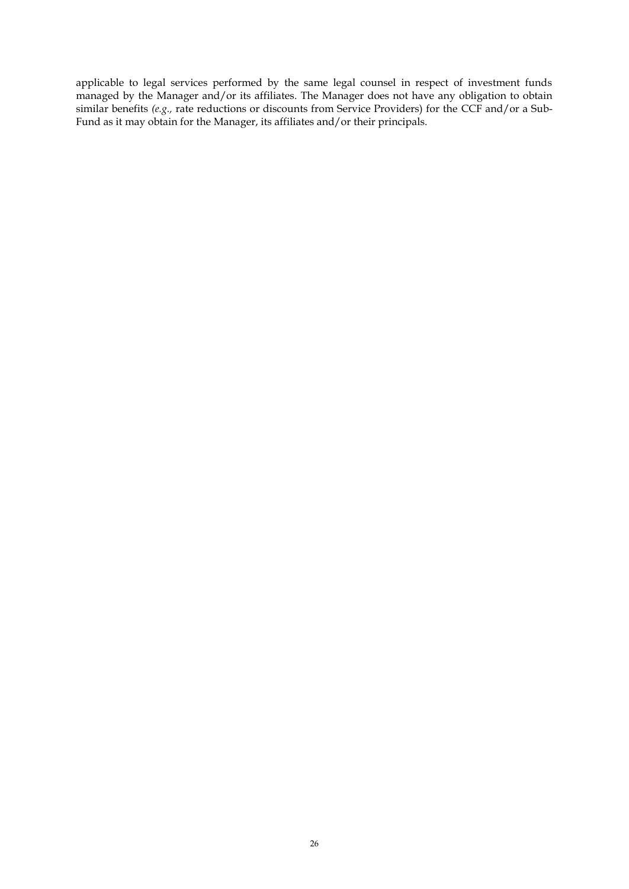applicable to legal services performed by the same legal counsel in respect of investment funds managed by the Manager and/or its affiliates. The Manager does not have any obligation to obtain similar benefits *(e.g.,* rate reductions or discounts from Service Providers) for the CCF and/or a Sub-Fund as it may obtain for the Manager, its affiliates and/or their principals.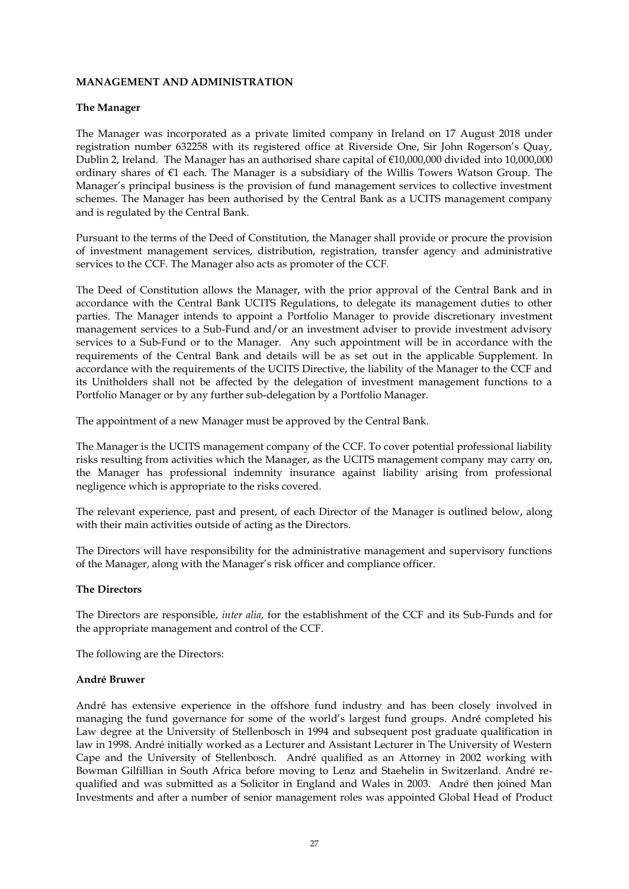## **MANAGEMENT AND ADMINISTRATION**

#### **The Manager**

The Manager was incorporated as a private limited company in Ireland on 17 August 2018 under registration number 632258 with its registered office at Riverside One, Sir John Rogerson's Quay, Dublin 2, Ireland. The Manager has an authorised share capital of €10,000,000 divided into 10,000,000 ordinary shares of €1 each. The Manager is a subsidiary of the Willis Towers Watson Group. The Manager's principal business is the provision of fund management services to collective investment schemes. The Manager has been authorised by the Central Bank as a UCITS management company and is regulated by the Central Bank.

Pursuant to the terms of the Deed of Constitution, the Manager shall provide or procure the provision of investment management services, distribution, registration, transfer agency and administrative services to the CCF. The Manager also acts as promoter of the CCF.

The Deed of Constitution allows the Manager, with the prior approval of the Central Bank and in accordance with the Central Bank UCITS Regulations, to delegate its management duties to other parties. The Manager intends to appoint a Portfolio Manager to provide discretionary investment management services to a Sub-Fund and/or an investment adviser to provide investment advisory services to a Sub-Fund or to the Manager. Any such appointment will be in accordance with the requirements of the Central Bank and details will be as set out in the applicable Supplement. In accordance with the requirements of the UCITS Directive, the liability of the Manager to the CCF and its Unitholders shall not be affected by the delegation of investment management functions to a Portfolio Manager or by any further sub-delegation by a Portfolio Manager.

The appointment of a new Manager must be approved by the Central Bank.

The Manager is the UCITS management company of the CCF. To cover potential professional liability risks resulting from activities which the Manager, as the UCITS management company may carry on, the Manager has professional indemnity insurance against liability arising from professional negligence which is appropriate to the risks covered.

The relevant experience, past and present, of each Director of the Manager is outlined below, along with their main activities outside of acting as the Directors.

The Directors will have responsibility for the administrative management and supervisory functions of the Manager, along with the Manager's risk officer and compliance officer.

#### **The Directors**

The Directors are responsible, *inter alia,* for the establishment of the CCF and its Sub-Funds and for the appropriate management and control of the CCF.

The following are the Directors:

#### **André Bruwer**

André has extensive experience in the offshore fund industry and has been closely involved in managing the fund governance for some of the world's largest fund groups. André completed his Law degree at the University of Stellenbosch in 1994 and subsequent post graduate qualification in law in 1998. André initially worked as a Lecturer and Assistant Lecturer in The University of Western Cape and the University of Stellenbosch. André qualified as an Attorney in 2002 working with Bowman Gilfillian in South Africa before moving to Lenz and Staehelin in Switzerland. André requalified and was submitted as a Solicitor in England and Wales in 2003. André then joined Man Investments and after a number of senior management roles was appointed Global Head of Product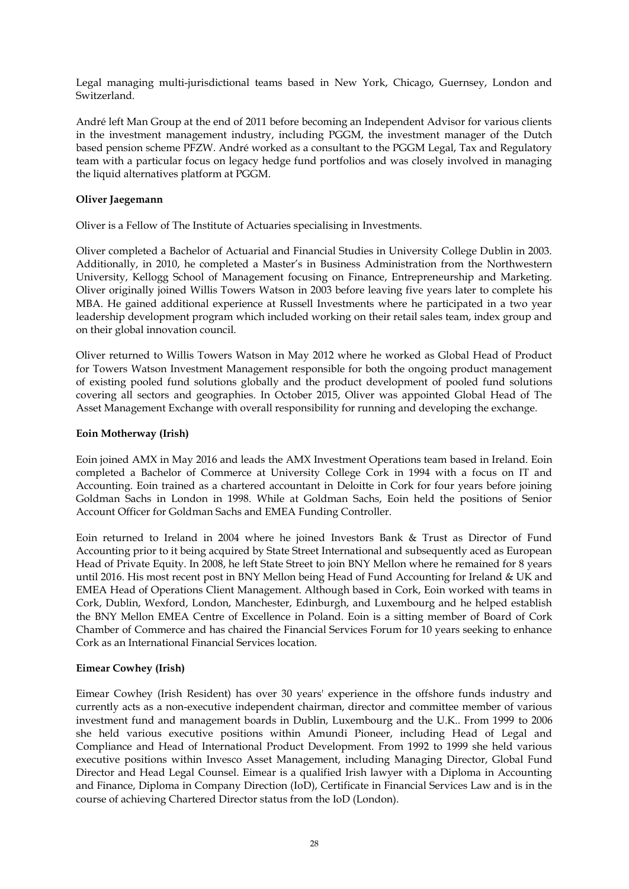Legal managing multi-jurisdictional teams based in New York, Chicago, Guernsey, London and Switzerland.

André left Man Group at the end of 2011 before becoming an Independent Advisor for various clients in the investment management industry, including PGGM, the investment manager of the Dutch based pension scheme PFZW. André worked as a consultant to the PGGM Legal, Tax and Regulatory team with a particular focus on legacy hedge fund portfolios and was closely involved in managing the liquid alternatives platform at PGGM.

## **Oliver Jaegemann**

Oliver is a Fellow of The Institute of Actuaries specialising in Investments.

Oliver completed a Bachelor of Actuarial and Financial Studies in University College Dublin in 2003. Additionally, in 2010, he completed a Master's in Business Administration from the Northwestern University, Kellogg School of Management focusing on Finance, Entrepreneurship and Marketing. Oliver originally joined Willis Towers Watson in 2003 before leaving five years later to complete his MBA. He gained additional experience at Russell Investments where he participated in a two year leadership development program which included working on their retail sales team, index group and on their global innovation council.

Oliver returned to Willis Towers Watson in May 2012 where he worked as Global Head of Product for Towers Watson Investment Management responsible for both the ongoing product management of existing pooled fund solutions globally and the product development of pooled fund solutions covering all sectors and geographies. In October 2015, Oliver was appointed Global Head of The Asset Management Exchange with overall responsibility for running and developing the exchange.

### **Eoin Motherway (Irish)**

Eoin joined AMX in May 2016 and leads the AMX Investment Operations team based in Ireland. Eoin completed a Bachelor of Commerce at University College Cork in 1994 with a focus on IT and Accounting. Eoin trained as a chartered accountant in Deloitte in Cork for four years before joining Goldman Sachs in London in 1998. While at Goldman Sachs, Eoin held the positions of Senior Account Officer for Goldman Sachs and EMEA Funding Controller.

Eoin returned to Ireland in 2004 where he joined Investors Bank & Trust as Director of Fund Accounting prior to it being acquired by State Street International and subsequently aced as European Head of Private Equity. In 2008, he left State Street to join BNY Mellon where he remained for 8 years until 2016. His most recent post in BNY Mellon being Head of Fund Accounting for Ireland & UK and EMEA Head of Operations Client Management. Although based in Cork, Eoin worked with teams in Cork, Dublin, Wexford, London, Manchester, Edinburgh, and Luxembourg and he helped establish the BNY Mellon EMEA Centre of Excellence in Poland. Eoin is a sitting member of Board of Cork Chamber of Commerce and has chaired the Financial Services Forum for 10 years seeking to enhance Cork as an International Financial Services location.

## **Eimear Cowhey (Irish)**

Eimear Cowhey (Irish Resident) has over 30 years' experience in the offshore funds industry and currently acts as a non-executive independent chairman, director and committee member of various investment fund and management boards in Dublin, Luxembourg and the U.K.. From 1999 to 2006 she held various executive positions within Amundi Pioneer, including Head of Legal and Compliance and Head of International Product Development. From 1992 to 1999 she held various executive positions within Invesco Asset Management, including Managing Director, Global Fund Director and Head Legal Counsel. Eimear is a qualified Irish lawyer with a Diploma in Accounting and Finance, Diploma in Company Direction (IoD), Certificate in Financial Services Law and is in the course of achieving Chartered Director status from the IoD (London).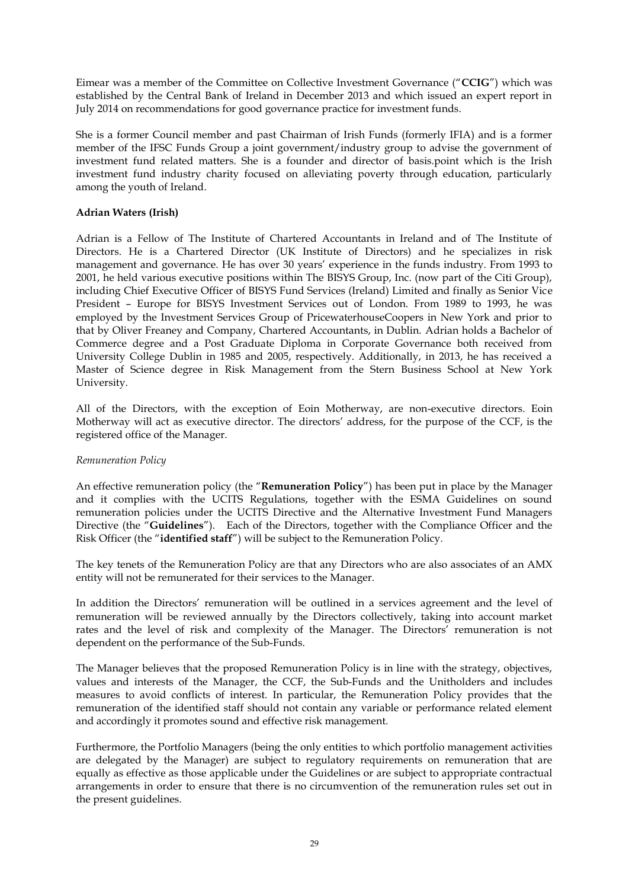Eimear was a member of the Committee on Collective Investment Governance ("**CCIG**") which was established by the Central Bank of Ireland in December 2013 and which issued an expert report in July 2014 on recommendations for good governance practice for investment funds.

She is a former Council member and past Chairman of Irish Funds (formerly IFIA) and is a former member of the IFSC Funds Group a joint government/industry group to advise the government of investment fund related matters. She is a founder and director of basis.point which is the Irish investment fund industry charity focused on alleviating poverty through education, particularly among the youth of Ireland.

## **Adrian Waters (Irish)**

Adrian is a Fellow of The Institute of Chartered Accountants in Ireland and of The Institute of Directors. He is a Chartered Director (UK Institute of Directors) and he specializes in risk management and governance. He has over 30 years' experience in the funds industry. From 1993 to 2001, he held various executive positions within The BISYS Group, Inc. (now part of the Citi Group), including Chief Executive Officer of BISYS Fund Services (Ireland) Limited and finally as Senior Vice President – Europe for BISYS Investment Services out of London. From 1989 to 1993, he was employed by the Investment Services Group of PricewaterhouseCoopers in New York and prior to that by Oliver Freaney and Company, Chartered Accountants, in Dublin. Adrian holds a Bachelor of Commerce degree and a Post Graduate Diploma in Corporate Governance both received from University College Dublin in 1985 and 2005, respectively. Additionally, in 2013, he has received a Master of Science degree in Risk Management from the Stern Business School at New York University.

All of the Directors, with the exception of Eoin Motherway, are non-executive directors. Eoin Motherway will act as executive director. The directors' address, for the purpose of the CCF, is the registered office of the Manager.

## *Remuneration Policy*

An effective remuneration policy (the "**Remuneration Policy**") has been put in place by the Manager and it complies with the UCITS Regulations, together with the ESMA Guidelines on sound remuneration policies under the UCITS Directive and the Alternative Investment Fund Managers Directive (the "**Guidelines**"). Each of the Directors, together with the Compliance Officer and the Risk Officer (the "**identified staff**") will be subject to the Remuneration Policy.

The key tenets of the Remuneration Policy are that any Directors who are also associates of an AMX entity will not be remunerated for their services to the Manager.

In addition the Directors' remuneration will be outlined in a services agreement and the level of remuneration will be reviewed annually by the Directors collectively, taking into account market rates and the level of risk and complexity of the Manager. The Directors' remuneration is not dependent on the performance of the Sub-Funds.

The Manager believes that the proposed Remuneration Policy is in line with the strategy, objectives, values and interests of the Manager, the CCF, the Sub-Funds and the Unitholders and includes measures to avoid conflicts of interest. In particular, the Remuneration Policy provides that the remuneration of the identified staff should not contain any variable or performance related element and accordingly it promotes sound and effective risk management.

Furthermore, the Portfolio Managers (being the only entities to which portfolio management activities are delegated by the Manager) are subject to regulatory requirements on remuneration that are equally as effective as those applicable under the Guidelines or are subject to appropriate contractual arrangements in order to ensure that there is no circumvention of the remuneration rules set out in the present guidelines.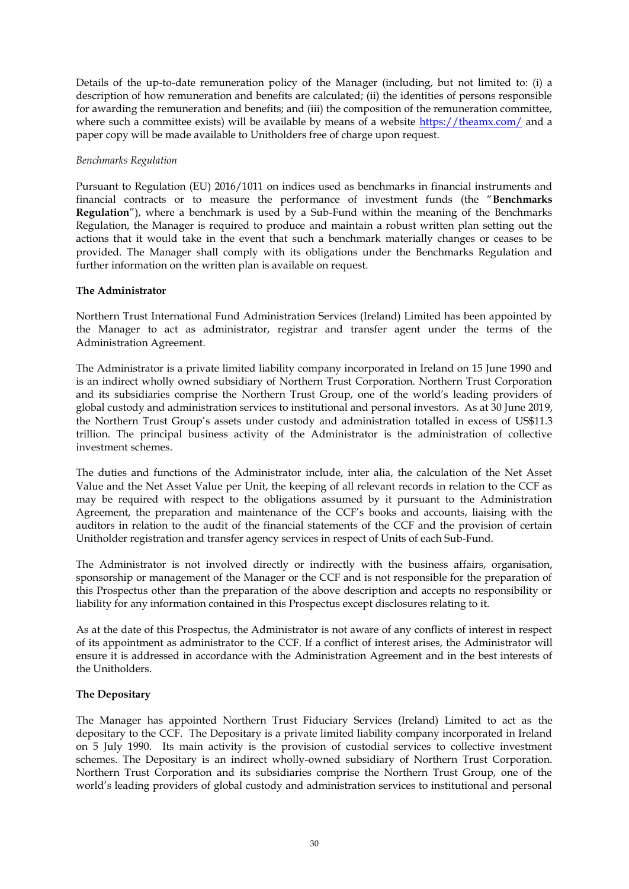Details of the up-to-date remuneration policy of the Manager (including, but not limited to: (i) a description of how remuneration and benefits are calculated; (ii) the identities of persons responsible for awarding the remuneration and benefits; and (iii) the composition of the remuneration committee, where such a committee exists) will be available by means of a website https://theamx.com/ and a paper copy will be made available to Unitholders free of charge upon request.

### *Benchmarks Regulation*

Pursuant to Regulation (EU) 2016/1011 on indices used as benchmarks in financial instruments and financial contracts or to measure the performance of investment funds (the "**Benchmarks Regulation**"), where a benchmark is used by a Sub-Fund within the meaning of the Benchmarks Regulation, the Manager is required to produce and maintain a robust written plan setting out the actions that it would take in the event that such a benchmark materially changes or ceases to be provided. The Manager shall comply with its obligations under the Benchmarks Regulation and further information on the written plan is available on request.

### **The Administrator**

Northern Trust International Fund Administration Services (Ireland) Limited has been appointed by the Manager to act as administrator, registrar and transfer agent under the terms of the Administration Agreement.

The Administrator is a private limited liability company incorporated in Ireland on 15 June 1990 and is an indirect wholly owned subsidiary of Northern Trust Corporation. Northern Trust Corporation and its subsidiaries comprise the Northern Trust Group, one of the world's leading providers of global custody and administration services to institutional and personal investors. As at 30 June 2019, the Northern Trust Group's assets under custody and administration totalled in excess of US\$11.3 trillion. The principal business activity of the Administrator is the administration of collective investment schemes.

The duties and functions of the Administrator include, inter alia, the calculation of the Net Asset Value and the Net Asset Value per Unit, the keeping of all relevant records in relation to the CCF as may be required with respect to the obligations assumed by it pursuant to the Administration Agreement, the preparation and maintenance of the CCF's books and accounts, liaising with the auditors in relation to the audit of the financial statements of the CCF and the provision of certain Unitholder registration and transfer agency services in respect of Units of each Sub-Fund.

The Administrator is not involved directly or indirectly with the business affairs, organisation, sponsorship or management of the Manager or the CCF and is not responsible for the preparation of this Prospectus other than the preparation of the above description and accepts no responsibility or liability for any information contained in this Prospectus except disclosures relating to it.

As at the date of this Prospectus, the Administrator is not aware of any conflicts of interest in respect of its appointment as administrator to the CCF. If a conflict of interest arises, the Administrator will ensure it is addressed in accordance with the Administration Agreement and in the best interests of the Unitholders.

## **The Depositary**

The Manager has appointed Northern Trust Fiduciary Services (Ireland) Limited to act as the depositary to the CCF. The Depositary is a private limited liability company incorporated in Ireland on 5 July 1990. Its main activity is the provision of custodial services to collective investment schemes. The Depositary is an indirect wholly-owned subsidiary of Northern Trust Corporation. Northern Trust Corporation and its subsidiaries comprise the Northern Trust Group, one of the world's leading providers of global custody and administration services to institutional and personal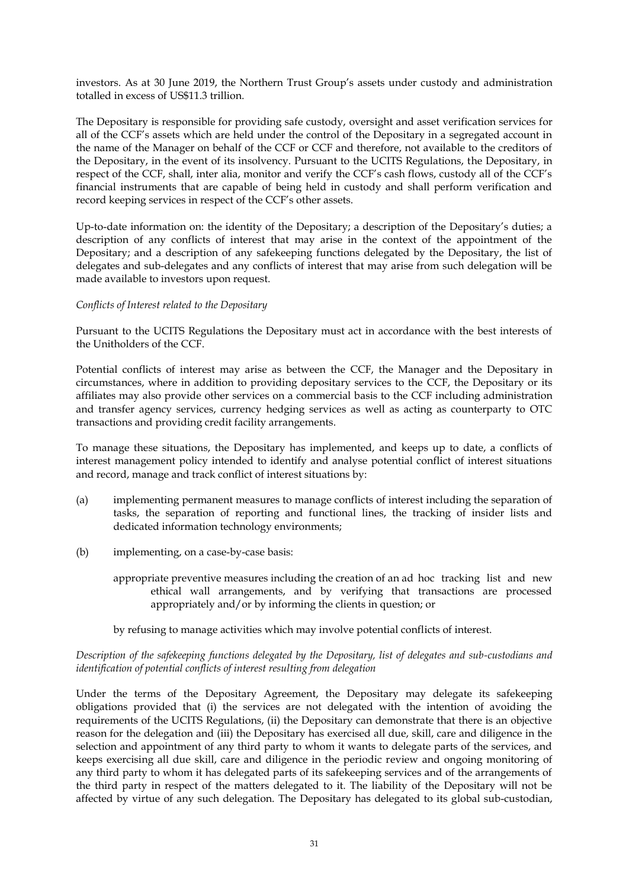investors. As at 30 June 2019, the Northern Trust Group's assets under custody and administration totalled in excess of US\$11.3 trillion.

The Depositary is responsible for providing safe custody, oversight and asset verification services for all of the CCF's assets which are held under the control of the Depositary in a segregated account in the name of the Manager on behalf of the CCF or CCF and therefore, not available to the creditors of the Depositary, in the event of its insolvency. Pursuant to the UCITS Regulations, the Depositary, in respect of the CCF, shall, inter alia, monitor and verify the CCF's cash flows, custody all of the CCF's financial instruments that are capable of being held in custody and shall perform verification and record keeping services in respect of the CCF's other assets.

Up-to-date information on: the identity of the Depositary; a description of the Depositary's duties; a description of any conflicts of interest that may arise in the context of the appointment of the Depositary; and a description of any safekeeping functions delegated by the Depositary, the list of delegates and sub-delegates and any conflicts of interest that may arise from such delegation will be made available to investors upon request.

### *Conflicts of Interest related to the Depositary*

Pursuant to the UCITS Regulations the Depositary must act in accordance with the best interests of the Unitholders of the CCF.

Potential conflicts of interest may arise as between the CCF, the Manager and the Depositary in circumstances, where in addition to providing depositary services to the CCF, the Depositary or its affiliates may also provide other services on a commercial basis to the CCF including administration and transfer agency services, currency hedging services as well as acting as counterparty to OTC transactions and providing credit facility arrangements.

To manage these situations, the Depositary has implemented, and keeps up to date, a conflicts of interest management policy intended to identify and analyse potential conflict of interest situations and record, manage and track conflict of interest situations by:

- (a) implementing permanent measures to manage conflicts of interest including the separation of tasks, the separation of reporting and functional lines, the tracking of insider lists and dedicated information technology environments;
- (b) implementing, on a case-by-case basis:
	- appropriate preventive measures including the creation of an ad hoc tracking list and new ethical wall arrangements, and by verifying that transactions are processed appropriately and/or by informing the clients in question; or

#### by refusing to manage activities which may involve potential conflicts of interest.

## *Description of the safekeeping functions delegated by the Depositary, list of delegates and sub-custodians and identification of potential conflicts of interest resulting from delegation*

Under the terms of the Depositary Agreement, the Depositary may delegate its safekeeping obligations provided that (i) the services are not delegated with the intention of avoiding the requirements of the UCITS Regulations, (ii) the Depositary can demonstrate that there is an objective reason for the delegation and (iii) the Depositary has exercised all due, skill, care and diligence in the selection and appointment of any third party to whom it wants to delegate parts of the services, and keeps exercising all due skill, care and diligence in the periodic review and ongoing monitoring of any third party to whom it has delegated parts of its safekeeping services and of the arrangements of the third party in respect of the matters delegated to it. The liability of the Depositary will not be affected by virtue of any such delegation. The Depositary has delegated to its global sub-custodian,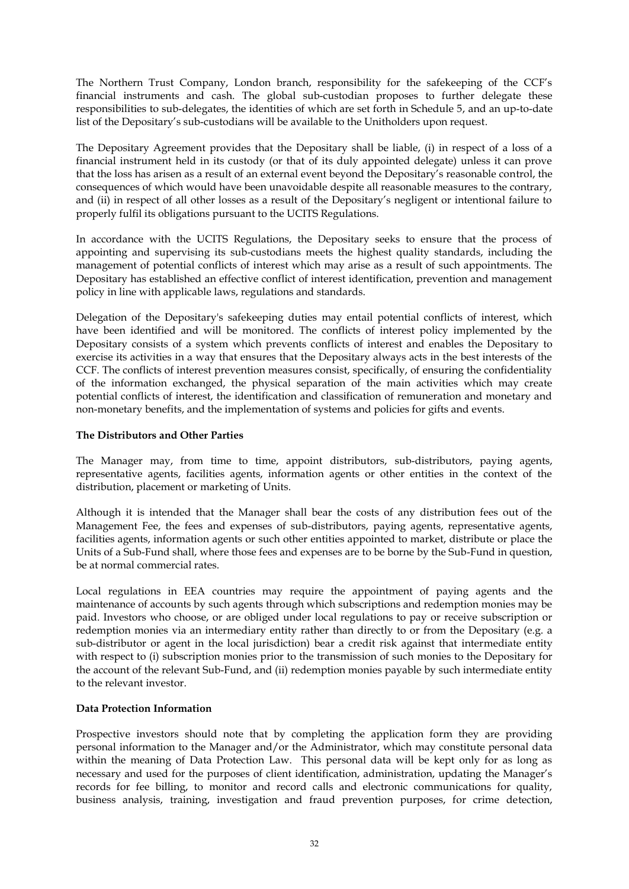The Northern Trust Company, London branch, responsibility for the safekeeping of the CCF's financial instruments and cash. The global sub-custodian proposes to further delegate these responsibilities to sub-delegates, the identities of which are set forth in Schedule 5, and an up-to-date list of the Depositary's sub-custodians will be available to the Unitholders upon request.

The Depositary Agreement provides that the Depositary shall be liable, (i) in respect of a loss of a financial instrument held in its custody (or that of its duly appointed delegate) unless it can prove that the loss has arisen as a result of an external event beyond the Depositary's reasonable control, the consequences of which would have been unavoidable despite all reasonable measures to the contrary, and (ii) in respect of all other losses as a result of the Depositary's negligent or intentional failure to properly fulfil its obligations pursuant to the UCITS Regulations.

In accordance with the UCITS Regulations, the Depositary seeks to ensure that the process of appointing and supervising its sub-custodians meets the highest quality standards, including the management of potential conflicts of interest which may arise as a result of such appointments. The Depositary has established an effective conflict of interest identification, prevention and management policy in line with applicable laws, regulations and standards.

Delegation of the Depositary's safekeeping duties may entail potential conflicts of interest, which have been identified and will be monitored. The conflicts of interest policy implemented by the Depositary consists of a system which prevents conflicts of interest and enables the Depositary to exercise its activities in a way that ensures that the Depositary always acts in the best interests of the CCF. The conflicts of interest prevention measures consist, specifically, of ensuring the confidentiality of the information exchanged, the physical separation of the main activities which may create potential conflicts of interest, the identification and classification of remuneration and monetary and non-monetary benefits, and the implementation of systems and policies for gifts and events.

## **The Distributors and Other Parties**

The Manager may, from time to time, appoint distributors, sub-distributors, paying agents, representative agents, facilities agents, information agents or other entities in the context of the distribution, placement or marketing of Units.

Although it is intended that the Manager shall bear the costs of any distribution fees out of the Management Fee, the fees and expenses of sub-distributors, paying agents, representative agents, facilities agents, information agents or such other entities appointed to market, distribute or place the Units of a Sub-Fund shall, where those fees and expenses are to be borne by the Sub-Fund in question, be at normal commercial rates.

Local regulations in EEA countries may require the appointment of paying agents and the maintenance of accounts by such agents through which subscriptions and redemption monies may be paid. Investors who choose, or are obliged under local regulations to pay or receive subscription or redemption monies via an intermediary entity rather than directly to or from the Depositary (e.g. a sub-distributor or agent in the local jurisdiction) bear a credit risk against that intermediate entity with respect to (i) subscription monies prior to the transmission of such monies to the Depositary for the account of the relevant Sub-Fund, and (ii) redemption monies payable by such intermediate entity to the relevant investor.

## **Data Protection Information**

Prospective investors should note that by completing the application form they are providing personal information to the Manager and/or the Administrator, which may constitute personal data within the meaning of Data Protection Law. This personal data will be kept only for as long as necessary and used for the purposes of client identification, administration, updating the Manager's records for fee billing, to monitor and record calls and electronic communications for quality, business analysis, training, investigation and fraud prevention purposes, for crime detection,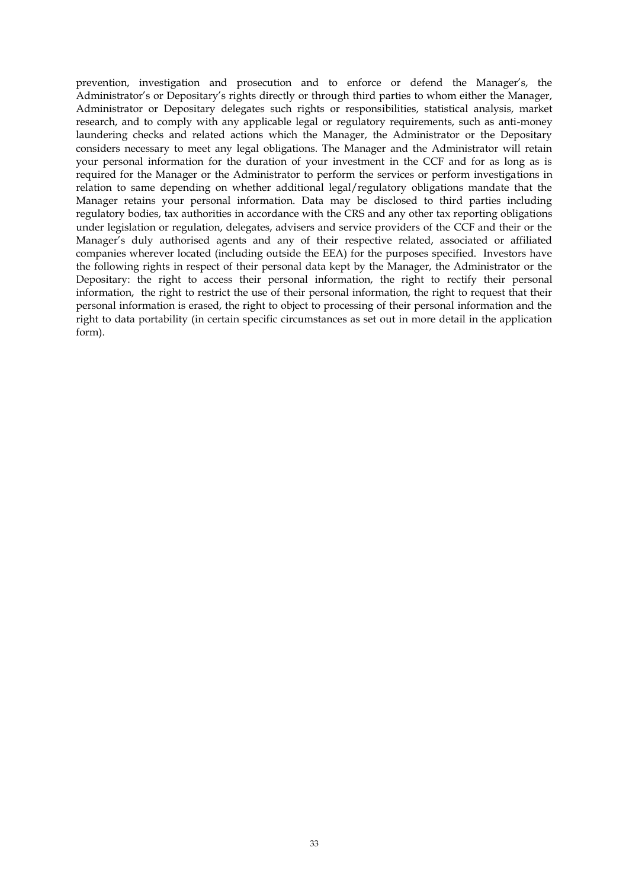prevention, investigation and prosecution and to enforce or defend the Manager's, the Administrator's or Depositary's rights directly or through third parties to whom either the Manager, Administrator or Depositary delegates such rights or responsibilities, statistical analysis, market research, and to comply with any applicable legal or regulatory requirements, such as anti-money laundering checks and related actions which the Manager, the Administrator or the Depositary considers necessary to meet any legal obligations. The Manager and the Administrator will retain your personal information for the duration of your investment in the CCF and for as long as is required for the Manager or the Administrator to perform the services or perform investigations in relation to same depending on whether additional legal/regulatory obligations mandate that the Manager retains your personal information. Data may be disclosed to third parties including regulatory bodies, tax authorities in accordance with the CRS and any other tax reporting obligations under legislation or regulation, delegates, advisers and service providers of the CCF and their or the Manager's duly authorised agents and any of their respective related, associated or affiliated companies wherever located (including outside the EEA) for the purposes specified. Investors have the following rights in respect of their personal data kept by the Manager, the Administrator or the Depositary: the right to access their personal information, the right to rectify their personal information, the right to restrict the use of their personal information, the right to request that their personal information is erased, the right to object to processing of their personal information and the right to data portability (in certain specific circumstances as set out in more detail in the application form).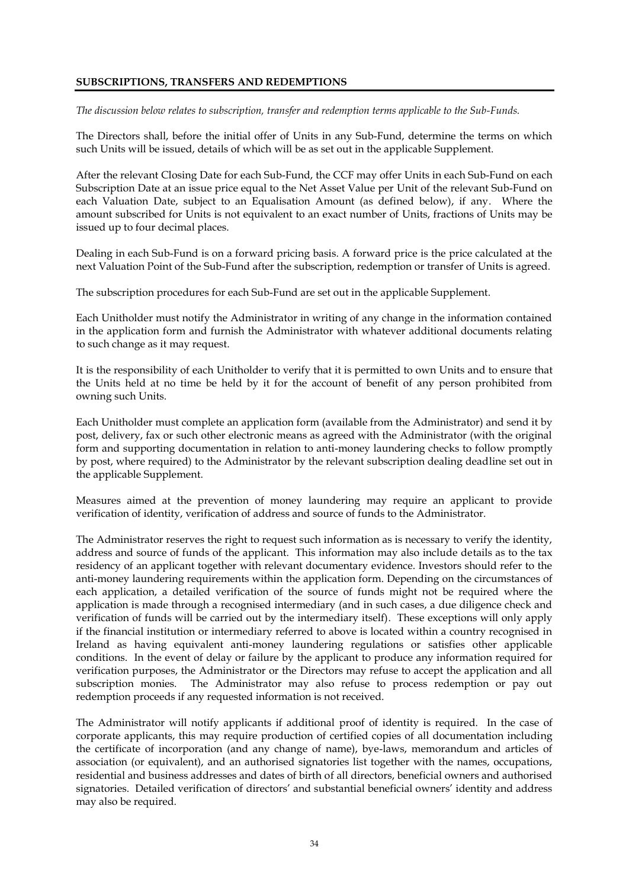## **SUBSCRIPTIONS, TRANSFERS AND REDEMPTIONS**

*The discussion below relates to subscription, transfer and redemption terms applicable to the Sub-Funds.* 

The Directors shall, before the initial offer of Units in any Sub-Fund, determine the terms on which such Units will be issued, details of which will be as set out in the applicable Supplement.

After the relevant Closing Date for each Sub-Fund, the CCF may offer Units in each Sub-Fund on each Subscription Date at an issue price equal to the Net Asset Value per Unit of the relevant Sub-Fund on each Valuation Date, subject to an Equalisation Amount (as defined below), if any. Where the amount subscribed for Units is not equivalent to an exact number of Units, fractions of Units may be issued up to four decimal places.

Dealing in each Sub-Fund is on a forward pricing basis. A forward price is the price calculated at the next Valuation Point of the Sub-Fund after the subscription, redemption or transfer of Units is agreed.

The subscription procedures for each Sub-Fund are set out in the applicable Supplement.

Each Unitholder must notify the Administrator in writing of any change in the information contained in the application form and furnish the Administrator with whatever additional documents relating to such change as it may request.

It is the responsibility of each Unitholder to verify that it is permitted to own Units and to ensure that the Units held at no time be held by it for the account of benefit of any person prohibited from owning such Units.

Each Unitholder must complete an application form (available from the Administrator) and send it by post, delivery, fax or such other electronic means as agreed with the Administrator (with the original form and supporting documentation in relation to anti-money laundering checks to follow promptly by post, where required) to the Administrator by the relevant subscription dealing deadline set out in the applicable Supplement.

Measures aimed at the prevention of money laundering may require an applicant to provide verification of identity, verification of address and source of funds to the Administrator.

The Administrator reserves the right to request such information as is necessary to verify the identity, address and source of funds of the applicant. This information may also include details as to the tax residency of an applicant together with relevant documentary evidence. Investors should refer to the anti-money laundering requirements within the application form. Depending on the circumstances of each application, a detailed verification of the source of funds might not be required where the application is made through a recognised intermediary (and in such cases, a due diligence check and verification of funds will be carried out by the intermediary itself). These exceptions will only apply if the financial institution or intermediary referred to above is located within a country recognised in Ireland as having equivalent anti-money laundering regulations or satisfies other applicable conditions. In the event of delay or failure by the applicant to produce any information required for verification purposes, the Administrator or the Directors may refuse to accept the application and all subscription monies. The Administrator may also refuse to process redemption or pay out redemption proceeds if any requested information is not received.

The Administrator will notify applicants if additional proof of identity is required. In the case of corporate applicants, this may require production of certified copies of all documentation including the certificate of incorporation (and any change of name), bye-laws, memorandum and articles of association (or equivalent), and an authorised signatories list together with the names, occupations, residential and business addresses and dates of birth of all directors, beneficial owners and authorised signatories. Detailed verification of directors' and substantial beneficial owners' identity and address may also be required.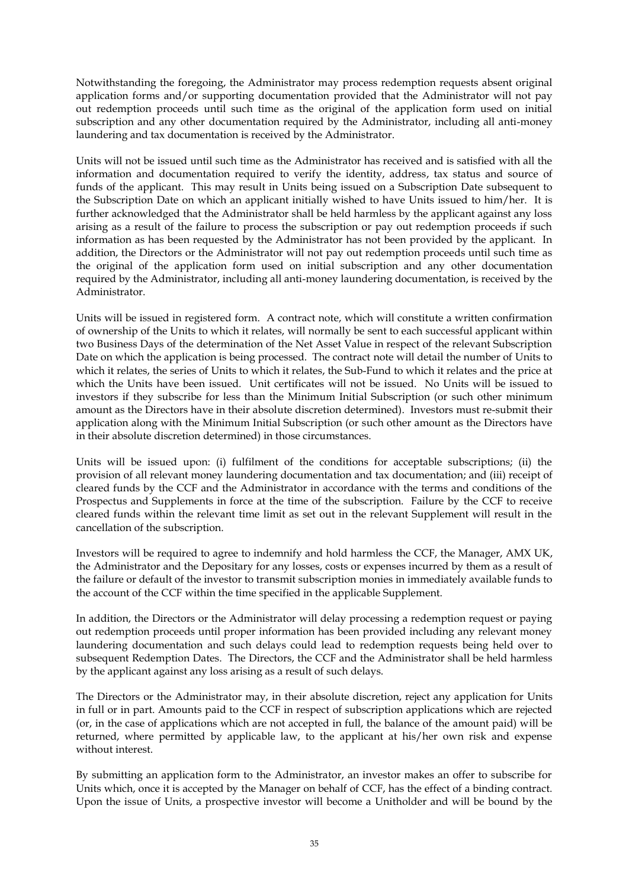Notwithstanding the foregoing, the Administrator may process redemption requests absent original application forms and/or supporting documentation provided that the Administrator will not pay out redemption proceeds until such time as the original of the application form used on initial subscription and any other documentation required by the Administrator, including all anti-money laundering and tax documentation is received by the Administrator.

Units will not be issued until such time as the Administrator has received and is satisfied with all the information and documentation required to verify the identity, address, tax status and source of funds of the applicant. This may result in Units being issued on a Subscription Date subsequent to the Subscription Date on which an applicant initially wished to have Units issued to him/her. It is further acknowledged that the Administrator shall be held harmless by the applicant against any loss arising as a result of the failure to process the subscription or pay out redemption proceeds if such information as has been requested by the Administrator has not been provided by the applicant. In addition, the Directors or the Administrator will not pay out redemption proceeds until such time as the original of the application form used on initial subscription and any other documentation required by the Administrator, including all anti-money laundering documentation, is received by the Administrator.

Units will be issued in registered form. A contract note, which will constitute a written confirmation of ownership of the Units to which it relates, will normally be sent to each successful applicant within two Business Days of the determination of the Net Asset Value in respect of the relevant Subscription Date on which the application is being processed. The contract note will detail the number of Units to which it relates, the series of Units to which it relates, the Sub-Fund to which it relates and the price at which the Units have been issued. Unit certificates will not be issued. No Units will be issued to investors if they subscribe for less than the Minimum Initial Subscription (or such other minimum amount as the Directors have in their absolute discretion determined). Investors must re-submit their application along with the Minimum Initial Subscription (or such other amount as the Directors have in their absolute discretion determined) in those circumstances.

Units will be issued upon: (i) fulfilment of the conditions for acceptable subscriptions; (ii) the provision of all relevant money laundering documentation and tax documentation; and (iii) receipt of cleared funds by the CCF and the Administrator in accordance with the terms and conditions of the Prospectus and Supplements in force at the time of the subscription. Failure by the CCF to receive cleared funds within the relevant time limit as set out in the relevant Supplement will result in the cancellation of the subscription.

Investors will be required to agree to indemnify and hold harmless the CCF, the Manager, AMX UK, the Administrator and the Depositary for any losses, costs or expenses incurred by them as a result of the failure or default of the investor to transmit subscription monies in immediately available funds to the account of the CCF within the time specified in the applicable Supplement.

In addition, the Directors or the Administrator will delay processing a redemption request or paying out redemption proceeds until proper information has been provided including any relevant money laundering documentation and such delays could lead to redemption requests being held over to subsequent Redemption Dates. The Directors, the CCF and the Administrator shall be held harmless by the applicant against any loss arising as a result of such delays.

The Directors or the Administrator may, in their absolute discretion, reject any application for Units in full or in part. Amounts paid to the CCF in respect of subscription applications which are rejected (or, in the case of applications which are not accepted in full, the balance of the amount paid) will be returned, where permitted by applicable law, to the applicant at his/her own risk and expense without interest.

By submitting an application form to the Administrator, an investor makes an offer to subscribe for Units which, once it is accepted by the Manager on behalf of CCF, has the effect of a binding contract. Upon the issue of Units, a prospective investor will become a Unitholder and will be bound by the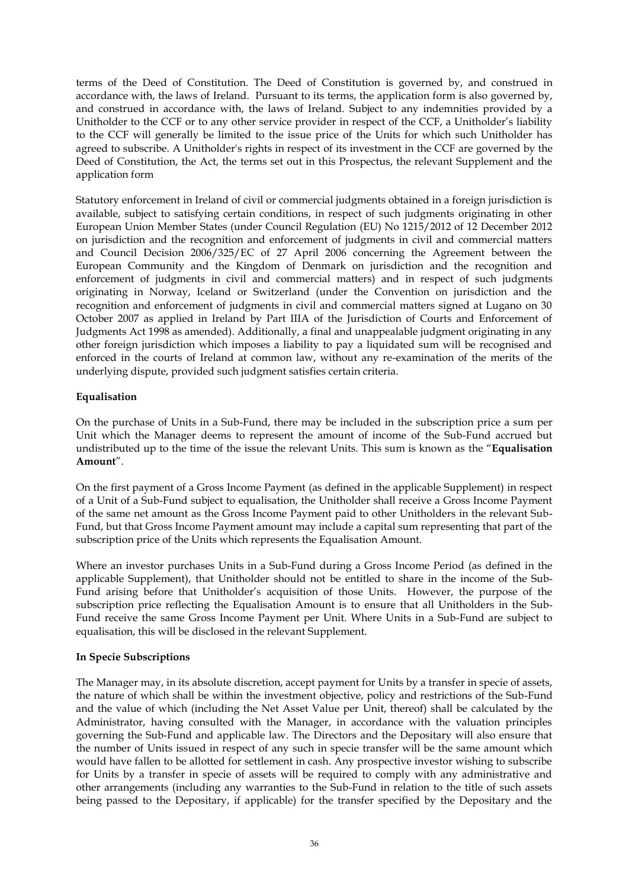terms of the Deed of Constitution. The Deed of Constitution is governed by, and construed in accordance with, the laws of Ireland. Pursuant to its terms, the application form is also governed by, and construed in accordance with, the laws of Ireland. Subject to any indemnities provided by a Unitholder to the CCF or to any other service provider in respect of the CCF, a Unitholder's liability to the CCF will generally be limited to the issue price of the Units for which such Unitholder has agreed to subscribe. A Unitholder's rights in respect of its investment in the CCF are governed by the Deed of Constitution, the Act, the terms set out in this Prospectus, the relevant Supplement and the application form

Statutory enforcement in Ireland of civil or commercial judgments obtained in a foreign jurisdiction is available, subject to satisfying certain conditions, in respect of such judgments originating in other European Union Member States (under Council Regulation (EU) No 1215/2012 of 12 December 2012 on jurisdiction and the recognition and enforcement of judgments in civil and commercial matters and Council Decision 2006/325/EC of 27 April 2006 concerning the Agreement between the European Community and the Kingdom of Denmark on jurisdiction and the recognition and enforcement of judgments in civil and commercial matters) and in respect of such judgments originating in Norway, Iceland or Switzerland (under the Convention on jurisdiction and the recognition and enforcement of judgments in civil and commercial matters signed at Lugano on 30 October 2007 as applied in Ireland by Part IIIA of the Jurisdiction of Courts and Enforcement of Judgments Act 1998 as amended). Additionally, a final and unappealable judgment originating in any other foreign jurisdiction which imposes a liability to pay a liquidated sum will be recognised and enforced in the courts of Ireland at common law, without any re-examination of the merits of the underlying dispute, provided such judgment satisfies certain criteria.

# **Equalisation**

On the purchase of Units in a Sub-Fund, there may be included in the subscription price a sum per Unit which the Manager deems to represent the amount of income of the Sub-Fund accrued but undistributed up to the time of the issue the relevant Units. This sum is known as the "**Equalisation Amount**".

On the first payment of a Gross Income Payment (as defined in the applicable Supplement) in respect of a Unit of a Sub-Fund subject to equalisation, the Unitholder shall receive a Gross Income Payment of the same net amount as the Gross Income Payment paid to other Unitholders in the relevant Sub-Fund, but that Gross Income Payment amount may include a capital sum representing that part of the subscription price of the Units which represents the Equalisation Amount.

Where an investor purchases Units in a Sub-Fund during a Gross Income Period (as defined in the applicable Supplement), that Unitholder should not be entitled to share in the income of the Sub-Fund arising before that Unitholder's acquisition of those Units. However, the purpose of the subscription price reflecting the Equalisation Amount is to ensure that all Unitholders in the Sub-Fund receive the same Gross Income Payment per Unit. Where Units in a Sub-Fund are subject to equalisation, this will be disclosed in the relevant Supplement.

## **In Specie Subscriptions**

The Manager may, in its absolute discretion, accept payment for Units by a transfer in specie of assets, the nature of which shall be within the investment objective, policy and restrictions of the Sub-Fund and the value of which (including the Net Asset Value per Unit, thereof) shall be calculated by the Administrator, having consulted with the Manager, in accordance with the valuation principles governing the Sub-Fund and applicable law. The Directors and the Depositary will also ensure that the number of Units issued in respect of any such in specie transfer will be the same amount which would have fallen to be allotted for settlement in cash. Any prospective investor wishing to subscribe for Units by a transfer in specie of assets will be required to comply with any administrative and other arrangements (including any warranties to the Sub-Fund in relation to the title of such assets being passed to the Depositary, if applicable) for the transfer specified by the Depositary and the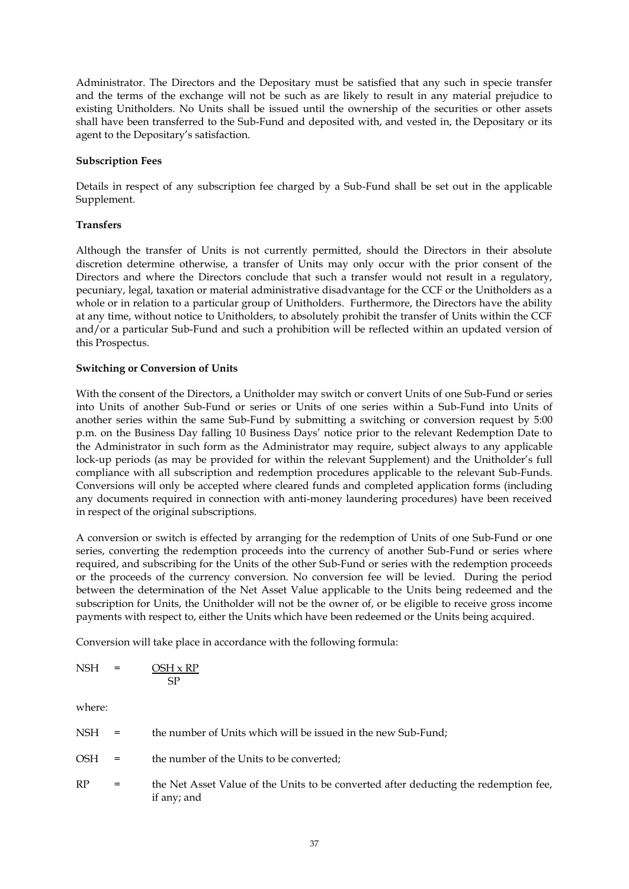Administrator. The Directors and the Depositary must be satisfied that any such in specie transfer and the terms of the exchange will not be such as are likely to result in any material prejudice to existing Unitholders. No Units shall be issued until the ownership of the securities or other assets shall have been transferred to the Sub-Fund and deposited with, and vested in, the Depositary or its agent to the Depositary's satisfaction.

### **Subscription Fees**

Details in respect of any subscription fee charged by a Sub-Fund shall be set out in the applicable Supplement.

## **Transfers**

Although the transfer of Units is not currently permitted, should the Directors in their absolute discretion determine otherwise, a transfer of Units may only occur with the prior consent of the Directors and where the Directors conclude that such a transfer would not result in a regulatory, pecuniary, legal, taxation or material administrative disadvantage for the CCF or the Unitholders as a whole or in relation to a particular group of Unitholders. Furthermore, the Directors have the ability at any time, without notice to Unitholders, to absolutely prohibit the transfer of Units within the CCF and/or a particular Sub-Fund and such a prohibition will be reflected within an updated version of this Prospectus.

### **Switching or Conversion of Units**

With the consent of the Directors, a Unitholder may switch or convert Units of one Sub-Fund or series into Units of another Sub-Fund or series or Units of one series within a Sub-Fund into Units of another series within the same Sub-Fund by submitting a switching or conversion request by 5:00 p.m. on the Business Day falling 10 Business Days' notice prior to the relevant Redemption Date to the Administrator in such form as the Administrator may require, subject always to any applicable lock-up periods (as may be provided for within the relevant Supplement) and the Unitholder's full compliance with all subscription and redemption procedures applicable to the relevant Sub-Funds. Conversions will only be accepted where cleared funds and completed application forms (including any documents required in connection with anti-money laundering procedures) have been received in respect of the original subscriptions.

A conversion or switch is effected by arranging for the redemption of Units of one Sub-Fund or one series, converting the redemption proceeds into the currency of another Sub-Fund or series where required, and subscribing for the Units of the other Sub-Fund or series with the redemption proceeds or the proceeds of the currency conversion. No conversion fee will be levied. During the period between the determination of the Net Asset Value applicable to the Units being redeemed and the subscription for Units, the Unitholder will not be the owner of, or be eligible to receive gross income payments with respect to, either the Units which have been redeemed or the Units being acquired.

Conversion will take place in accordance with the following formula:

| <b>NSH</b> | = | $OSH \times RP$ |
|------------|---|-----------------|
|            |   | ςp              |

where:

| NSH        | $\mathbf{r} = \mathbf{r}$ | the number of Units which will be issued in the new Sub-Fund;                                       |
|------------|---------------------------|-----------------------------------------------------------------------------------------------------|
| <b>OSH</b> | $\mathbf{r} = \mathbf{r}$ | the number of the Units to be converted;                                                            |
| RP         | $=$                       | the Net Asset Value of the Units to be converted after deducting the redemption fee,<br>if any; and |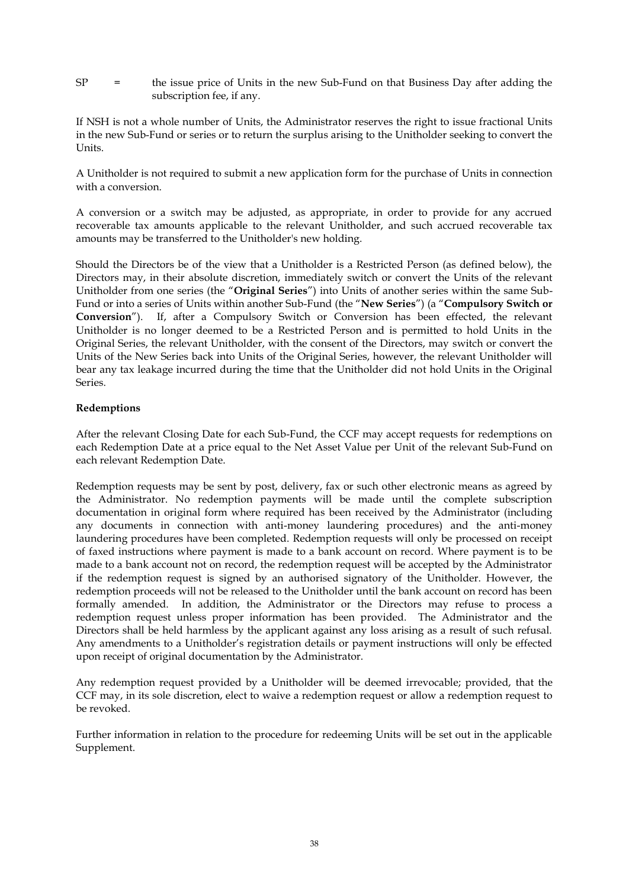SP = the issue price of Units in the new Sub-Fund on that Business Day after adding the subscription fee, if any.

If NSH is not a whole number of Units, the Administrator reserves the right to issue fractional Units in the new Sub-Fund or series or to return the surplus arising to the Unitholder seeking to convert the Units.

A Unitholder is not required to submit a new application form for the purchase of Units in connection with a conversion.

A conversion or a switch may be adjusted, as appropriate, in order to provide for any accrued recoverable tax amounts applicable to the relevant Unitholder, and such accrued recoverable tax amounts may be transferred to the Unitholder's new holding.

Should the Directors be of the view that a Unitholder is a Restricted Person (as defined below), the Directors may, in their absolute discretion, immediately switch or convert the Units of the relevant Unitholder from one series (the "**Original Series**") into Units of another series within the same Sub-Fund or into a series of Units within another Sub-Fund (the "**New Series**") (a "**Compulsory Switch or Conversion**"). If, after a Compulsory Switch or Conversion has been effected, the relevant Unitholder is no longer deemed to be a Restricted Person and is permitted to hold Units in the Original Series, the relevant Unitholder, with the consent of the Directors, may switch or convert the Units of the New Series back into Units of the Original Series, however, the relevant Unitholder will bear any tax leakage incurred during the time that the Unitholder did not hold Units in the Original Series.

## **Redemptions**

After the relevant Closing Date for each Sub-Fund, the CCF may accept requests for redemptions on each Redemption Date at a price equal to the Net Asset Value per Unit of the relevant Sub-Fund on each relevant Redemption Date.

Redemption requests may be sent by post, delivery, fax or such other electronic means as agreed by the Administrator. No redemption payments will be made until the complete subscription documentation in original form where required has been received by the Administrator (including any documents in connection with anti-money laundering procedures) and the anti-money laundering procedures have been completed. Redemption requests will only be processed on receipt of faxed instructions where payment is made to a bank account on record. Where payment is to be made to a bank account not on record, the redemption request will be accepted by the Administrator if the redemption request is signed by an authorised signatory of the Unitholder. However, the redemption proceeds will not be released to the Unitholder until the bank account on record has been formally amended. In addition, the Administrator or the Directors may refuse to process a redemption request unless proper information has been provided. The Administrator and the Directors shall be held harmless by the applicant against any loss arising as a result of such refusal. Any amendments to a Unitholder's registration details or payment instructions will only be effected upon receipt of original documentation by the Administrator.

Any redemption request provided by a Unitholder will be deemed irrevocable; provided, that the CCF may, in its sole discretion, elect to waive a redemption request or allow a redemption request to be revoked.

Further information in relation to the procedure for redeeming Units will be set out in the applicable Supplement.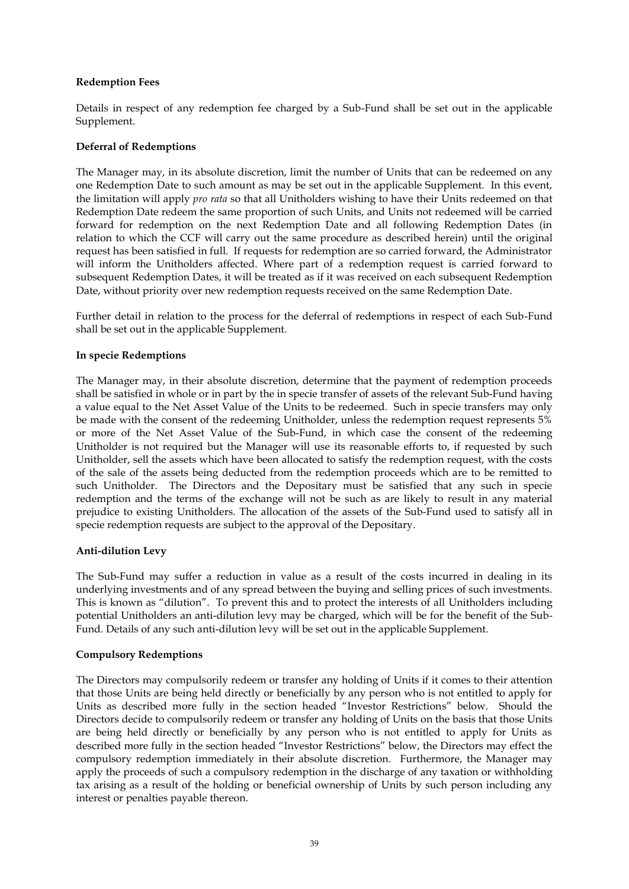## **Redemption Fees**

Details in respect of any redemption fee charged by a Sub-Fund shall be set out in the applicable Supplement.

## **Deferral of Redemptions**

The Manager may, in its absolute discretion, limit the number of Units that can be redeemed on any one Redemption Date to such amount as may be set out in the applicable Supplement. In this event, the limitation will apply *pro rata* so that all Unitholders wishing to have their Units redeemed on that Redemption Date redeem the same proportion of such Units, and Units not redeemed will be carried forward for redemption on the next Redemption Date and all following Redemption Dates (in relation to which the CCF will carry out the same procedure as described herein) until the original request has been satisfied in full. If requests for redemption are so carried forward, the Administrator will inform the Unitholders affected. Where part of a redemption request is carried forward to subsequent Redemption Dates, it will be treated as if it was received on each subsequent Redemption Date, without priority over new redemption requests received on the same Redemption Date.

Further detail in relation to the process for the deferral of redemptions in respect of each Sub-Fund shall be set out in the applicable Supplement.

## **In specie Redemptions**

The Manager may, in their absolute discretion, determine that the payment of redemption proceeds shall be satisfied in whole or in part by the in specie transfer of assets of the relevant Sub-Fund having a value equal to the Net Asset Value of the Units to be redeemed. Such in specie transfers may only be made with the consent of the redeeming Unitholder, unless the redemption request represents 5% or more of the Net Asset Value of the Sub-Fund, in which case the consent of the redeeming Unitholder is not required but the Manager will use its reasonable efforts to, if requested by such Unitholder, sell the assets which have been allocated to satisfy the redemption request, with the costs of the sale of the assets being deducted from the redemption proceeds which are to be remitted to such Unitholder. The Directors and the Depositary must be satisfied that any such in specie redemption and the terms of the exchange will not be such as are likely to result in any material prejudice to existing Unitholders. The allocation of the assets of the Sub-Fund used to satisfy all in specie redemption requests are subject to the approval of the Depositary.

## **Anti-dilution Levy**

The Sub-Fund may suffer a reduction in value as a result of the costs incurred in dealing in its underlying investments and of any spread between the buying and selling prices of such investments. This is known as "dilution". To prevent this and to protect the interests of all Unitholders including potential Unitholders an anti-dilution levy may be charged, which will be for the benefit of the Sub-Fund. Details of any such anti-dilution levy will be set out in the applicable Supplement.

#### **Compulsory Redemptions**

The Directors may compulsorily redeem or transfer any holding of Units if it comes to their attention that those Units are being held directly or beneficially by any person who is not entitled to apply for Units as described more fully in the section headed "Investor Restrictions" below. Should the Directors decide to compulsorily redeem or transfer any holding of Units on the basis that those Units are being held directly or beneficially by any person who is not entitled to apply for Units as described more fully in the section headed "Investor Restrictions" below, the Directors may effect the compulsory redemption immediately in their absolute discretion. Furthermore, the Manager may apply the proceeds of such a compulsory redemption in the discharge of any taxation or withholding tax arising as a result of the holding or beneficial ownership of Units by such person including any interest or penalties payable thereon.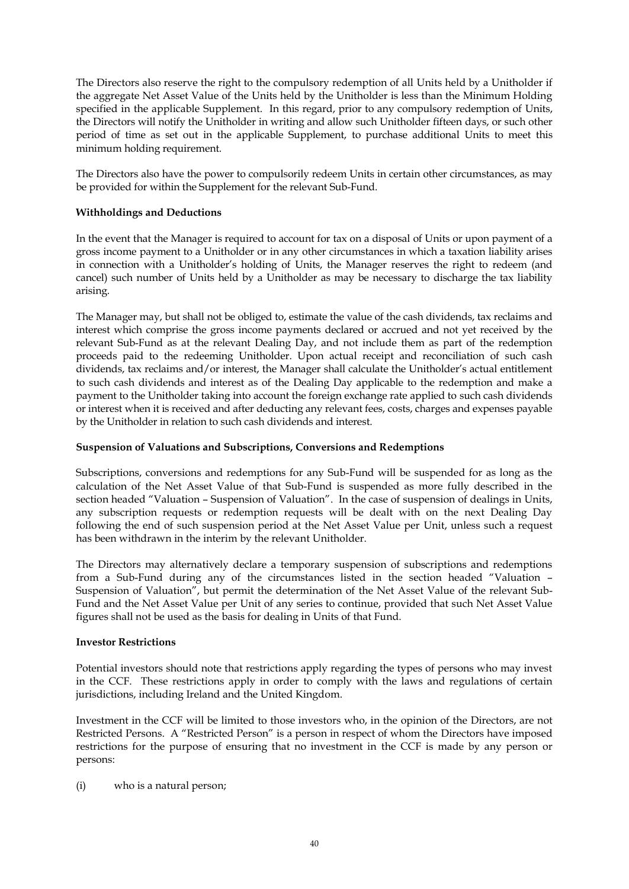The Directors also reserve the right to the compulsory redemption of all Units held by a Unitholder if the aggregate Net Asset Value of the Units held by the Unitholder is less than the Minimum Holding specified in the applicable Supplement. In this regard, prior to any compulsory redemption of Units, the Directors will notify the Unitholder in writing and allow such Unitholder fifteen days, or such other period of time as set out in the applicable Supplement, to purchase additional Units to meet this minimum holding requirement.

The Directors also have the power to compulsorily redeem Units in certain other circumstances, as may be provided for within the Supplement for the relevant Sub-Fund.

# **Withholdings and Deductions**

In the event that the Manager is required to account for tax on a disposal of Units or upon payment of a gross income payment to a Unitholder or in any other circumstances in which a taxation liability arises in connection with a Unitholder's holding of Units, the Manager reserves the right to redeem (and cancel) such number of Units held by a Unitholder as may be necessary to discharge the tax liability arising.

The Manager may, but shall not be obliged to, estimate the value of the cash dividends, tax reclaims and interest which comprise the gross income payments declared or accrued and not yet received by the relevant Sub-Fund as at the relevant Dealing Day, and not include them as part of the redemption proceeds paid to the redeeming Unitholder. Upon actual receipt and reconciliation of such cash dividends, tax reclaims and/or interest, the Manager shall calculate the Unitholder's actual entitlement to such cash dividends and interest as of the Dealing Day applicable to the redemption and make a payment to the Unitholder taking into account the foreign exchange rate applied to such cash dividends or interest when it is received and after deducting any relevant fees, costs, charges and expenses payable by the Unitholder in relation to such cash dividends and interest.

## **Suspension of Valuations and Subscriptions, Conversions and Redemptions**

Subscriptions, conversions and redemptions for any Sub-Fund will be suspended for as long as the calculation of the Net Asset Value of that Sub-Fund is suspended as more fully described in the section headed "Valuation – Suspension of Valuation". In the case of suspension of dealings in Units, any subscription requests or redemption requests will be dealt with on the next Dealing Day following the end of such suspension period at the Net Asset Value per Unit, unless such a request has been withdrawn in the interim by the relevant Unitholder.

The Directors may alternatively declare a temporary suspension of subscriptions and redemptions from a Sub-Fund during any of the circumstances listed in the section headed "Valuation – Suspension of Valuation", but permit the determination of the Net Asset Value of the relevant Sub-Fund and the Net Asset Value per Unit of any series to continue, provided that such Net Asset Value figures shall not be used as the basis for dealing in Units of that Fund.

## **Investor Restrictions**

Potential investors should note that restrictions apply regarding the types of persons who may invest in the CCF. These restrictions apply in order to comply with the laws and regulations of certain jurisdictions, including Ireland and the United Kingdom.

Investment in the CCF will be limited to those investors who, in the opinion of the Directors, are not Restricted Persons. A "Restricted Person" is a person in respect of whom the Directors have imposed restrictions for the purpose of ensuring that no investment in the CCF is made by any person or persons:

(i) who is a natural person;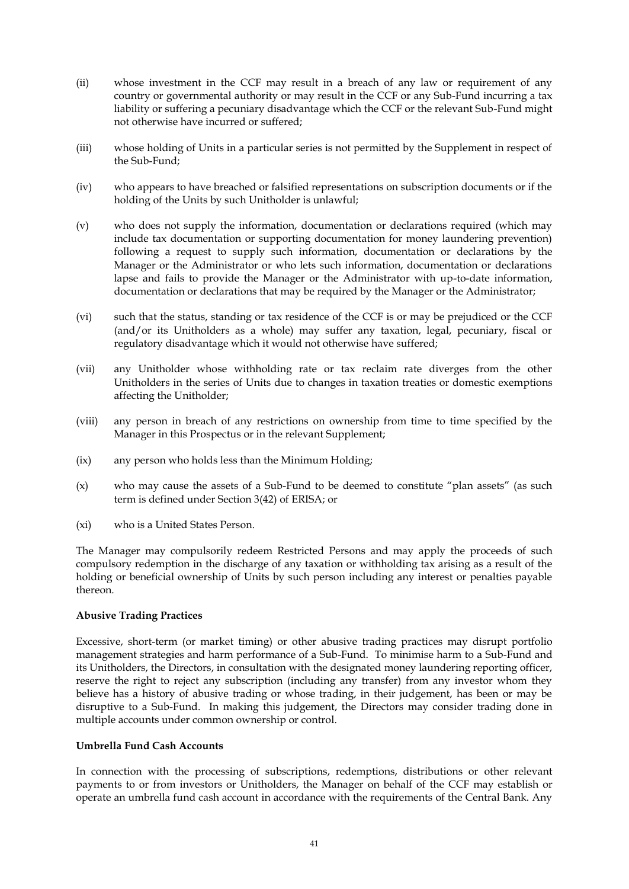- (ii) whose investment in the CCF may result in a breach of any law or requirement of any country or governmental authority or may result in the CCF or any Sub-Fund incurring a tax liability or suffering a pecuniary disadvantage which the CCF or the relevant Sub-Fund might not otherwise have incurred or suffered;
- (iii) whose holding of Units in a particular series is not permitted by the Supplement in respect of the Sub-Fund;
- (iv) who appears to have breached or falsified representations on subscription documents or if the holding of the Units by such Unitholder is unlawful;
- (v) who does not supply the information, documentation or declarations required (which may include tax documentation or supporting documentation for money laundering prevention) following a request to supply such information, documentation or declarations by the Manager or the Administrator or who lets such information, documentation or declarations lapse and fails to provide the Manager or the Administrator with up-to-date information, documentation or declarations that may be required by the Manager or the Administrator;
- (vi) such that the status, standing or tax residence of the CCF is or may be prejudiced or the CCF (and/or its Unitholders as a whole) may suffer any taxation, legal, pecuniary, fiscal or regulatory disadvantage which it would not otherwise have suffered;
- (vii) any Unitholder whose withholding rate or tax reclaim rate diverges from the other Unitholders in the series of Units due to changes in taxation treaties or domestic exemptions affecting the Unitholder;
- (viii) any person in breach of any restrictions on ownership from time to time specified by the Manager in this Prospectus or in the relevant Supplement;
- (ix) any person who holds less than the Minimum Holding;
- (x) who may cause the assets of a Sub-Fund to be deemed to constitute "plan assets" (as such term is defined under Section 3(42) of ERISA; or
- (xi) who is a United States Person.

The Manager may compulsorily redeem Restricted Persons and may apply the proceeds of such compulsory redemption in the discharge of any taxation or withholding tax arising as a result of the holding or beneficial ownership of Units by such person including any interest or penalties payable thereon.

## **Abusive Trading Practices**

Excessive, short-term (or market timing) or other abusive trading practices may disrupt portfolio management strategies and harm performance of a Sub-Fund. To minimise harm to a Sub-Fund and its Unitholders, the Directors, in consultation with the designated money laundering reporting officer, reserve the right to reject any subscription (including any transfer) from any investor whom they believe has a history of abusive trading or whose trading, in their judgement, has been or may be disruptive to a Sub-Fund. In making this judgement, the Directors may consider trading done in multiple accounts under common ownership or control.

#### **Umbrella Fund Cash Accounts**

In connection with the processing of subscriptions, redemptions, distributions or other relevant payments to or from investors or Unitholders, the Manager on behalf of the CCF may establish or operate an umbrella fund cash account in accordance with the requirements of the Central Bank. Any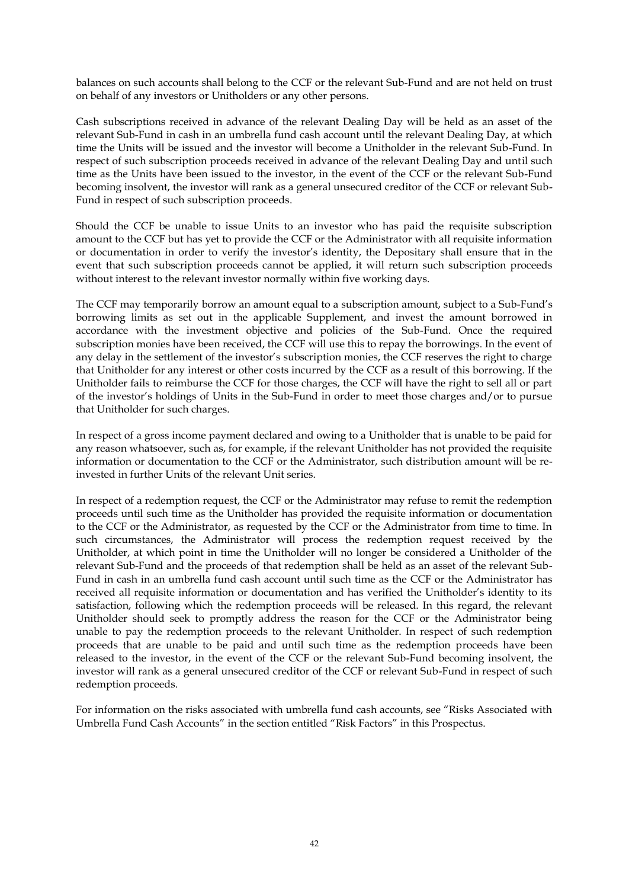balances on such accounts shall belong to the CCF or the relevant Sub-Fund and are not held on trust on behalf of any investors or Unitholders or any other persons.

Cash subscriptions received in advance of the relevant Dealing Day will be held as an asset of the relevant Sub-Fund in cash in an umbrella fund cash account until the relevant Dealing Day, at which time the Units will be issued and the investor will become a Unitholder in the relevant Sub-Fund. In respect of such subscription proceeds received in advance of the relevant Dealing Day and until such time as the Units have been issued to the investor, in the event of the CCF or the relevant Sub-Fund becoming insolvent, the investor will rank as a general unsecured creditor of the CCF or relevant Sub-Fund in respect of such subscription proceeds.

Should the CCF be unable to issue Units to an investor who has paid the requisite subscription amount to the CCF but has yet to provide the CCF or the Administrator with all requisite information or documentation in order to verify the investor's identity, the Depositary shall ensure that in the event that such subscription proceeds cannot be applied, it will return such subscription proceeds without interest to the relevant investor normally within five working days.

The CCF may temporarily borrow an amount equal to a subscription amount, subject to a Sub-Fund's borrowing limits as set out in the applicable Supplement, and invest the amount borrowed in accordance with the investment objective and policies of the Sub-Fund. Once the required subscription monies have been received, the CCF will use this to repay the borrowings. In the event of any delay in the settlement of the investor's subscription monies, the CCF reserves the right to charge that Unitholder for any interest or other costs incurred by the CCF as a result of this borrowing. If the Unitholder fails to reimburse the CCF for those charges, the CCF will have the right to sell all or part of the investor's holdings of Units in the Sub-Fund in order to meet those charges and/or to pursue that Unitholder for such charges.

In respect of a gross income payment declared and owing to a Unitholder that is unable to be paid for any reason whatsoever, such as, for example, if the relevant Unitholder has not provided the requisite information or documentation to the CCF or the Administrator, such distribution amount will be reinvested in further Units of the relevant Unit series.

In respect of a redemption request, the CCF or the Administrator may refuse to remit the redemption proceeds until such time as the Unitholder has provided the requisite information or documentation to the CCF or the Administrator, as requested by the CCF or the Administrator from time to time. In such circumstances, the Administrator will process the redemption request received by the Unitholder, at which point in time the Unitholder will no longer be considered a Unitholder of the relevant Sub-Fund and the proceeds of that redemption shall be held as an asset of the relevant Sub-Fund in cash in an umbrella fund cash account until such time as the CCF or the Administrator has received all requisite information or documentation and has verified the Unitholder's identity to its satisfaction, following which the redemption proceeds will be released. In this regard, the relevant Unitholder should seek to promptly address the reason for the CCF or the Administrator being unable to pay the redemption proceeds to the relevant Unitholder. In respect of such redemption proceeds that are unable to be paid and until such time as the redemption proceeds have been released to the investor, in the event of the CCF or the relevant Sub-Fund becoming insolvent, the investor will rank as a general unsecured creditor of the CCF or relevant Sub-Fund in respect of such redemption proceeds.

For information on the risks associated with umbrella fund cash accounts, see "Risks Associated with Umbrella Fund Cash Accounts" in the section entitled "Risk Factors" in this Prospectus.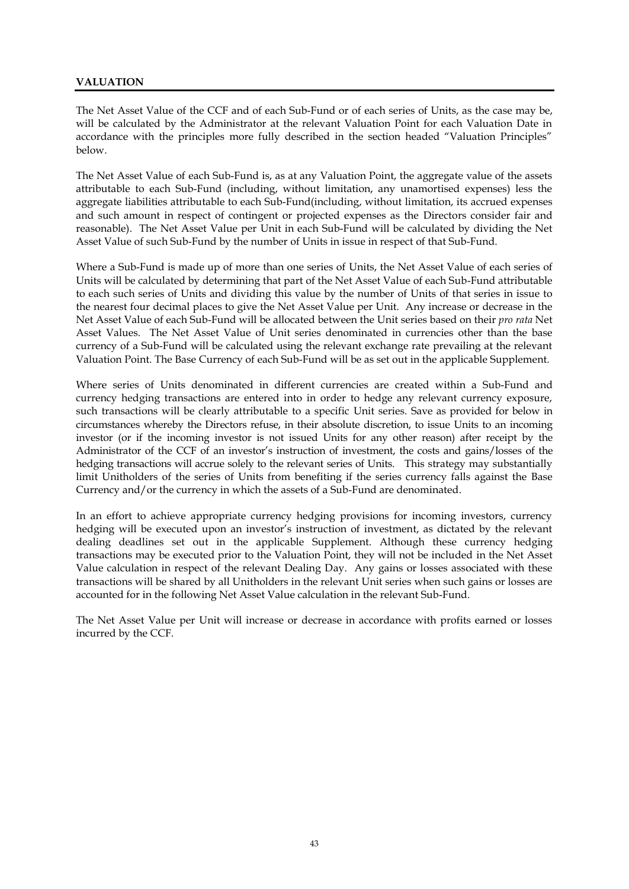# **VALUATION**

The Net Asset Value of the CCF and of each Sub-Fund or of each series of Units, as the case may be, will be calculated by the Administrator at the relevant Valuation Point for each Valuation Date in accordance with the principles more fully described in the section headed "Valuation Principles" below.

The Net Asset Value of each Sub-Fund is, as at any Valuation Point, the aggregate value of the assets attributable to each Sub-Fund (including, without limitation, any unamortised expenses) less the aggregate liabilities attributable to each Sub-Fund(including, without limitation, its accrued expenses and such amount in respect of contingent or projected expenses as the Directors consider fair and reasonable). The Net Asset Value per Unit in each Sub-Fund will be calculated by dividing the Net Asset Value of such Sub-Fund by the number of Units in issue in respect of that Sub-Fund.

Where a Sub-Fund is made up of more than one series of Units, the Net Asset Value of each series of Units will be calculated by determining that part of the Net Asset Value of each Sub-Fund attributable to each such series of Units and dividing this value by the number of Units of that series in issue to the nearest four decimal places to give the Net Asset Value per Unit. Any increase or decrease in the Net Asset Value of each Sub-Fund will be allocated between the Unit series based on their *pro rata* Net Asset Values. The Net Asset Value of Unit series denominated in currencies other than the base currency of a Sub-Fund will be calculated using the relevant exchange rate prevailing at the relevant Valuation Point. The Base Currency of each Sub-Fund will be as set out in the applicable Supplement.

Where series of Units denominated in different currencies are created within a Sub-Fund and currency hedging transactions are entered into in order to hedge any relevant currency exposure, such transactions will be clearly attributable to a specific Unit series. Save as provided for below in circumstances whereby the Directors refuse, in their absolute discretion, to issue Units to an incoming investor (or if the incoming investor is not issued Units for any other reason) after receipt by the Administrator of the CCF of an investor's instruction of investment, the costs and gains/losses of the hedging transactions will accrue solely to the relevant series of Units. This strategy may substantially limit Unitholders of the series of Units from benefiting if the series currency falls against the Base Currency and/or the currency in which the assets of a Sub-Fund are denominated.

In an effort to achieve appropriate currency hedging provisions for incoming investors, currency hedging will be executed upon an investor's instruction of investment, as dictated by the relevant dealing deadlines set out in the applicable Supplement. Although these currency hedging transactions may be executed prior to the Valuation Point, they will not be included in the Net Asset Value calculation in respect of the relevant Dealing Day. Any gains or losses associated with these transactions will be shared by all Unitholders in the relevant Unit series when such gains or losses are accounted for in the following Net Asset Value calculation in the relevant Sub-Fund.

The Net Asset Value per Unit will increase or decrease in accordance with profits earned or losses incurred by the CCF.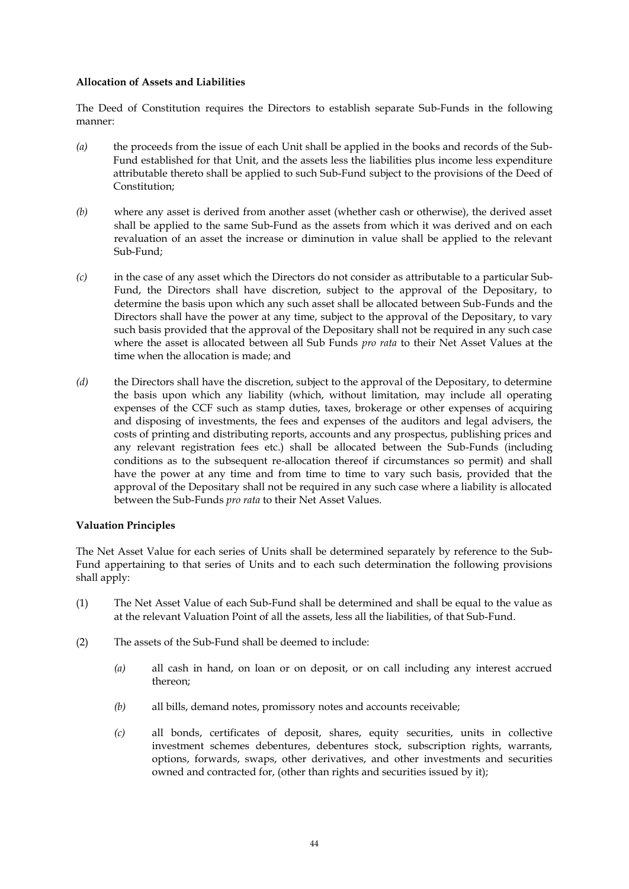### **Allocation of Assets and Liabilities**

The Deed of Constitution requires the Directors to establish separate Sub-Funds in the following manner:

- *(a)* the proceeds from the issue of each Unit shall be applied in the books and records of the Sub-Fund established for that Unit, and the assets less the liabilities plus income less expenditure attributable thereto shall be applied to such Sub-Fund subject to the provisions of the Deed of Constitution;
- *(b)* where any asset is derived from another asset (whether cash or otherwise), the derived asset shall be applied to the same Sub-Fund as the assets from which it was derived and on each revaluation of an asset the increase or diminution in value shall be applied to the relevant Sub-Fund;
- *(c)* in the case of any asset which the Directors do not consider as attributable to a particular Sub-Fund, the Directors shall have discretion, subject to the approval of the Depositary, to determine the basis upon which any such asset shall be allocated between Sub-Funds and the Directors shall have the power at any time, subject to the approval of the Depositary, to vary such basis provided that the approval of the Depositary shall not be required in any such case where the asset is allocated between all Sub Funds *pro rata* to their Net Asset Values at the time when the allocation is made; and
- *(d)* the Directors shall have the discretion, subject to the approval of the Depositary, to determine the basis upon which any liability (which, without limitation, may include all operating expenses of the CCF such as stamp duties, taxes, brokerage or other expenses of acquiring and disposing of investments, the fees and expenses of the auditors and legal advisers, the costs of printing and distributing reports, accounts and any prospectus, publishing prices and any relevant registration fees etc.) shall be allocated between the Sub-Funds (including conditions as to the subsequent re-allocation thereof if circumstances so permit) and shall have the power at any time and from time to time to vary such basis, provided that the approval of the Depositary shall not be required in any such case where a liability is allocated between the Sub-Funds *pro rata* to their Net Asset Values.

## **Valuation Principles**

The Net Asset Value for each series of Units shall be determined separately by reference to the Sub-Fund appertaining to that series of Units and to each such determination the following provisions shall apply:

- (1) The Net Asset Value of each Sub-Fund shall be determined and shall be equal to the value as at the relevant Valuation Point of all the assets, less all the liabilities, of that Sub-Fund.
- (2) The assets of the Sub-Fund shall be deemed to include:
	- *(a)* all cash in hand, on loan or on deposit, or on call including any interest accrued thereon;
	- *(b)* all bills, demand notes, promissory notes and accounts receivable;
	- *(c)* all bonds, certificates of deposit, shares, equity securities, units in collective investment schemes debentures, debentures stock, subscription rights, warrants, options, forwards, swaps, other derivatives, and other investments and securities owned and contracted for, (other than rights and securities issued by it);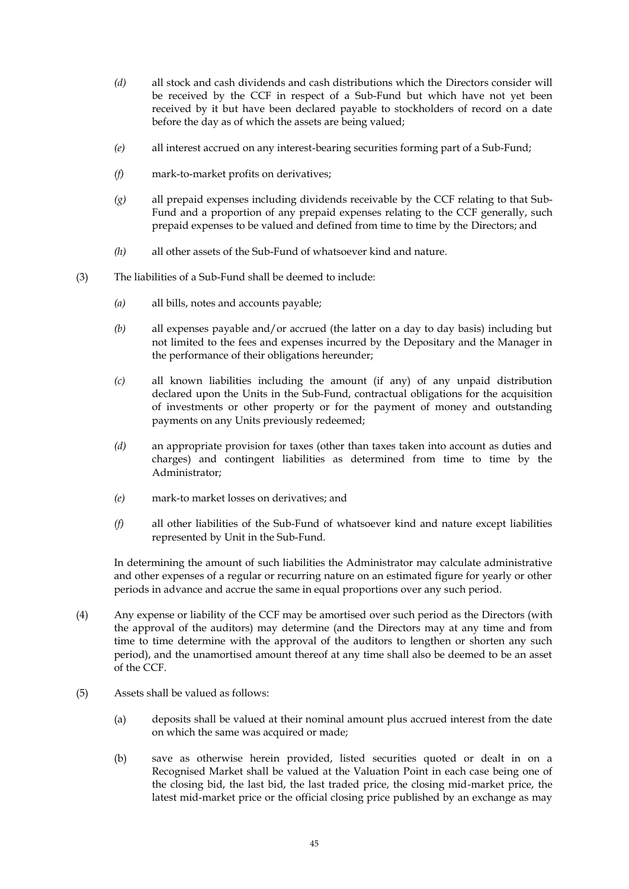- *(d)* all stock and cash dividends and cash distributions which the Directors consider will be received by the CCF in respect of a Sub-Fund but which have not yet been received by it but have been declared payable to stockholders of record on a date before the day as of which the assets are being valued;
- *(e)* all interest accrued on any interest-bearing securities forming part of a Sub-Fund;
- *(f)* mark-to-market profits on derivatives;
- *(g)* all prepaid expenses including dividends receivable by the CCF relating to that Sub-Fund and a proportion of any prepaid expenses relating to the CCF generally, such prepaid expenses to be valued and defined from time to time by the Directors; and
- *(h)* all other assets of the Sub-Fund of whatsoever kind and nature.
- (3) The liabilities of a Sub-Fund shall be deemed to include:
	- *(a)* all bills, notes and accounts payable;
	- *(b)* all expenses payable and/or accrued (the latter on a day to day basis) including but not limited to the fees and expenses incurred by the Depositary and the Manager in the performance of their obligations hereunder;
	- *(c)* all known liabilities including the amount (if any) of any unpaid distribution declared upon the Units in the Sub-Fund, contractual obligations for the acquisition of investments or other property or for the payment of money and outstanding payments on any Units previously redeemed;
	- *(d)* an appropriate provision for taxes (other than taxes taken into account as duties and charges) and contingent liabilities as determined from time to time by the Administrator;
	- *(e)* mark-to market losses on derivatives; and
	- *(f)* all other liabilities of the Sub-Fund of whatsoever kind and nature except liabilities represented by Unit in the Sub-Fund.

In determining the amount of such liabilities the Administrator may calculate administrative and other expenses of a regular or recurring nature on an estimated figure for yearly or other periods in advance and accrue the same in equal proportions over any such period.

- (4) Any expense or liability of the CCF may be amortised over such period as the Directors (with the approval of the auditors) may determine (and the Directors may at any time and from time to time determine with the approval of the auditors to lengthen or shorten any such period), and the unamortised amount thereof at any time shall also be deemed to be an asset of the CCF.
- (5) Assets shall be valued as follows:
	- (a) deposits shall be valued at their nominal amount plus accrued interest from the date on which the same was acquired or made;
	- (b) save as otherwise herein provided, listed securities quoted or dealt in on a Recognised Market shall be valued at the Valuation Point in each case being one of the closing bid, the last bid, the last traded price, the closing mid-market price, the latest mid-market price or the official closing price published by an exchange as may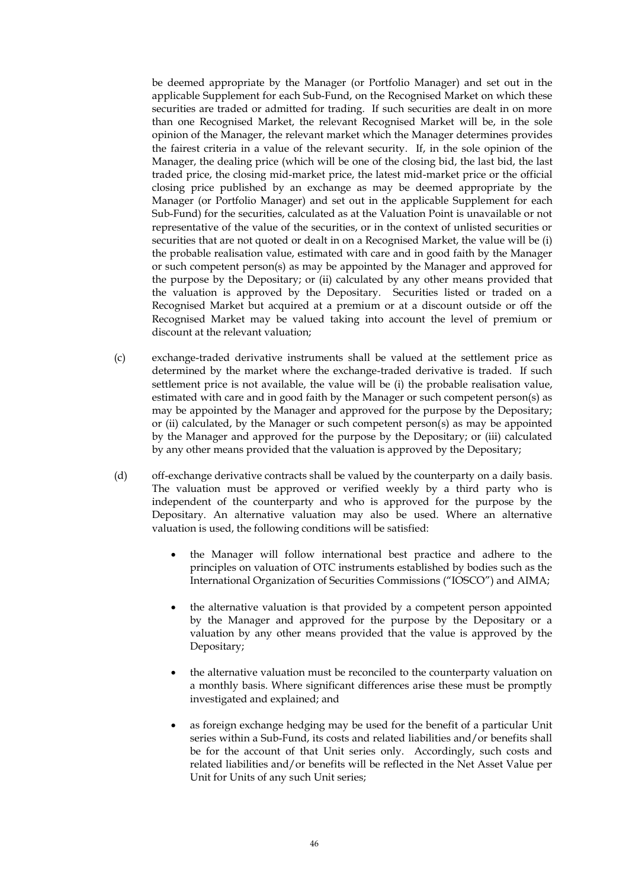be deemed appropriate by the Manager (or Portfolio Manager) and set out in the applicable Supplement for each Sub-Fund, on the Recognised Market on which these securities are traded or admitted for trading. If such securities are dealt in on more than one Recognised Market, the relevant Recognised Market will be, in the sole opinion of the Manager, the relevant market which the Manager determines provides the fairest criteria in a value of the relevant security. If, in the sole opinion of the Manager, the dealing price (which will be one of the closing bid, the last bid, the last traded price, the closing mid-market price, the latest mid-market price or the official closing price published by an exchange as may be deemed appropriate by the Manager (or Portfolio Manager) and set out in the applicable Supplement for each Sub-Fund) for the securities, calculated as at the Valuation Point is unavailable or not representative of the value of the securities, or in the context of unlisted securities or securities that are not quoted or dealt in on a Recognised Market, the value will be (i) the probable realisation value, estimated with care and in good faith by the Manager or such competent person(s) as may be appointed by the Manager and approved for the purpose by the Depositary; or (ii) calculated by any other means provided that the valuation is approved by the Depositary. Securities listed or traded on a Recognised Market but acquired at a premium or at a discount outside or off the Recognised Market may be valued taking into account the level of premium or discount at the relevant valuation;

- (c) exchange-traded derivative instruments shall be valued at the settlement price as determined by the market where the exchange-traded derivative is traded. If such settlement price is not available, the value will be (i) the probable realisation value, estimated with care and in good faith by the Manager or such competent person(s) as may be appointed by the Manager and approved for the purpose by the Depositary; or (ii) calculated, by the Manager or such competent person(s) as may be appointed by the Manager and approved for the purpose by the Depositary; or (iii) calculated by any other means provided that the valuation is approved by the Depositary;
- (d) off-exchange derivative contracts shall be valued by the counterparty on a daily basis. The valuation must be approved or verified weekly by a third party who is independent of the counterparty and who is approved for the purpose by the Depositary. An alternative valuation may also be used. Where an alternative valuation is used, the following conditions will be satisfied:
	- the Manager will follow international best practice and adhere to the principles on valuation of OTC instruments established by bodies such as the International Organization of Securities Commissions ("IOSCO") and AIMA;
	- the alternative valuation is that provided by a competent person appointed by the Manager and approved for the purpose by the Depositary or a valuation by any other means provided that the value is approved by the Depositary;
	- the alternative valuation must be reconciled to the counterparty valuation on a monthly basis. Where significant differences arise these must be promptly investigated and explained; and
	- as foreign exchange hedging may be used for the benefit of a particular Unit series within a Sub-Fund, its costs and related liabilities and/or benefits shall be for the account of that Unit series only. Accordingly, such costs and related liabilities and/or benefits will be reflected in the Net Asset Value per Unit for Units of any such Unit series;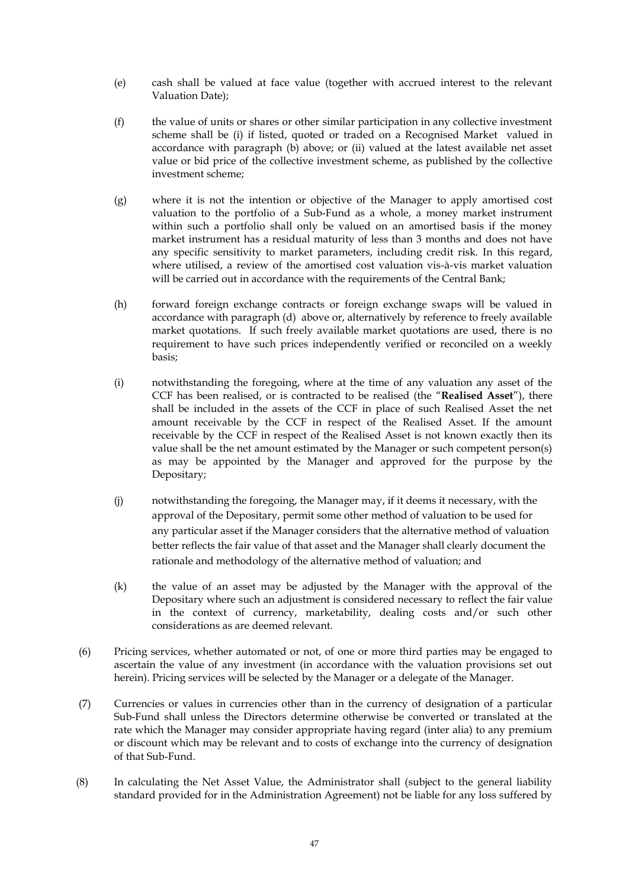- (e) cash shall be valued at face value (together with accrued interest to the relevant Valuation Date);
- (f) the value of units or shares or other similar participation in any collective investment scheme shall be (i) if listed, quoted or traded on a Recognised Market valued in accordance with paragraph (b) above; or (ii) valued at the latest available net asset value or bid price of the collective investment scheme, as published by the collective investment scheme;
- (g) where it is not the intention or objective of the Manager to apply amortised cost valuation to the portfolio of a Sub-Fund as a whole, a money market instrument within such a portfolio shall only be valued on an amortised basis if the money market instrument has a residual maturity of less than 3 months and does not have any specific sensitivity to market parameters, including credit risk. In this regard, where utilised, a review of the amortised cost valuation vis-à-vis market valuation will be carried out in accordance with the requirements of the Central Bank;
- (h) forward foreign exchange contracts or foreign exchange swaps will be valued in accordance with paragraph (d) above or, alternatively by reference to freely available market quotations. If such freely available market quotations are used, there is no requirement to have such prices independently verified or reconciled on a weekly basis;
- (i) notwithstanding the foregoing, where at the time of any valuation any asset of the CCF has been realised, or is contracted to be realised (the "**Realised Asset**"), there shall be included in the assets of the CCF in place of such Realised Asset the net amount receivable by the CCF in respect of the Realised Asset. If the amount receivable by the CCF in respect of the Realised Asset is not known exactly then its value shall be the net amount estimated by the Manager or such competent person(s) as may be appointed by the Manager and approved for the purpose by the Depositary;
- (j) notwithstanding the foregoing, the Manager may, if it deems it necessary, with the approval of the Depositary, permit some other method of valuation to be used for any particular asset if the Manager considers that the alternative method of valuation better reflects the fair value of that asset and the Manager shall clearly document the rationale and methodology of the alternative method of valuation; and
- (k) the value of an asset may be adjusted by the Manager with the approval of the Depositary where such an adjustment is considered necessary to reflect the fair value in the context of currency, marketability, dealing costs and/or such other considerations as are deemed relevant.
- (6) Pricing services, whether automated or not, of one or more third parties may be engaged to ascertain the value of any investment (in accordance with the valuation provisions set out herein). Pricing services will be selected by the Manager or a delegate of the Manager.
- (7) Currencies or values in currencies other than in the currency of designation of a particular Sub-Fund shall unless the Directors determine otherwise be converted or translated at the rate which the Manager may consider appropriate having regard (inter alia) to any premium or discount which may be relevant and to costs of exchange into the currency of designation of that Sub-Fund.
- (8) In calculating the Net Asset Value, the Administrator shall (subject to the general liability standard provided for in the Administration Agreement) not be liable for any loss suffered by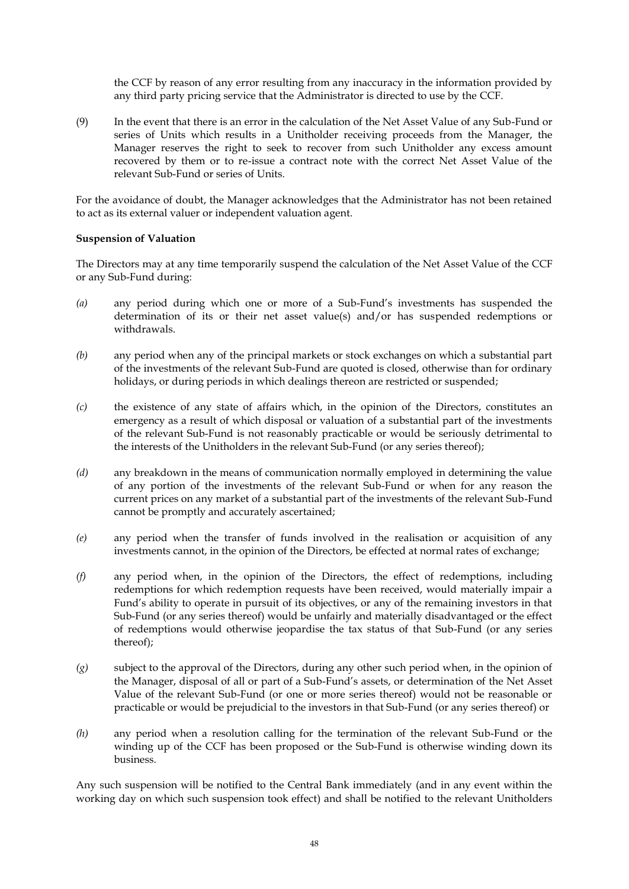the CCF by reason of any error resulting from any inaccuracy in the information provided by any third party pricing service that the Administrator is directed to use by the CCF.

(9) In the event that there is an error in the calculation of the Net Asset Value of any Sub-Fund or series of Units which results in a Unitholder receiving proceeds from the Manager, the Manager reserves the right to seek to recover from such Unitholder any excess amount recovered by them or to re-issue a contract note with the correct Net Asset Value of the relevant Sub-Fund or series of Units.

For the avoidance of doubt, the Manager acknowledges that the Administrator has not been retained to act as its external valuer or independent valuation agent.

### **Suspension of Valuation**

The Directors may at any time temporarily suspend the calculation of the Net Asset Value of the CCF or any Sub-Fund during:

- *(a)* any period during which one or more of a Sub-Fund's investments has suspended the determination of its or their net asset value(s) and/or has suspended redemptions or withdrawals.
- *(b)* any period when any of the principal markets or stock exchanges on which a substantial part of the investments of the relevant Sub-Fund are quoted is closed, otherwise than for ordinary holidays, or during periods in which dealings thereon are restricted or suspended;
- *(c)* the existence of any state of affairs which, in the opinion of the Directors, constitutes an emergency as a result of which disposal or valuation of a substantial part of the investments of the relevant Sub-Fund is not reasonably practicable or would be seriously detrimental to the interests of the Unitholders in the relevant Sub-Fund (or any series thereof);
- *(d)* any breakdown in the means of communication normally employed in determining the value of any portion of the investments of the relevant Sub-Fund or when for any reason the current prices on any market of a substantial part of the investments of the relevant Sub-Fund cannot be promptly and accurately ascertained;
- *(e)* any period when the transfer of funds involved in the realisation or acquisition of any investments cannot, in the opinion of the Directors, be effected at normal rates of exchange;
- *(f)* any period when, in the opinion of the Directors, the effect of redemptions, including redemptions for which redemption requests have been received, would materially impair a Fund's ability to operate in pursuit of its objectives, or any of the remaining investors in that Sub-Fund (or any series thereof) would be unfairly and materially disadvantaged or the effect of redemptions would otherwise jeopardise the tax status of that Sub-Fund (or any series thereof);
- *(g)* subject to the approval of the Directors, during any other such period when, in the opinion of the Manager, disposal of all or part of a Sub-Fund's assets, or determination of the Net Asset Value of the relevant Sub-Fund (or one or more series thereof) would not be reasonable or practicable or would be prejudicial to the investors in that Sub-Fund (or any series thereof) or
- *(h)* any period when a resolution calling for the termination of the relevant Sub-Fund or the winding up of the CCF has been proposed or the Sub-Fund is otherwise winding down its business.

Any such suspension will be notified to the Central Bank immediately (and in any event within the working day on which such suspension took effect) and shall be notified to the relevant Unitholders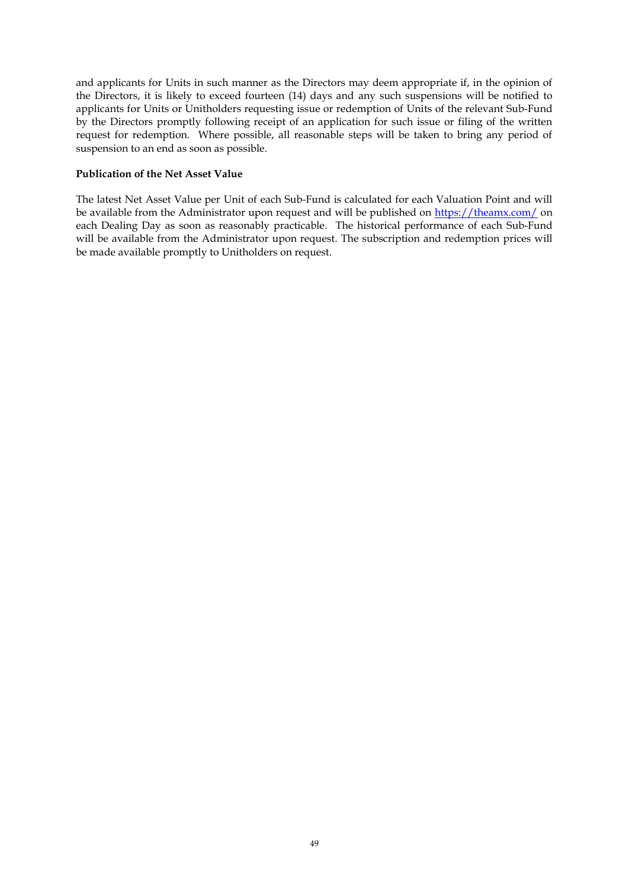and applicants for Units in such manner as the Directors may deem appropriate if, in the opinion of the Directors, it is likely to exceed fourteen (14) days and any such suspensions will be notified to applicants for Units or Unitholders requesting issue or redemption of Units of the relevant Sub-Fund by the Directors promptly following receipt of an application for such issue or filing of the written request for redemption. Where possible, all reasonable steps will be taken to bring any period of suspension to an end as soon as possible.

#### **Publication of the Net Asset Value**

The latest Net Asset Value per Unit of each Sub-Fund is calculated for each Valuation Point and will be available from the Administrator upon request and will be published on https://theamx.com/ on each Dealing Day as soon as reasonably practicable. The historical performance of each Sub-Fund will be available from the Administrator upon request. The subscription and redemption prices will be made available promptly to Unitholders on request.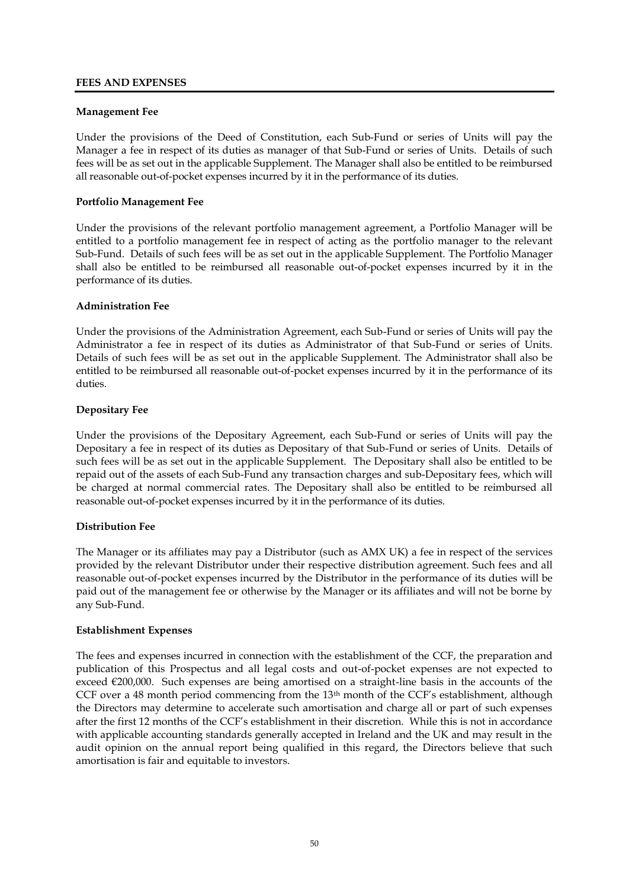### **FEES AND EXPENSES**

### **Management Fee**

Under the provisions of the Deed of Constitution, each Sub-Fund or series of Units will pay the Manager a fee in respect of its duties as manager of that Sub-Fund or series of Units. Details of such fees will be as set out in the applicable Supplement. The Manager shall also be entitled to be reimbursed all reasonable out-of-pocket expenses incurred by it in the performance of its duties.

### **Portfolio Management Fee**

Under the provisions of the relevant portfolio management agreement, a Portfolio Manager will be entitled to a portfolio management fee in respect of acting as the portfolio manager to the relevant Sub-Fund. Details of such fees will be as set out in the applicable Supplement. The Portfolio Manager shall also be entitled to be reimbursed all reasonable out-of-pocket expenses incurred by it in the performance of its duties.

### **Administration Fee**

Under the provisions of the Administration Agreement, each Sub-Fund or series of Units will pay the Administrator a fee in respect of its duties as Administrator of that Sub-Fund or series of Units. Details of such fees will be as set out in the applicable Supplement. The Administrator shall also be entitled to be reimbursed all reasonable out-of-pocket expenses incurred by it in the performance of its duties.

### **Depositary Fee**

Under the provisions of the Depositary Agreement, each Sub-Fund or series of Units will pay the Depositary a fee in respect of its duties as Depositary of that Sub-Fund or series of Units. Details of such fees will be as set out in the applicable Supplement. The Depositary shall also be entitled to be repaid out of the assets of each Sub-Fund any transaction charges and sub-Depositary fees, which will be charged at normal commercial rates. The Depositary shall also be entitled to be reimbursed all reasonable out-of-pocket expenses incurred by it in the performance of its duties.

## **Distribution Fee**

The Manager or its affiliates may pay a Distributor (such as AMX UK) a fee in respect of the services provided by the relevant Distributor under their respective distribution agreement. Such fees and all reasonable out-of-pocket expenses incurred by the Distributor in the performance of its duties will be paid out of the management fee or otherwise by the Manager or its affiliates and will not be borne by any Sub-Fund.

#### **Establishment Expenses**

The fees and expenses incurred in connection with the establishment of the CCF, the preparation and publication of this Prospectus and all legal costs and out-of-pocket expenses are not expected to exceed €200,000. Such expenses are being amortised on a straight-line basis in the accounts of the CCF over a 48 month period commencing from the  $13<sup>th</sup>$  month of the CCF's establishment, although the Directors may determine to accelerate such amortisation and charge all or part of such expenses after the first 12 months of the CCF's establishment in their discretion. While this is not in accordance with applicable accounting standards generally accepted in Ireland and the UK and may result in the audit opinion on the annual report being qualified in this regard, the Directors believe that such amortisation is fair and equitable to investors.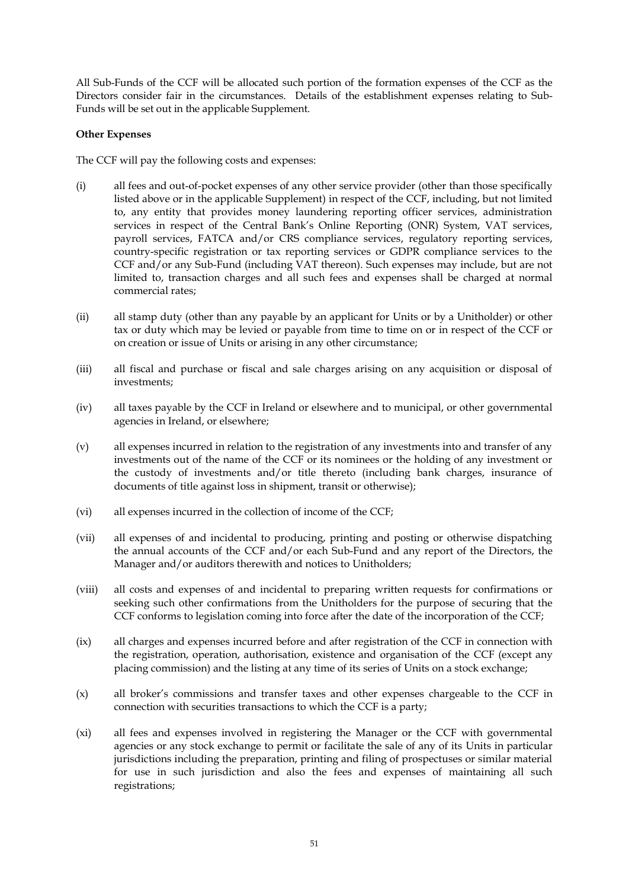All Sub-Funds of the CCF will be allocated such portion of the formation expenses of the CCF as the Directors consider fair in the circumstances. Details of the establishment expenses relating to Sub-Funds will be set out in the applicable Supplement.

## **Other Expenses**

The CCF will pay the following costs and expenses:

- (i) all fees and out-of-pocket expenses of any other service provider (other than those specifically listed above or in the applicable Supplement) in respect of the CCF, including, but not limited to, any entity that provides money laundering reporting officer services, administration services in respect of the Central Bank's Online Reporting (ONR) System, VAT services, payroll services, FATCA and/or CRS compliance services, regulatory reporting services, country-specific registration or tax reporting services or GDPR compliance services to the CCF and/or any Sub-Fund (including VAT thereon). Such expenses may include, but are not limited to, transaction charges and all such fees and expenses shall be charged at normal commercial rates;
- (ii) all stamp duty (other than any payable by an applicant for Units or by a Unitholder) or other tax or duty which may be levied or payable from time to time on or in respect of the CCF or on creation or issue of Units or arising in any other circumstance;
- (iii) all fiscal and purchase or fiscal and sale charges arising on any acquisition or disposal of investments;
- (iv) all taxes payable by the CCF in Ireland or elsewhere and to municipal, or other governmental agencies in Ireland, or elsewhere;
- (v) all expenses incurred in relation to the registration of any investments into and transfer of any investments out of the name of the CCF or its nominees or the holding of any investment or the custody of investments and/or title thereto (including bank charges, insurance of documents of title against loss in shipment, transit or otherwise);
- (vi) all expenses incurred in the collection of income of the CCF;
- (vii) all expenses of and incidental to producing, printing and posting or otherwise dispatching the annual accounts of the CCF and/or each Sub-Fund and any report of the Directors, the Manager and/or auditors therewith and notices to Unitholders;
- (viii) all costs and expenses of and incidental to preparing written requests for confirmations or seeking such other confirmations from the Unitholders for the purpose of securing that the CCF conforms to legislation coming into force after the date of the incorporation of the CCF;
- (ix) all charges and expenses incurred before and after registration of the CCF in connection with the registration, operation, authorisation, existence and organisation of the CCF (except any placing commission) and the listing at any time of its series of Units on a stock exchange;
- (x) all broker's commissions and transfer taxes and other expenses chargeable to the CCF in connection with securities transactions to which the CCF is a party;
- (xi) all fees and expenses involved in registering the Manager or the CCF with governmental agencies or any stock exchange to permit or facilitate the sale of any of its Units in particular jurisdictions including the preparation, printing and filing of prospectuses or similar material for use in such jurisdiction and also the fees and expenses of maintaining all such registrations;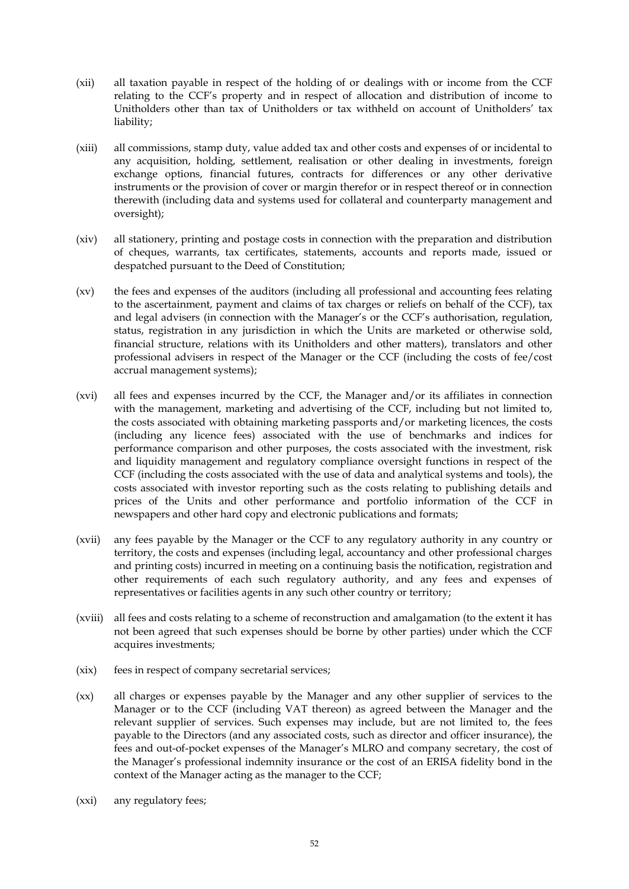- (xii) all taxation payable in respect of the holding of or dealings with or income from the CCF relating to the CCF's property and in respect of allocation and distribution of income to Unitholders other than tax of Unitholders or tax withheld on account of Unitholders' tax liability;
- (xiii) all commissions, stamp duty, value added tax and other costs and expenses of or incidental to any acquisition, holding, settlement, realisation or other dealing in investments, foreign exchange options, financial futures, contracts for differences or any other derivative instruments or the provision of cover or margin therefor or in respect thereof or in connection therewith (including data and systems used for collateral and counterparty management and oversight);
- (xiv) all stationery, printing and postage costs in connection with the preparation and distribution of cheques, warrants, tax certificates, statements, accounts and reports made, issued or despatched pursuant to the Deed of Constitution;
- (xv) the fees and expenses of the auditors (including all professional and accounting fees relating to the ascertainment, payment and claims of tax charges or reliefs on behalf of the CCF), tax and legal advisers (in connection with the Manager's or the CCF's authorisation, regulation, status, registration in any jurisdiction in which the Units are marketed or otherwise sold, financial structure, relations with its Unitholders and other matters), translators and other professional advisers in respect of the Manager or the CCF (including the costs of fee/cost accrual management systems);
- (xvi) all fees and expenses incurred by the CCF, the Manager and/or its affiliates in connection with the management, marketing and advertising of the CCF, including but not limited to, the costs associated with obtaining marketing passports and/or marketing licences, the costs (including any licence fees) associated with the use of benchmarks and indices for performance comparison and other purposes, the costs associated with the investment, risk and liquidity management and regulatory compliance oversight functions in respect of the CCF (including the costs associated with the use of data and analytical systems and tools), the costs associated with investor reporting such as the costs relating to publishing details and prices of the Units and other performance and portfolio information of the CCF in newspapers and other hard copy and electronic publications and formats;
- (xvii) any fees payable by the Manager or the CCF to any regulatory authority in any country or territory, the costs and expenses (including legal, accountancy and other professional charges and printing costs) incurred in meeting on a continuing basis the notification, registration and other requirements of each such regulatory authority, and any fees and expenses of representatives or facilities agents in any such other country or territory;
- (xviii) all fees and costs relating to a scheme of reconstruction and amalgamation (to the extent it has not been agreed that such expenses should be borne by other parties) under which the CCF acquires investments;
- (xix) fees in respect of company secretarial services;
- (xx) all charges or expenses payable by the Manager and any other supplier of services to the Manager or to the CCF (including VAT thereon) as agreed between the Manager and the relevant supplier of services. Such expenses may include, but are not limited to, the fees payable to the Directors (and any associated costs, such as director and officer insurance), the fees and out-of-pocket expenses of the Manager's MLRO and company secretary, the cost of the Manager's professional indemnity insurance or the cost of an ERISA fidelity bond in the context of the Manager acting as the manager to the CCF;
- (xxi) any regulatory fees;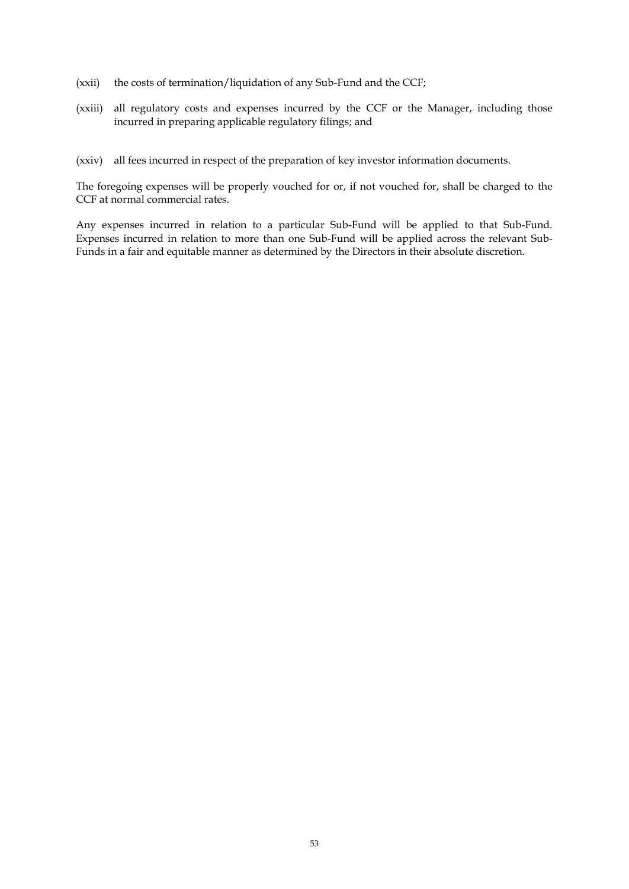- (xxii) the costs of termination/liquidation of any Sub-Fund and the CCF;
- (xxiii) all regulatory costs and expenses incurred by the CCF or the Manager, including those incurred in preparing applicable regulatory filings; and

(xxiv) all fees incurred in respect of the preparation of key investor information documents.

The foregoing expenses will be properly vouched for or, if not vouched for, shall be charged to the CCF at normal commercial rates.

Any expenses incurred in relation to a particular Sub-Fund will be applied to that Sub-Fund. Expenses incurred in relation to more than one Sub-Fund will be applied across the relevant Sub-Funds in a fair and equitable manner as determined by the Directors in their absolute discretion.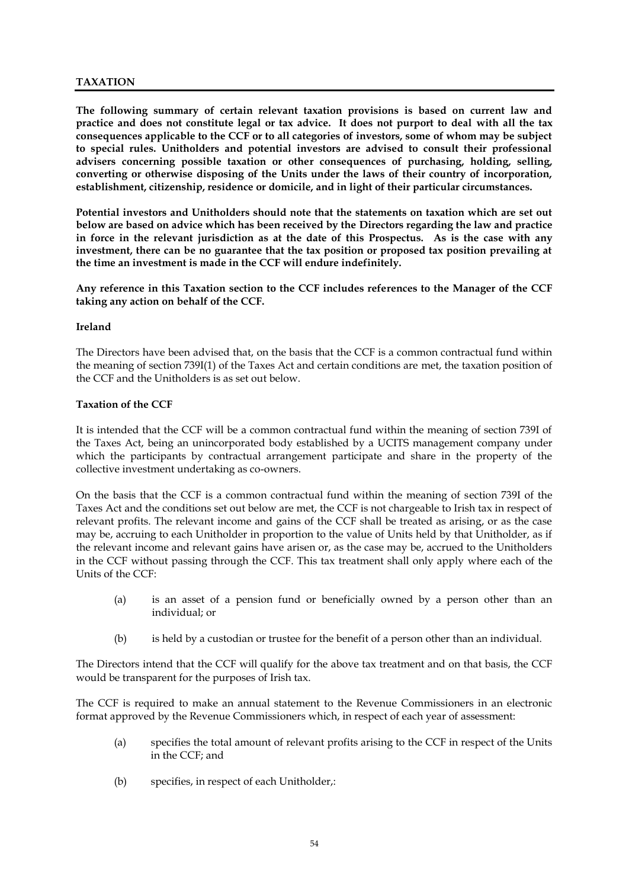## **TAXATION**

**The following summary of certain relevant taxation provisions is based on current law and practice and does not constitute legal or tax advice. It does not purport to deal with all the tax consequences applicable to the CCF or to all categories of investors, some of whom may be subject to special rules. Unitholders and potential investors are advised to consult their professional advisers concerning possible taxation or other consequences of purchasing, holding, selling, converting or otherwise disposing of the Units under the laws of their country of incorporation, establishment, citizenship, residence or domicile, and in light of their particular circumstances.**

**Potential investors and Unitholders should note that the statements on taxation which are set out below are based on advice which has been received by the Directors regarding the law and practice in force in the relevant jurisdiction as at the date of this Prospectus. As is the case with any investment, there can be no guarantee that the tax position or proposed tax position prevailing at the time an investment is made in the CCF will endure indefinitely.**

**Any reference in this Taxation section to the CCF includes references to the Manager of the CCF taking any action on behalf of the CCF.**

#### **Ireland**

The Directors have been advised that, on the basis that the CCF is a common contractual fund within the meaning of section 739I(1) of the Taxes Act and certain conditions are met, the taxation position of the CCF and the Unitholders is as set out below.

#### **Taxation of the CCF**

It is intended that the CCF will be a common contractual fund within the meaning of section 739I of the Taxes Act, being an unincorporated body established by a UCITS management company under which the participants by contractual arrangement participate and share in the property of the collective investment undertaking as co-owners.

On the basis that the CCF is a common contractual fund within the meaning of section 739I of the Taxes Act and the conditions set out below are met, the CCF is not chargeable to Irish tax in respect of relevant profits. The relevant income and gains of the CCF shall be treated as arising, or as the case may be, accruing to each Unitholder in proportion to the value of Units held by that Unitholder, as if the relevant income and relevant gains have arisen or, as the case may be, accrued to the Unitholders in the CCF without passing through the CCF. This tax treatment shall only apply where each of the Units of the CCF:

- (a) is an asset of a pension fund or beneficially owned by a person other than an individual; or
- (b) is held by a custodian or trustee for the benefit of a person other than an individual.

The Directors intend that the CCF will qualify for the above tax treatment and on that basis, the CCF would be transparent for the purposes of Irish tax.

The CCF is required to make an annual statement to the Revenue Commissioners in an electronic format approved by the Revenue Commissioners which, in respect of each year of assessment:

- (a) specifies the total amount of relevant profits arising to the CCF in respect of the Units in the CCF; and
- (b) specifies, in respect of each Unitholder,: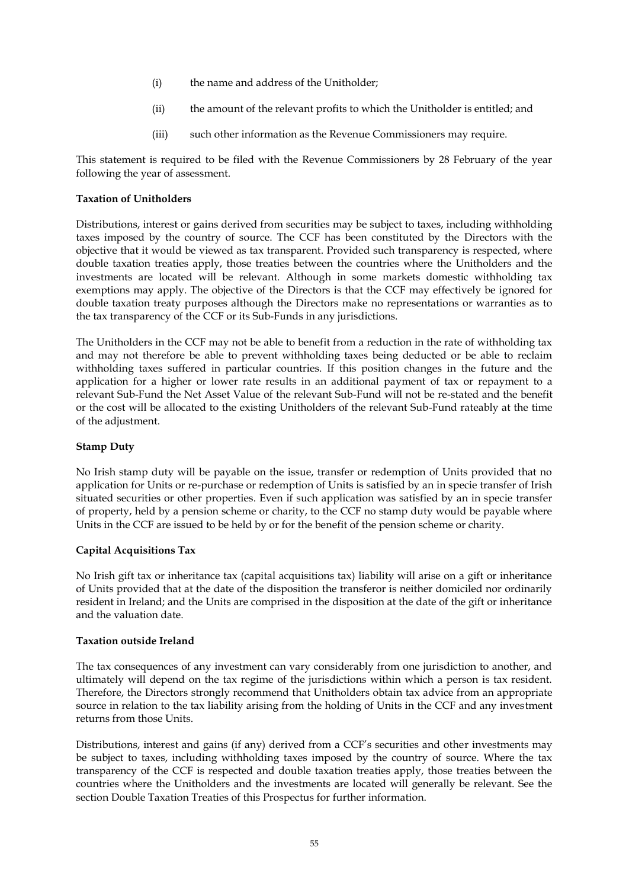- (i) the name and address of the Unitholder;
- (ii) the amount of the relevant profits to which the Unitholder is entitled; and
- (iii) such other information as the Revenue Commissioners may require.

This statement is required to be filed with the Revenue Commissioners by 28 February of the year following the year of assessment.

#### **Taxation of Unitholders**

Distributions, interest or gains derived from securities may be subject to taxes, including withholding taxes imposed by the country of source. The CCF has been constituted by the Directors with the objective that it would be viewed as tax transparent. Provided such transparency is respected, where double taxation treaties apply, those treaties between the countries where the Unitholders and the investments are located will be relevant. Although in some markets domestic withholding tax exemptions may apply. The objective of the Directors is that the CCF may effectively be ignored for double taxation treaty purposes although the Directors make no representations or warranties as to the tax transparency of the CCF or its Sub-Funds in any jurisdictions.

The Unitholders in the CCF may not be able to benefit from a reduction in the rate of withholding tax and may not therefore be able to prevent withholding taxes being deducted or be able to reclaim withholding taxes suffered in particular countries. If this position changes in the future and the application for a higher or lower rate results in an additional payment of tax or repayment to a relevant Sub-Fund the Net Asset Value of the relevant Sub-Fund will not be re-stated and the benefit or the cost will be allocated to the existing Unitholders of the relevant Sub-Fund rateably at the time of the adjustment.

#### **Stamp Duty**

No Irish stamp duty will be payable on the issue, transfer or redemption of Units provided that no application for Units or re-purchase or redemption of Units is satisfied by an in specie transfer of Irish situated securities or other properties. Even if such application was satisfied by an in specie transfer of property, held by a pension scheme or charity, to the CCF no stamp duty would be payable where Units in the CCF are issued to be held by or for the benefit of the pension scheme or charity.

## **Capital Acquisitions Tax**

No Irish gift tax or inheritance tax (capital acquisitions tax) liability will arise on a gift or inheritance of Units provided that at the date of the disposition the transferor is neither domiciled nor ordinarily resident in Ireland; and the Units are comprised in the disposition at the date of the gift or inheritance and the valuation date.

#### **Taxation outside Ireland**

The tax consequences of any investment can vary considerably from one jurisdiction to another, and ultimately will depend on the tax regime of the jurisdictions within which a person is tax resident. Therefore, the Directors strongly recommend that Unitholders obtain tax advice from an appropriate source in relation to the tax liability arising from the holding of Units in the CCF and any investment returns from those Units.

Distributions, interest and gains (if any) derived from a CCF's securities and other investments may be subject to taxes, including withholding taxes imposed by the country of source. Where the tax transparency of the CCF is respected and double taxation treaties apply, those treaties between the countries where the Unitholders and the investments are located will generally be relevant. See the section Double Taxation Treaties of this Prospectus for further information.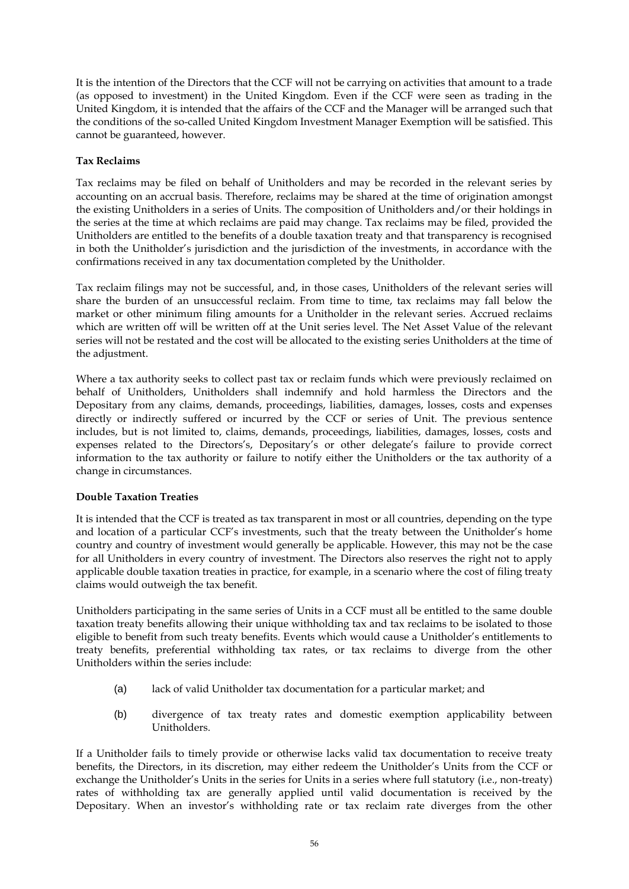It is the intention of the Directors that the CCF will not be carrying on activities that amount to a trade (as opposed to investment) in the United Kingdom. Even if the CCF were seen as trading in the United Kingdom, it is intended that the affairs of the CCF and the Manager will be arranged such that the conditions of the so-called United Kingdom Investment Manager Exemption will be satisfied. This cannot be guaranteed, however.

# **Tax Reclaims**

Tax reclaims may be filed on behalf of Unitholders and may be recorded in the relevant series by accounting on an accrual basis. Therefore, reclaims may be shared at the time of origination amongst the existing Unitholders in a series of Units. The composition of Unitholders and/or their holdings in the series at the time at which reclaims are paid may change. Tax reclaims may be filed, provided the Unitholders are entitled to the benefits of a double taxation treaty and that transparency is recognised in both the Unitholder's jurisdiction and the jurisdiction of the investments, in accordance with the confirmations received in any tax documentation completed by the Unitholder.

Tax reclaim filings may not be successful, and, in those cases, Unitholders of the relevant series will share the burden of an unsuccessful reclaim. From time to time, tax reclaims may fall below the market or other minimum filing amounts for a Unitholder in the relevant series. Accrued reclaims which are written off will be written off at the Unit series level. The Net Asset Value of the relevant series will not be restated and the cost will be allocated to the existing series Unitholders at the time of the adjustment.

Where a tax authority seeks to collect past tax or reclaim funds which were previously reclaimed on behalf of Unitholders, Unitholders shall indemnify and hold harmless the Directors and the Depositary from any claims, demands, proceedings, liabilities, damages, losses, costs and expenses directly or indirectly suffered or incurred by the CCF or series of Unit. The previous sentence includes, but is not limited to, claims, demands, proceedings, liabilities, damages, losses, costs and expenses related to the Directors's, Depositary's or other delegate's failure to provide correct information to the tax authority or failure to notify either the Unitholders or the tax authority of a change in circumstances.

## **Double Taxation Treaties**

It is intended that the CCF is treated as tax transparent in most or all countries, depending on the type and location of a particular CCF's investments, such that the treaty between the Unitholder's home country and country of investment would generally be applicable. However, this may not be the case for all Unitholders in every country of investment. The Directors also reserves the right not to apply applicable double taxation treaties in practice, for example, in a scenario where the cost of filing treaty claims would outweigh the tax benefit.

Unitholders participating in the same series of Units in a CCF must all be entitled to the same double taxation treaty benefits allowing their unique withholding tax and tax reclaims to be isolated to those eligible to benefit from such treaty benefits. Events which would cause a Unitholder's entitlements to treaty benefits, preferential withholding tax rates, or tax reclaims to diverge from the other Unitholders within the series include:

- (a) lack of valid Unitholder tax documentation for a particular market; and
- (b) divergence of tax treaty rates and domestic exemption applicability between Unitholders.

If a Unitholder fails to timely provide or otherwise lacks valid tax documentation to receive treaty benefits, the Directors, in its discretion, may either redeem the Unitholder's Units from the CCF or exchange the Unitholder's Units in the series for Units in a series where full statutory (i.e., non-treaty) rates of withholding tax are generally applied until valid documentation is received by the Depositary. When an investor's withholding rate or tax reclaim rate diverges from the other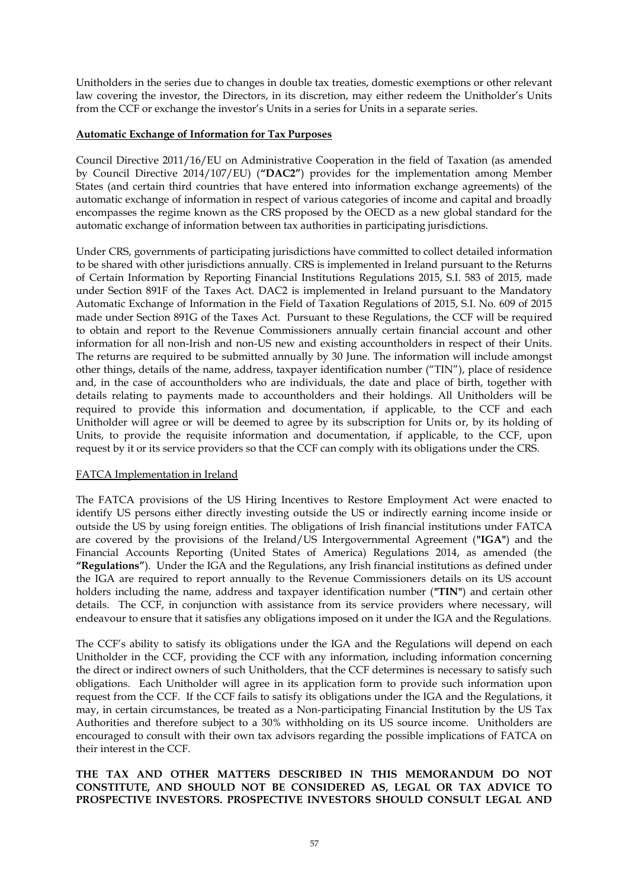Unitholders in the series due to changes in double tax treaties, domestic exemptions or other relevant law covering the investor, the Directors, in its discretion, may either redeem the Unitholder's Units from the CCF or exchange the investor's Units in a series for Units in a separate series.

#### **Automatic Exchange of Information for Tax Purposes**

Council Directive 2011/16/EU on Administrative Cooperation in the field of Taxation (as amended by Council Directive 2014/107/EU) (**"DAC2"**) provides for the implementation among Member States (and certain third countries that have entered into information exchange agreements) of the automatic exchange of information in respect of various categories of income and capital and broadly encompasses the regime known as the CRS proposed by the OECD as a new global standard for the automatic exchange of information between tax authorities in participating jurisdictions.

Under CRS, governments of participating jurisdictions have committed to collect detailed information to be shared with other jurisdictions annually. CRS is implemented in Ireland pursuant to the Returns of Certain Information by Reporting Financial Institutions Regulations 2015, S.I. 583 of 2015, made under Section 891F of the Taxes Act. DAC2 is implemented in Ireland pursuant to the Mandatory Automatic Exchange of Information in the Field of Taxation Regulations of 2015, S.I. No. 609 of 2015 made under Section 891G of the Taxes Act. Pursuant to these Regulations, the CCF will be required to obtain and report to the Revenue Commissioners annually certain financial account and other information for all non-Irish and non-US new and existing accountholders in respect of their Units. The returns are required to be submitted annually by 30 June. The information will include amongst other things, details of the name, address, taxpayer identification number ("TIN"), place of residence and, in the case of accountholders who are individuals, the date and place of birth, together with details relating to payments made to accountholders and their holdings. All Unitholders will be required to provide this information and documentation, if applicable, to the CCF and each Unitholder will agree or will be deemed to agree by its subscription for Units or, by its holding of Units, to provide the requisite information and documentation, if applicable, to the CCF, upon request by it or its service providers so that the CCF can comply with its obligations under the CRS.

#### FATCA Implementation in Ireland

The FATCA provisions of the US Hiring Incentives to Restore Employment Act were enacted to identify US persons either directly investing outside the US or indirectly earning income inside or outside the US by using foreign entities. The obligations of Irish financial institutions under FATCA are covered by the provisions of the Ireland/US Intergovernmental Agreement (**"IGA"**) and the Financial Accounts Reporting (United States of America) Regulations 2014, as amended (the **"Regulations"**). Under the IGA and the Regulations, any Irish financial institutions as defined under the IGA are required to report annually to the Revenue Commissioners details on its US account holders including the name, address and taxpayer identification number (**"TIN"**) and certain other details. The CCF, in conjunction with assistance from its service providers where necessary, will endeavour to ensure that it satisfies any obligations imposed on it under the IGA and the Regulations.

The CCF's ability to satisfy its obligations under the IGA and the Regulations will depend on each Unitholder in the CCF, providing the CCF with any information, including information concerning the direct or indirect owners of such Unitholders, that the CCF determines is necessary to satisfy such obligations. Each Unitholder will agree in its application form to provide such information upon request from the CCF. If the CCF fails to satisfy its obligations under the IGA and the Regulations, it may, in certain circumstances, be treated as a Non-participating Financial Institution by the US Tax Authorities and therefore subject to a 30% withholding on its US source income. Unitholders are encouraged to consult with their own tax advisors regarding the possible implications of FATCA on their interest in the CCF.

### **THE TAX AND OTHER MATTERS DESCRIBED IN THIS MEMORANDUM DO NOT CONSTITUTE, AND SHOULD NOT BE CONSIDERED AS, LEGAL OR TAX ADVICE TO PROSPECTIVE INVESTORS. PROSPECTIVE INVESTORS SHOULD CONSULT LEGAL AND**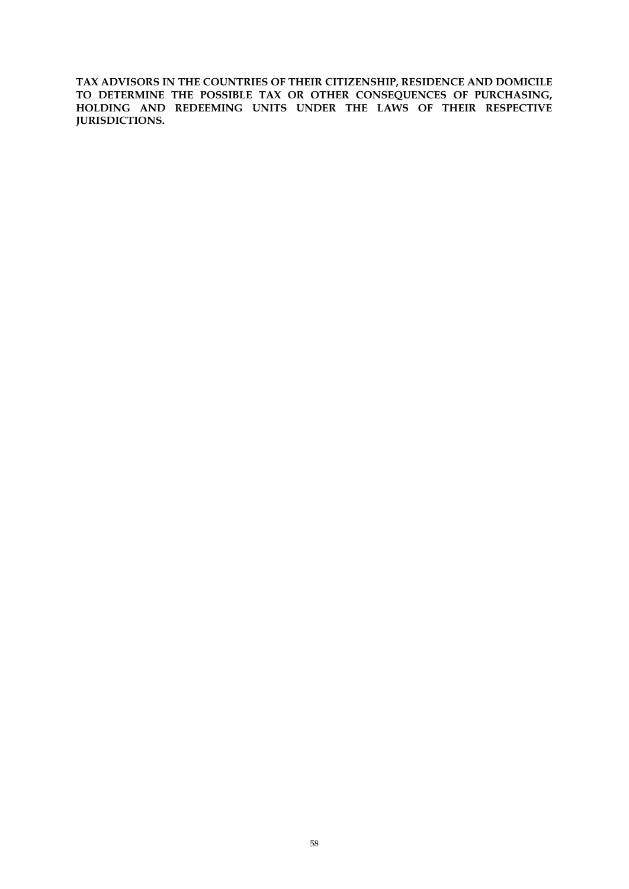**TAX ADVISORS IN THE COUNTRIES OF THEIR CITIZENSHIP, RESIDENCE AND DOMICILE TO DETERMINE THE POSSIBLE TAX OR OTHER CONSEQUENCES OF PURCHASING, HOLDING AND REDEEMING UNITS UNDER THE LAWS OF THEIR RESPECTIVE JURISDICTIONS.**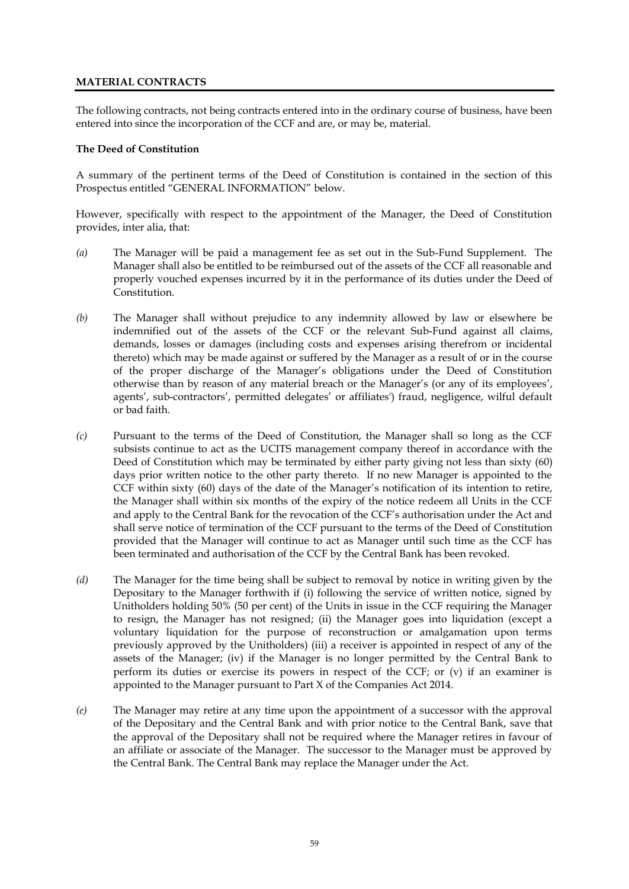# **MATERIAL CONTRACTS**

The following contracts, not being contracts entered into in the ordinary course of business, have been entered into since the incorporation of the CCF and are, or may be, material.

### **The Deed of Constitution**

A summary of the pertinent terms of the Deed of Constitution is contained in the section of this Prospectus entitled "GENERAL INFORMATION" below.

However, specifically with respect to the appointment of the Manager, the Deed of Constitution provides, inter alia, that:

- *(a)* The Manager will be paid a management fee as set out in the Sub-Fund Supplement. The Manager shall also be entitled to be reimbursed out of the assets of the CCF all reasonable and properly vouched expenses incurred by it in the performance of its duties under the Deed of Constitution.
- *(b)* The Manager shall without prejudice to any indemnity allowed by law or elsewhere be indemnified out of the assets of the CCF or the relevant Sub-Fund against all claims, demands, losses or damages (including costs and expenses arising therefrom or incidental thereto) which may be made against or suffered by the Manager as a result of or in the course of the proper discharge of the Manager's obligations under the Deed of Constitution otherwise than by reason of any material breach or the Manager's (or any of its employees', agents', sub-contractors', permitted delegates' or affiliates') fraud, negligence, wilful default or bad faith.
- *(c)* Pursuant to the terms of the Deed of Constitution, the Manager shall so long as the CCF subsists continue to act as the UCITS management company thereof in accordance with the Deed of Constitution which may be terminated by either party giving not less than sixty (60) days prior written notice to the other party thereto. If no new Manager is appointed to the CCF within sixty (60) days of the date of the Manager's notification of its intention to retire, the Manager shall within six months of the expiry of the notice redeem all Units in the CCF and apply to the Central Bank for the revocation of the CCF's authorisation under the Act and shall serve notice of termination of the CCF pursuant to the terms of the Deed of Constitution provided that the Manager will continue to act as Manager until such time as the CCF has been terminated and authorisation of the CCF by the Central Bank has been revoked.
- *(d)* The Manager for the time being shall be subject to removal by notice in writing given by the Depositary to the Manager forthwith if (i) following the service of written notice, signed by Unitholders holding 50% (50 per cent) of the Units in issue in the CCF requiring the Manager to resign, the Manager has not resigned; (ii) the Manager goes into liquidation (except a voluntary liquidation for the purpose of reconstruction or amalgamation upon terms previously approved by the Unitholders) (iii) a receiver is appointed in respect of any of the assets of the Manager; (iv) if the Manager is no longer permitted by the Central Bank to perform its duties or exercise its powers in respect of the CCF; or (v) if an examiner is appointed to the Manager pursuant to Part X of the Companies Act 2014.
- *(e)* The Manager may retire at any time upon the appointment of a successor with the approval of the Depositary and the Central Bank and with prior notice to the Central Bank, save that the approval of the Depositary shall not be required where the Manager retires in favour of an affiliate or associate of the Manager. The successor to the Manager must be approved by the Central Bank. The Central Bank may replace the Manager under the Act.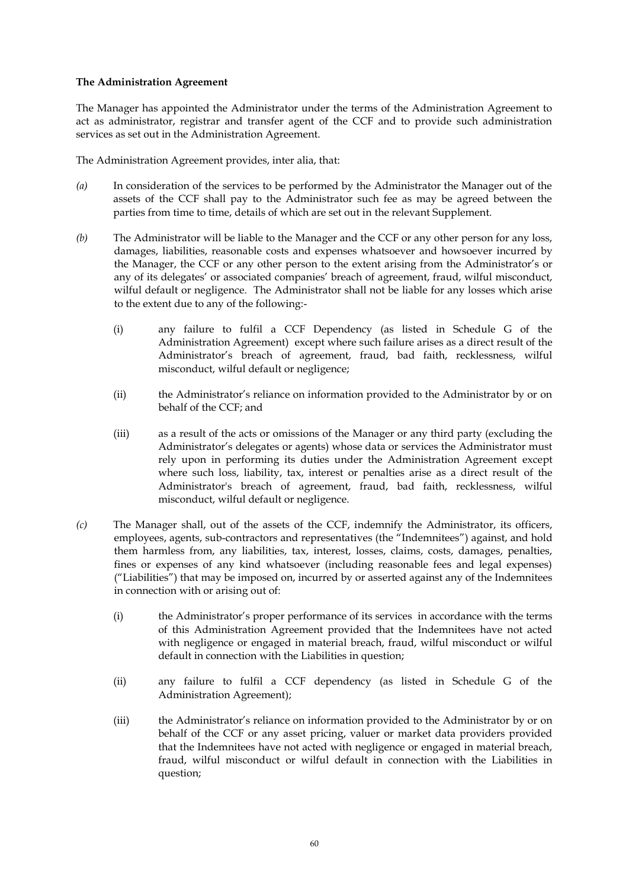### **The Administration Agreement**

The Manager has appointed the Administrator under the terms of the Administration Agreement to act as administrator, registrar and transfer agent of the CCF and to provide such administration services as set out in the Administration Agreement.

The Administration Agreement provides, inter alia, that:

- *(a)* In consideration of the services to be performed by the Administrator the Manager out of the assets of the CCF shall pay to the Administrator such fee as may be agreed between the parties from time to time, details of which are set out in the relevant Supplement.
- *(b)* The Administrator will be liable to the Manager and the CCF or any other person for any loss, damages, liabilities, reasonable costs and expenses whatsoever and howsoever incurred by the Manager, the CCF or any other person to the extent arising from the Administrator's or any of its delegates' or associated companies' breach of agreement, fraud, wilful misconduct, wilful default or negligence. The Administrator shall not be liable for any losses which arise to the extent due to any of the following:-
	- (i) any failure to fulfil a CCF Dependency (as listed in Schedule G of the Administration Agreement) except where such failure arises as a direct result of the Administrator's breach of agreement, fraud, bad faith, recklessness, wilful misconduct, wilful default or negligence;
	- (ii) the Administrator's reliance on information provided to the Administrator by or on behalf of the CCF; and
	- (iii) as a result of the acts or omissions of the Manager or any third party (excluding the Administrator's delegates or agents) whose data or services the Administrator must rely upon in performing its duties under the Administration Agreement except where such loss, liability, tax, interest or penalties arise as a direct result of the Administrator's breach of agreement, fraud, bad faith, recklessness, wilful misconduct, wilful default or negligence.
- *(c)* The Manager shall, out of the assets of the CCF, indemnify the Administrator, its officers, employees, agents, sub-contractors and representatives (the "Indemnitees") against, and hold them harmless from, any liabilities, tax, interest, losses, claims, costs, damages, penalties, fines or expenses of any kind whatsoever (including reasonable fees and legal expenses) ("Liabilities") that may be imposed on, incurred by or asserted against any of the Indemnitees in connection with or arising out of:
	- (i) the Administrator's proper performance of its services in accordance with the terms of this Administration Agreement provided that the Indemnitees have not acted with negligence or engaged in material breach, fraud, wilful misconduct or wilful default in connection with the Liabilities in question;
	- (ii) any failure to fulfil a CCF dependency (as listed in Schedule G of the Administration Agreement);
	- (iii) the Administrator's reliance on information provided to the Administrator by or on behalf of the CCF or any asset pricing, valuer or market data providers provided that the Indemnitees have not acted with negligence or engaged in material breach, fraud, wilful misconduct or wilful default in connection with the Liabilities in question;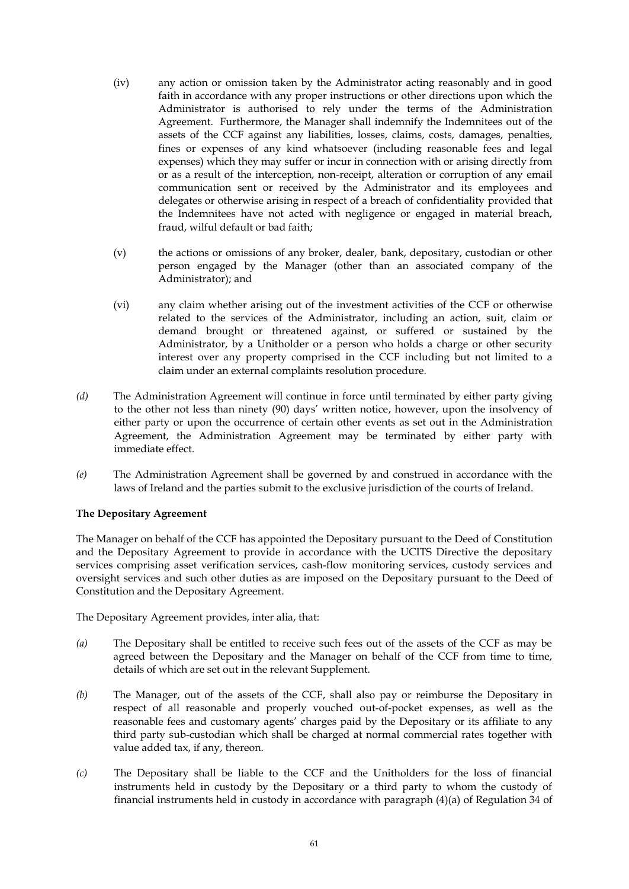- (iv) any action or omission taken by the Administrator acting reasonably and in good faith in accordance with any proper instructions or other directions upon which the Administrator is authorised to rely under the terms of the Administration Agreement. Furthermore, the Manager shall indemnify the Indemnitees out of the assets of the CCF against any liabilities, losses, claims, costs, damages, penalties, fines or expenses of any kind whatsoever (including reasonable fees and legal expenses) which they may suffer or incur in connection with or arising directly from or as a result of the interception, non-receipt, alteration or corruption of any email communication sent or received by the Administrator and its employees and delegates or otherwise arising in respect of a breach of confidentiality provided that the Indemnitees have not acted with negligence or engaged in material breach, fraud, wilful default or bad faith;
- (v) the actions or omissions of any broker, dealer, bank, depositary, custodian or other person engaged by the Manager (other than an associated company of the Administrator); and
- (vi) any claim whether arising out of the investment activities of the CCF or otherwise related to the services of the Administrator, including an action, suit, claim or demand brought or threatened against, or suffered or sustained by the Administrator, by a Unitholder or a person who holds a charge or other security interest over any property comprised in the CCF including but not limited to a claim under an external complaints resolution procedure.
- *(d)* The Administration Agreement will continue in force until terminated by either party giving to the other not less than ninety (90) days' written notice, however, upon the insolvency of either party or upon the occurrence of certain other events as set out in the Administration Agreement, the Administration Agreement may be terminated by either party with immediate effect.
- *(e)* The Administration Agreement shall be governed by and construed in accordance with the laws of Ireland and the parties submit to the exclusive jurisdiction of the courts of Ireland.

## **The Depositary Agreement**

The Manager on behalf of the CCF has appointed the Depositary pursuant to the Deed of Constitution and the Depositary Agreement to provide in accordance with the UCITS Directive the depositary services comprising asset verification services, cash-flow monitoring services, custody services and oversight services and such other duties as are imposed on the Depositary pursuant to the Deed of Constitution and the Depositary Agreement.

The Depositary Agreement provides, inter alia, that:

- *(a)* The Depositary shall be entitled to receive such fees out of the assets of the CCF as may be agreed between the Depositary and the Manager on behalf of the CCF from time to time, details of which are set out in the relevant Supplement.
- *(b)* The Manager, out of the assets of the CCF, shall also pay or reimburse the Depositary in respect of all reasonable and properly vouched out-of-pocket expenses, as well as the reasonable fees and customary agents' charges paid by the Depositary or its affiliate to any third party sub-custodian which shall be charged at normal commercial rates together with value added tax, if any, thereon.
- *(c)* The Depositary shall be liable to the CCF and the Unitholders for the loss of financial instruments held in custody by the Depositary or a third party to whom the custody of financial instruments held in custody in accordance with paragraph (4)(a) of Regulation 34 of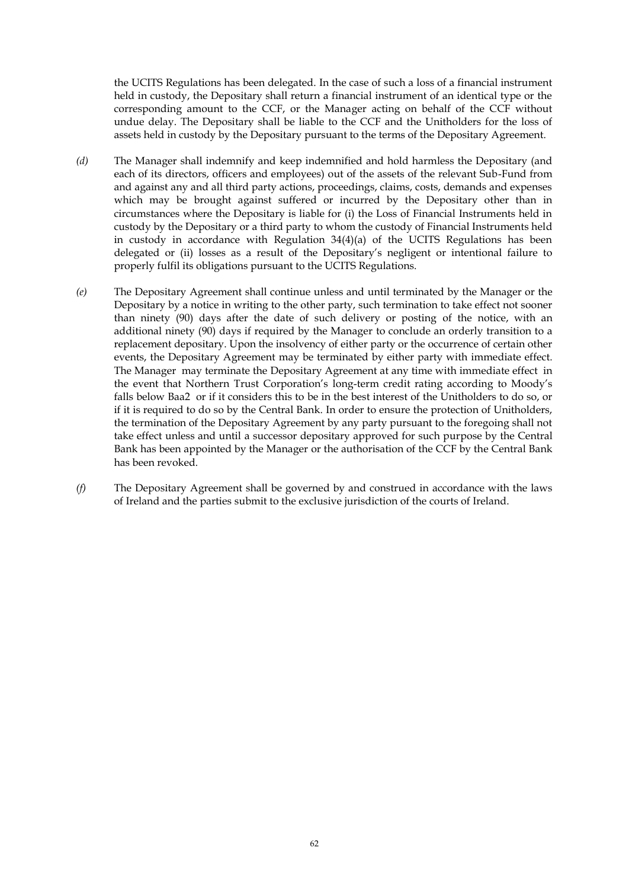the UCITS Regulations has been delegated. In the case of such a loss of a financial instrument held in custody, the Depositary shall return a financial instrument of an identical type or the corresponding amount to the CCF, or the Manager acting on behalf of the CCF without undue delay. The Depositary shall be liable to the CCF and the Unitholders for the loss of assets held in custody by the Depositary pursuant to the terms of the Depositary Agreement.

- *(d)* The Manager shall indemnify and keep indemnified and hold harmless the Depositary (and each of its directors, officers and employees) out of the assets of the relevant Sub-Fund from and against any and all third party actions, proceedings, claims, costs, demands and expenses which may be brought against suffered or incurred by the Depositary other than in circumstances where the Depositary is liable for (i) the Loss of Financial Instruments held in custody by the Depositary or a third party to whom the custody of Financial Instruments held in custody in accordance with Regulation  $34(4)(a)$  of the UCITS Regulations has been delegated or (ii) losses as a result of the Depositary's negligent or intentional failure to properly fulfil its obligations pursuant to the UCITS Regulations.
- *(e)* The Depositary Agreement shall continue unless and until terminated by the Manager or the Depositary by a notice in writing to the other party, such termination to take effect not sooner than ninety (90) days after the date of such delivery or posting of the notice, with an additional ninety (90) days if required by the Manager to conclude an orderly transition to a replacement depositary. Upon the insolvency of either party or the occurrence of certain other events, the Depositary Agreement may be terminated by either party with immediate effect. The Manager may terminate the Depositary Agreement at any time with immediate effect in the event that Northern Trust Corporation's long-term credit rating according to Moody's falls below Baa2 or if it considers this to be in the best interest of the Unitholders to do so, or if it is required to do so by the Central Bank. In order to ensure the protection of Unitholders, the termination of the Depositary Agreement by any party pursuant to the foregoing shall not take effect unless and until a successor depositary approved for such purpose by the Central Bank has been appointed by the Manager or the authorisation of the CCF by the Central Bank has been revoked.
- *(f)* The Depositary Agreement shall be governed by and construed in accordance with the laws of Ireland and the parties submit to the exclusive jurisdiction of the courts of Ireland.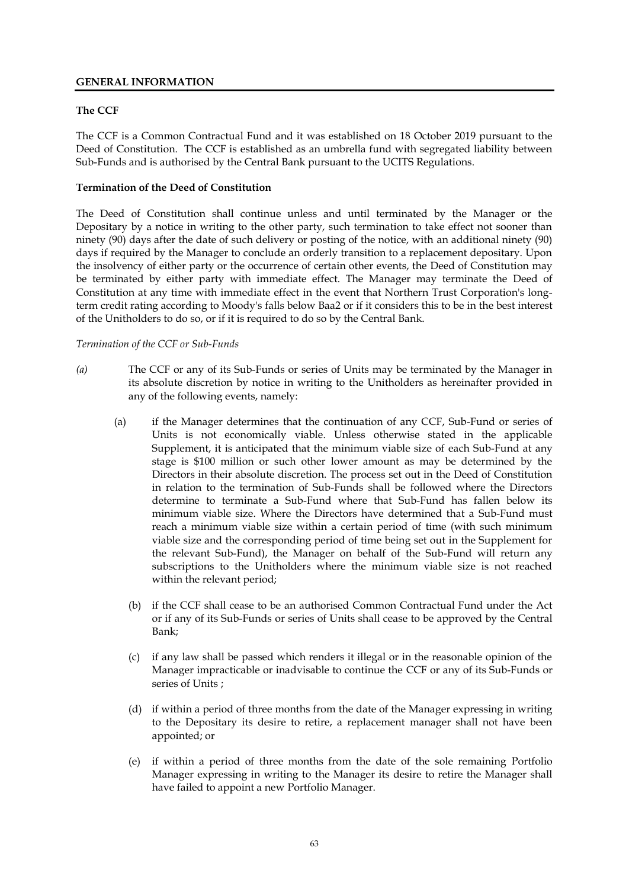# **GENERAL INFORMATION**

## **The CCF**

The CCF is a Common Contractual Fund and it was established on 18 October 2019 pursuant to the Deed of Constitution. The CCF is established as an umbrella fund with segregated liability between Sub-Funds and is authorised by the Central Bank pursuant to the UCITS Regulations.

## **Termination of the Deed of Constitution**

The Deed of Constitution shall continue unless and until terminated by the Manager or the Depositary by a notice in writing to the other party, such termination to take effect not sooner than ninety (90) days after the date of such delivery or posting of the notice, with an additional ninety (90) days if required by the Manager to conclude an orderly transition to a replacement depositary. Upon the insolvency of either party or the occurrence of certain other events, the Deed of Constitution may be terminated by either party with immediate effect. The Manager may terminate the Deed of Constitution at any time with immediate effect in the event that Northern Trust Corporation's longterm credit rating according to Moody's falls below Baa2 or if it considers this to be in the best interest of the Unitholders to do so, or if it is required to do so by the Central Bank.

## *Termination of the CCF or Sub-Funds*

- *(a)* The CCF or any of its Sub-Funds or series of Units may be terminated by the Manager in its absolute discretion by notice in writing to the Unitholders as hereinafter provided in any of the following events, namely:
	- (a) if the Manager determines that the continuation of any CCF, Sub-Fund or series of Units is not economically viable. Unless otherwise stated in the applicable Supplement, it is anticipated that the minimum viable size of each Sub-Fund at any stage is \$100 million or such other lower amount as may be determined by the Directors in their absolute discretion. The process set out in the Deed of Constitution in relation to the termination of Sub-Funds shall be followed where the Directors determine to terminate a Sub-Fund where that Sub-Fund has fallen below its minimum viable size. Where the Directors have determined that a Sub-Fund must reach a minimum viable size within a certain period of time (with such minimum viable size and the corresponding period of time being set out in the Supplement for the relevant Sub-Fund), the Manager on behalf of the Sub-Fund will return any subscriptions to the Unitholders where the minimum viable size is not reached within the relevant period;
		- (b) if the CCF shall cease to be an authorised Common Contractual Fund under the Act or if any of its Sub-Funds or series of Units shall cease to be approved by the Central Bank;
		- (c) if any law shall be passed which renders it illegal or in the reasonable opinion of the Manager impracticable or inadvisable to continue the CCF or any of its Sub-Funds or series of Units ;
		- (d) if within a period of three months from the date of the Manager expressing in writing to the Depositary its desire to retire, a replacement manager shall not have been appointed; or
		- (e) if within a period of three months from the date of the sole remaining Portfolio Manager expressing in writing to the Manager its desire to retire the Manager shall have failed to appoint a new Portfolio Manager.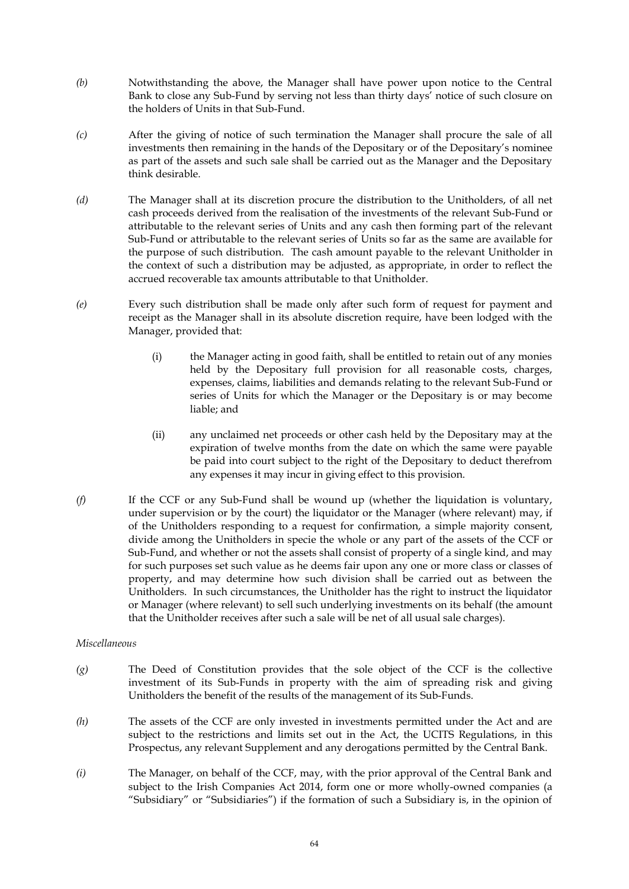- *(b)* Notwithstanding the above, the Manager shall have power upon notice to the Central Bank to close any Sub-Fund by serving not less than thirty days' notice of such closure on the holders of Units in that Sub-Fund.
- *(c)* After the giving of notice of such termination the Manager shall procure the sale of all investments then remaining in the hands of the Depositary or of the Depositary's nominee as part of the assets and such sale shall be carried out as the Manager and the Depositary think desirable.
- *(d)* The Manager shall at its discretion procure the distribution to the Unitholders, of all net cash proceeds derived from the realisation of the investments of the relevant Sub-Fund or attributable to the relevant series of Units and any cash then forming part of the relevant Sub-Fund or attributable to the relevant series of Units so far as the same are available for the purpose of such distribution. The cash amount payable to the relevant Unitholder in the context of such a distribution may be adjusted, as appropriate, in order to reflect the accrued recoverable tax amounts attributable to that Unitholder.
- *(e)* Every such distribution shall be made only after such form of request for payment and receipt as the Manager shall in its absolute discretion require, have been lodged with the Manager, provided that:
	- (i) the Manager acting in good faith, shall be entitled to retain out of any monies held by the Depositary full provision for all reasonable costs, charges, expenses, claims, liabilities and demands relating to the relevant Sub-Fund or series of Units for which the Manager or the Depositary is or may become liable; and
	- (ii) any unclaimed net proceeds or other cash held by the Depositary may at the expiration of twelve months from the date on which the same were payable be paid into court subject to the right of the Depositary to deduct therefrom any expenses it may incur in giving effect to this provision.
- *(f)* If the CCF or any Sub-Fund shall be wound up (whether the liquidation is voluntary, under supervision or by the court) the liquidator or the Manager (where relevant) may, if of the Unitholders responding to a request for confirmation, a simple majority consent, divide among the Unitholders in specie the whole or any part of the assets of the CCF or Sub-Fund, and whether or not the assets shall consist of property of a single kind, and may for such purposes set such value as he deems fair upon any one or more class or classes of property, and may determine how such division shall be carried out as between the Unitholders. In such circumstances, the Unitholder has the right to instruct the liquidator or Manager (where relevant) to sell such underlying investments on its behalf (the amount that the Unitholder receives after such a sale will be net of all usual sale charges).

## *Miscellaneous*

- *(g)* The Deed of Constitution provides that the sole object of the CCF is the collective investment of its Sub-Funds in property with the aim of spreading risk and giving Unitholders the benefit of the results of the management of its Sub-Funds.
- *(h)* The assets of the CCF are only invested in investments permitted under the Act and are subject to the restrictions and limits set out in the Act, the UCITS Regulations, in this Prospectus, any relevant Supplement and any derogations permitted by the Central Bank.
- *(i)* The Manager, on behalf of the CCF, may, with the prior approval of the Central Bank and subject to the Irish Companies Act 2014, form one or more wholly-owned companies (a "Subsidiary" or "Subsidiaries") if the formation of such a Subsidiary is, in the opinion of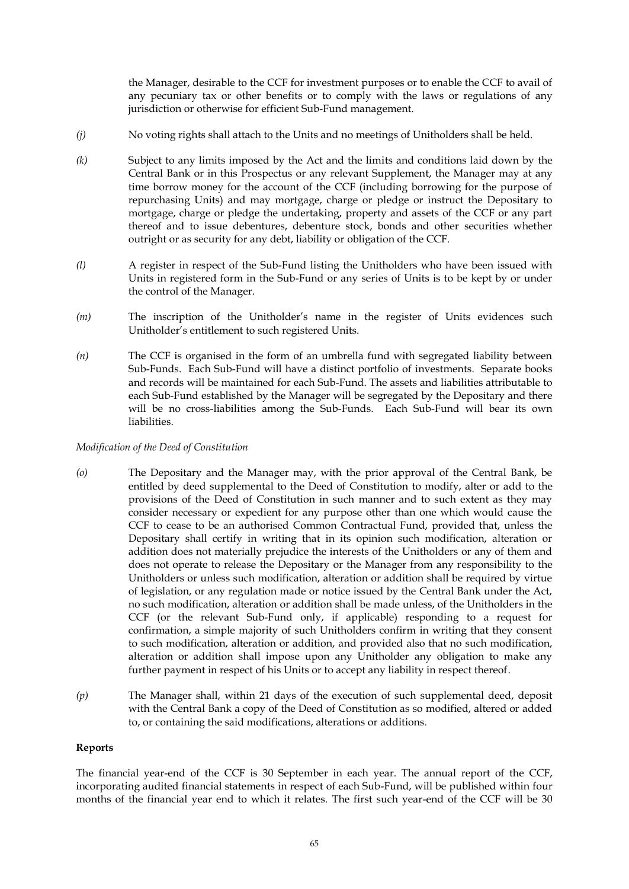the Manager, desirable to the CCF for investment purposes or to enable the CCF to avail of any pecuniary tax or other benefits or to comply with the laws or regulations of any jurisdiction or otherwise for efficient Sub-Fund management.

- *(j)* No voting rights shall attach to the Units and no meetings of Unitholders shall be held.
- *(k)* Subject to any limits imposed by the Act and the limits and conditions laid down by the Central Bank or in this Prospectus or any relevant Supplement, the Manager may at any time borrow money for the account of the CCF (including borrowing for the purpose of repurchasing Units) and may mortgage, charge or pledge or instruct the Depositary to mortgage, charge or pledge the undertaking, property and assets of the CCF or any part thereof and to issue debentures, debenture stock, bonds and other securities whether outright or as security for any debt, liability or obligation of the CCF.
- *(l)* A register in respect of the Sub-Fund listing the Unitholders who have been issued with Units in registered form in the Sub-Fund or any series of Units is to be kept by or under the control of the Manager.
- *(m)* The inscription of the Unitholder's name in the register of Units evidences such Unitholder's entitlement to such registered Units.
- *(n)* The CCF is organised in the form of an umbrella fund with segregated liability between Sub-Funds. Each Sub-Fund will have a distinct portfolio of investments. Separate books and records will be maintained for each Sub-Fund. The assets and liabilities attributable to each Sub-Fund established by the Manager will be segregated by the Depositary and there will be no cross-liabilities among the Sub-Funds. Each Sub-Fund will bear its own liabilities.

#### *Modification of the Deed of Constitution*

- *(o)* The Depositary and the Manager may, with the prior approval of the Central Bank, be entitled by deed supplemental to the Deed of Constitution to modify, alter or add to the provisions of the Deed of Constitution in such manner and to such extent as they may consider necessary or expedient for any purpose other than one which would cause the CCF to cease to be an authorised Common Contractual Fund, provided that, unless the Depositary shall certify in writing that in its opinion such modification, alteration or addition does not materially prejudice the interests of the Unitholders or any of them and does not operate to release the Depositary or the Manager from any responsibility to the Unitholders or unless such modification, alteration or addition shall be required by virtue of legislation, or any regulation made or notice issued by the Central Bank under the Act, no such modification, alteration or addition shall be made unless, of the Unitholders in the CCF (or the relevant Sub-Fund only, if applicable) responding to a request for confirmation, a simple majority of such Unitholders confirm in writing that they consent to such modification, alteration or addition, and provided also that no such modification, alteration or addition shall impose upon any Unitholder any obligation to make any further payment in respect of his Units or to accept any liability in respect thereof.
- *(p)* The Manager shall, within 21 days of the execution of such supplemental deed, deposit with the Central Bank a copy of the Deed of Constitution as so modified, altered or added to, or containing the said modifications, alterations or additions.

#### **Reports**

The financial year-end of the CCF is 30 September in each year. The annual report of the CCF, incorporating audited financial statements in respect of each Sub-Fund, will be published within four months of the financial year end to which it relates. The first such year-end of the CCF will be 30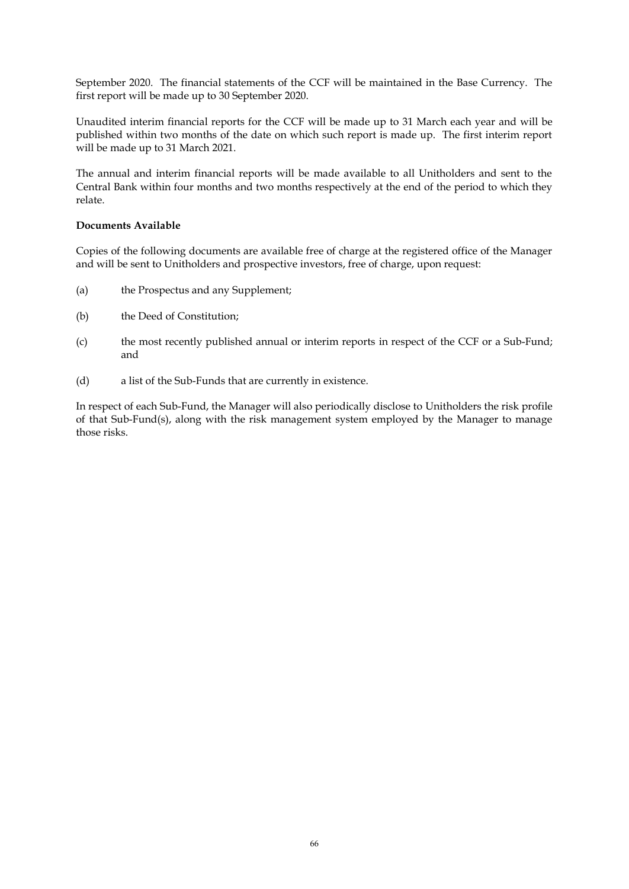September 2020. The financial statements of the CCF will be maintained in the Base Currency. The first report will be made up to 30 September 2020.

Unaudited interim financial reports for the CCF will be made up to 31 March each year and will be published within two months of the date on which such report is made up. The first interim report will be made up to 31 March 2021.

The annual and interim financial reports will be made available to all Unitholders and sent to the Central Bank within four months and two months respectively at the end of the period to which they relate.

### **Documents Available**

Copies of the following documents are available free of charge at the registered office of the Manager and will be sent to Unitholders and prospective investors, free of charge, upon request:

- (a) the Prospectus and any Supplement;
- (b) the Deed of Constitution;
- (c) the most recently published annual or interim reports in respect of the CCF or a Sub-Fund; and
- (d) a list of the Sub-Funds that are currently in existence.

In respect of each Sub-Fund, the Manager will also periodically disclose to Unitholders the risk profile of that Sub-Fund(s), along with the risk management system employed by the Manager to manage those risks.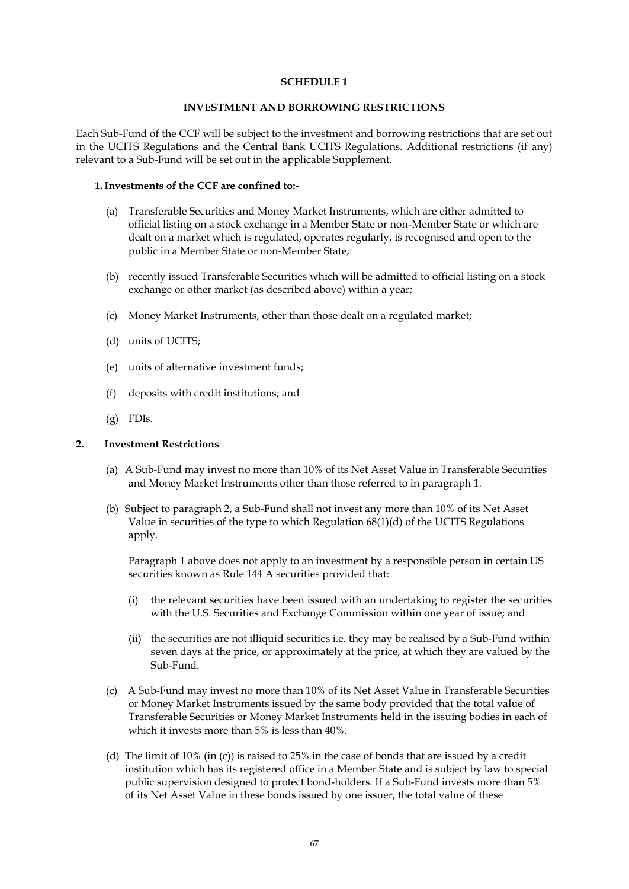#### **INVESTMENT AND BORROWING RESTRICTIONS**

Each Sub-Fund of the CCF will be subject to the investment and borrowing restrictions that are set out in the UCITS Regulations and the Central Bank UCITS Regulations. Additional restrictions (if any) relevant to a Sub-Fund will be set out in the applicable Supplement.

#### **1.Investments of the CCF are confined to:-**

- (a) Transferable Securities and Money Market Instruments, which are either admitted to official listing on a stock exchange in a Member State or non-Member State or which are dealt on a market which is regulated, operates regularly, is recognised and open to the public in a Member State or non-Member State;
- (b) recently issued Transferable Securities which will be admitted to official listing on a stock exchange or other market (as described above) within a year;
- (c) Money Market Instruments, other than those dealt on a regulated market;
- (d) units of UCITS;
- (e) units of alternative investment funds;
- (f) deposits with credit institutions; and
- (g) FDIs.

#### **2. Investment Restrictions**

- (a) A Sub-Fund may invest no more than 10% of its Net Asset Value in Transferable Securities and Money Market Instruments other than those referred to in paragraph 1.
- (b) Subject to paragraph 2, a Sub-Fund shall not invest any more than 10% of its Net Asset Value in securities of the type to which Regulation  $68(1)(d)$  of the UCITS Regulations apply.

Paragraph 1 above does not apply to an investment by a responsible person in certain US securities known as Rule 144 A securities provided that:

- (i) the relevant securities have been issued with an undertaking to register the securities with the U.S. Securities and Exchange Commission within one year of issue; and
- (ii) the securities are not illiquid securities i.e. they may be realised by a Sub-Fund within seven days at the price, or approximately at the price, at which they are valued by the Sub-Fund.
- (c) A Sub-Fund may invest no more than 10% of its Net Asset Value in Transferable Securities or Money Market Instruments issued by the same body provided that the total value of Transferable Securities or Money Market Instruments held in the issuing bodies in each of which it invests more than 5% is less than 40%.
- (d) The limit of 10% (in (c)) is raised to 25% in the case of bonds that are issued by a credit institution which has its registered office in a Member State and is subject by law to special public supervision designed to protect bond-holders. If a Sub-Fund invests more than 5% of its Net Asset Value in these bonds issued by one issuer, the total value of these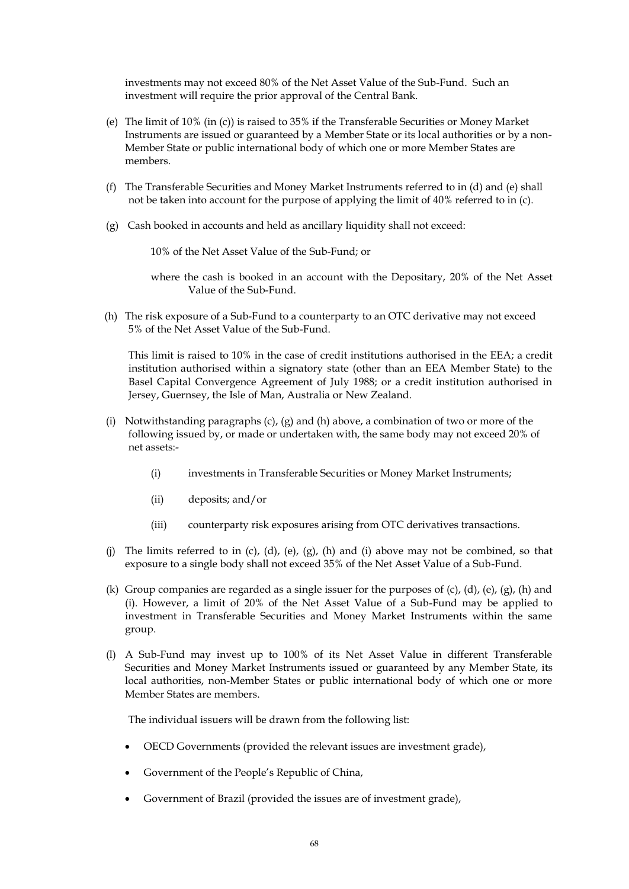investments may not exceed 80% of the Net Asset Value of the Sub-Fund. Such an investment will require the prior approval of the Central Bank.

- (e) The limit of 10% (in (c)) is raised to 35% if the Transferable Securities or Money Market Instruments are issued or guaranteed by a Member State or its local authorities or by a non-Member State or public international body of which one or more Member States are members.
- (f) The Transferable Securities and Money Market Instruments referred to in (d) and (e) shall not be taken into account for the purpose of applying the limit of 40% referred to in (c).
- (g) Cash booked in accounts and held as ancillary liquidity shall not exceed:

10% of the Net Asset Value of the Sub-Fund; or

where the cash is booked in an account with the Depositary, 20% of the Net Asset Value of the Sub-Fund.

(h) The risk exposure of a Sub-Fund to a counterparty to an OTC derivative may not exceed 5% of the Net Asset Value of the Sub-Fund.

This limit is raised to 10% in the case of credit institutions authorised in the EEA; a credit institution authorised within a signatory state (other than an EEA Member State) to the Basel Capital Convergence Agreement of July 1988; or a credit institution authorised in Jersey, Guernsey, the Isle of Man, Australia or New Zealand.

- (i) Notwithstanding paragraphs  $(c)$ ,  $(g)$  and  $(h)$  above, a combination of two or more of the following issued by, or made or undertaken with, the same body may not exceed 20% of net assets:-
	- (i) investments in Transferable Securities or Money Market Instruments;
	- (ii) deposits; and/or
	- (iii) counterparty risk exposures arising from OTC derivatives transactions.
- (i) The limits referred to in (c), (d), (e), (g), (h) and (i) above may not be combined, so that exposure to a single body shall not exceed 35% of the Net Asset Value of a Sub-Fund.
- (k) Group companies are regarded as a single issuer for the purposes of (c), (d), (e), (g), (h) and (i). However, a limit of 20% of the Net Asset Value of a Sub-Fund may be applied to investment in Transferable Securities and Money Market Instruments within the same group.
- (l) A Sub-Fund may invest up to 100% of its Net Asset Value in different Transferable Securities and Money Market Instruments issued or guaranteed by any Member State, its local authorities, non-Member States or public international body of which one or more Member States are members.

The individual issuers will be drawn from the following list:

- OECD Governments (provided the relevant issues are investment grade),
- Government of the People's Republic of China,
- Government of Brazil (provided the issues are of investment grade),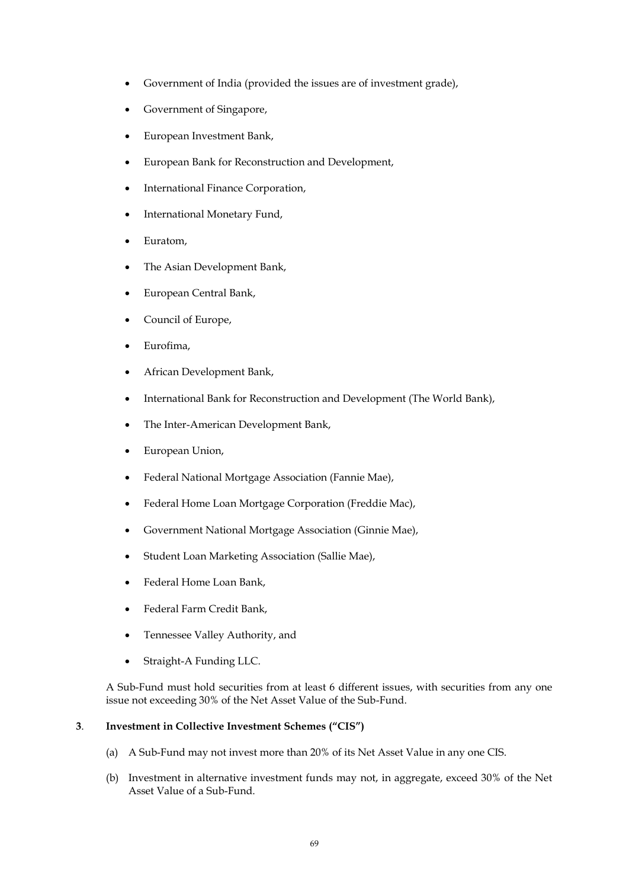- Government of India (provided the issues are of investment grade),
- Government of Singapore,
- European Investment Bank,
- European Bank for Reconstruction and Development,
- International Finance Corporation,
- International Monetary Fund,
- Euratom,
- The Asian Development Bank,
- European Central Bank,
- Council of Europe,
- Eurofima,
- African Development Bank,
- International Bank for Reconstruction and Development (The World Bank),
- The Inter-American Development Bank,
- European Union,
- Federal National Mortgage Association (Fannie Mae),
- Federal Home Loan Mortgage Corporation (Freddie Mac),
- Government National Mortgage Association (Ginnie Mae),
- Student Loan Marketing Association (Sallie Mae),
- Federal Home Loan Bank,
- Federal Farm Credit Bank,
- Tennessee Valley Authority, and
- Straight-A Funding LLC.

A Sub-Fund must hold securities from at least 6 different issues, with securities from any one issue not exceeding 30% of the Net Asset Value of the Sub-Fund.

#### **3**. **Investment in Collective Investment Schemes ("CIS")**

- (a) A Sub-Fund may not invest more than 20% of its Net Asset Value in any one CIS.
- (b) Investment in alternative investment funds may not, in aggregate, exceed 30% of the Net Asset Value of a Sub-Fund.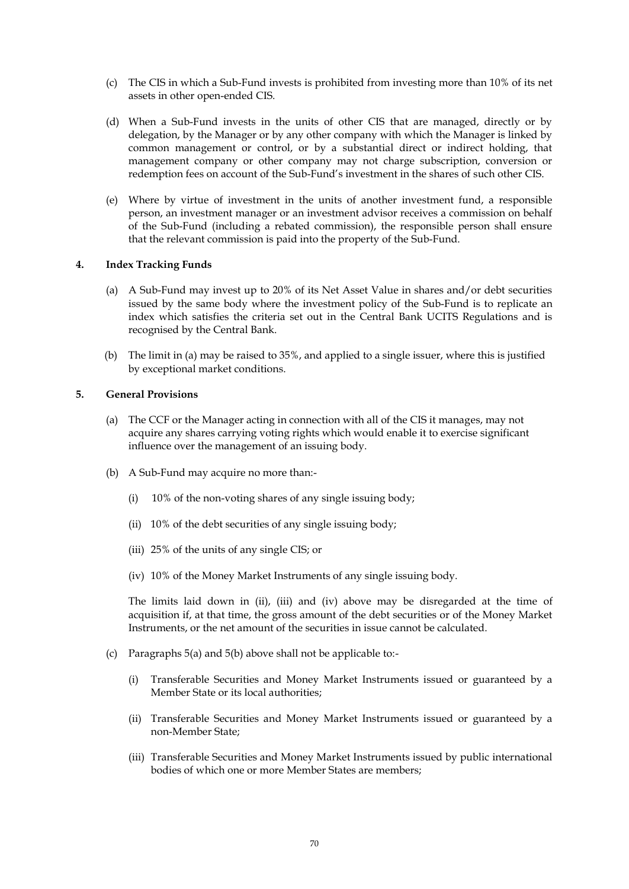- (c) The CIS in which a Sub-Fund invests is prohibited from investing more than 10% of its net assets in other open-ended CIS.
- (d) When a Sub-Fund invests in the units of other CIS that are managed, directly or by delegation, by the Manager or by any other company with which the Manager is linked by common management or control, or by a substantial direct or indirect holding, that management company or other company may not charge subscription, conversion or redemption fees on account of the Sub-Fund's investment in the shares of such other CIS.
- (e) Where by virtue of investment in the units of another investment fund, a responsible person, an investment manager or an investment advisor receives a commission on behalf of the Sub-Fund (including a rebated commission), the responsible person shall ensure that the relevant commission is paid into the property of the Sub-Fund.

### **4. Index Tracking Funds**

- (a) A Sub-Fund may invest up to 20% of its Net Asset Value in shares and/or debt securities issued by the same body where the investment policy of the Sub-Fund is to replicate an index which satisfies the criteria set out in the Central Bank UCITS Regulations and is recognised by the Central Bank.
- (b) The limit in (a) may be raised to 35%, and applied to a single issuer, where this is justified by exceptional market conditions.

#### **5. General Provisions**

- (a) The CCF or the Manager acting in connection with all of the CIS it manages, may not acquire any shares carrying voting rights which would enable it to exercise significant influence over the management of an issuing body.
- (b) A Sub-Fund may acquire no more than:-
	- (i) 10% of the non-voting shares of any single issuing body;
	- (ii) 10% of the debt securities of any single issuing body;
	- (iii) 25% of the units of any single CIS; or
	- (iv) 10% of the Money Market Instruments of any single issuing body.

The limits laid down in (ii), (iii) and (iv) above may be disregarded at the time of acquisition if, at that time, the gross amount of the debt securities or of the Money Market Instruments, or the net amount of the securities in issue cannot be calculated.

- (c) Paragraphs 5(a) and 5(b) above shall not be applicable to:-
	- (i) Transferable Securities and Money Market Instruments issued or guaranteed by a Member State or its local authorities;
	- (ii) Transferable Securities and Money Market Instruments issued or guaranteed by a non-Member State;
	- (iii) Transferable Securities and Money Market Instruments issued by public international bodies of which one or more Member States are members;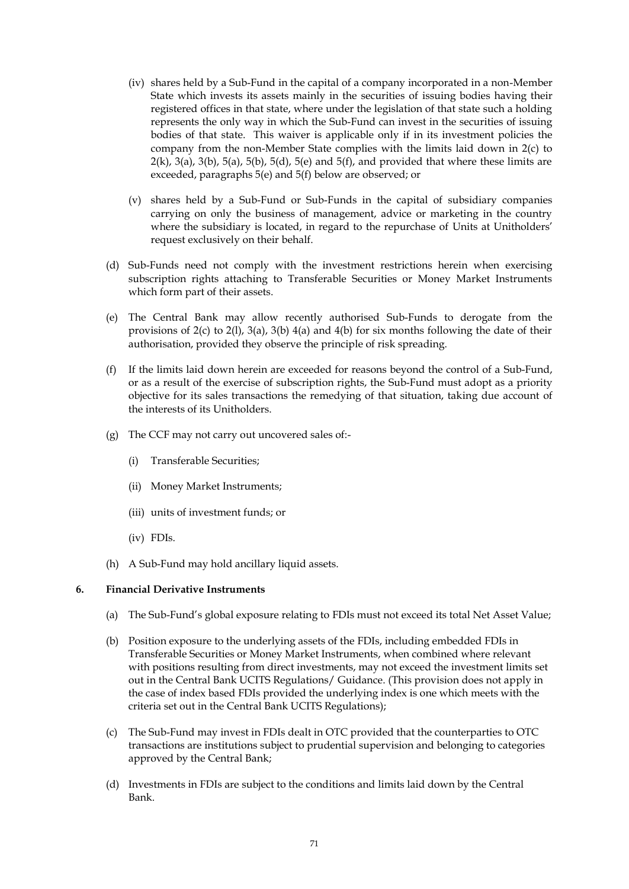- (iv) shares held by a Sub-Fund in the capital of a company incorporated in a non-Member State which invests its assets mainly in the securities of issuing bodies having their registered offices in that state, where under the legislation of that state such a holding represents the only way in which the Sub-Fund can invest in the securities of issuing bodies of that state. This waiver is applicable only if in its investment policies the company from the non-Member State complies with the limits laid down in 2(c) to  $2(k)$ ,  $3(a)$ ,  $3(b)$ ,  $5(a)$ ,  $5(b)$ ,  $5(d)$ ,  $5(e)$  and  $5(f)$ , and provided that where these limits are exceeded, paragraphs 5(e) and 5(f) below are observed; or
- (v) shares held by a Sub-Fund or Sub-Funds in the capital of subsidiary companies carrying on only the business of management, advice or marketing in the country where the subsidiary is located, in regard to the repurchase of Units at Unitholders' request exclusively on their behalf.
- (d) Sub-Funds need not comply with the investment restrictions herein when exercising subscription rights attaching to Transferable Securities or Money Market Instruments which form part of their assets.
- (e) The Central Bank may allow recently authorised Sub-Funds to derogate from the provisions of  $2(c)$  to  $2(1)$ ,  $3(a)$ ,  $3(b)$   $4(a)$  and  $4(b)$  for six months following the date of their authorisation, provided they observe the principle of risk spreading.
- (f) If the limits laid down herein are exceeded for reasons beyond the control of a Sub-Fund, or as a result of the exercise of subscription rights, the Sub-Fund must adopt as a priority objective for its sales transactions the remedying of that situation, taking due account of the interests of its Unitholders.
- (g) The CCF may not carry out uncovered sales of:-
	- (i) Transferable Securities;
	- (ii) Money Market Instruments;
	- (iii) units of investment funds; or
	- (iv) FDIs.
- (h) A Sub-Fund may hold ancillary liquid assets.

#### **6. Financial Derivative Instruments**

- (a) The Sub-Fund's global exposure relating to FDIs must not exceed its total Net Asset Value;
- (b) Position exposure to the underlying assets of the FDIs, including embedded FDIs in Transferable Securities or Money Market Instruments, when combined where relevant with positions resulting from direct investments, may not exceed the investment limits set out in the Central Bank UCITS Regulations/ Guidance. (This provision does not apply in the case of index based FDIs provided the underlying index is one which meets with the criteria set out in the Central Bank UCITS Regulations);
- (c) The Sub-Fund may invest in FDIs dealt in OTC provided that the counterparties to OTC transactions are institutions subject to prudential supervision and belonging to categories approved by the Central Bank;
- (d) Investments in FDIs are subject to the conditions and limits laid down by the Central Bank.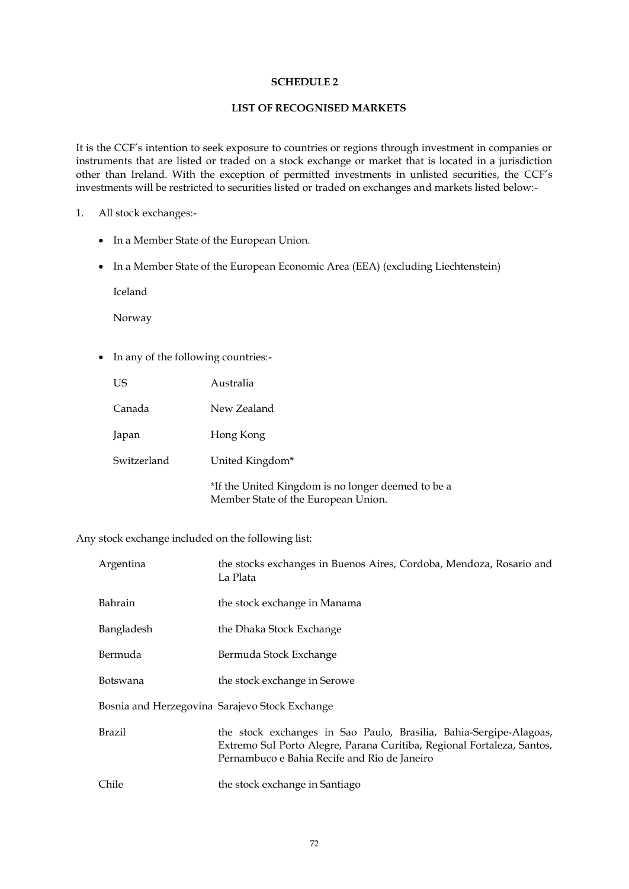## **LIST OF RECOGNISED MARKETS**

It is the CCF's intention to seek exposure to countries or regions through investment in companies or instruments that are listed or traded on a stock exchange or market that is located in a jurisdiction other than Ireland. With the exception of permitted investments in unlisted securities, the CCF's investments will be restricted to securities listed or traded on exchanges and markets listed below:-

### 1. All stock exchanges:-

- In a Member State of the European Union.
- In a Member State of the European Economic Area (EEA) (excluding Liechtenstein)

Iceland

Norway

• In any of the following countries:-

| US          | Australia                                                                                 |
|-------------|-------------------------------------------------------------------------------------------|
| Canada      | New Zealand                                                                               |
| Japan       | Hong Kong                                                                                 |
| Switzerland | United Kingdom*                                                                           |
|             | *If the United Kingdom is no longer deemed to be a<br>Member State of the European Union. |

Any stock exchange included on the following list:

| Argentina  | the stocks exchanges in Buenos Aires, Cordoba, Mendoza, Rosario and<br>La Plata                                                                                                              |
|------------|----------------------------------------------------------------------------------------------------------------------------------------------------------------------------------------------|
| Bahrain    | the stock exchange in Manama                                                                                                                                                                 |
| Bangladesh | the Dhaka Stock Exchange                                                                                                                                                                     |
| Bermuda    | Bermuda Stock Exchange                                                                                                                                                                       |
| Botswana   | the stock exchange in Serowe                                                                                                                                                                 |
|            | Bosnia and Herzegovina Sarajevo Stock Exchange                                                                                                                                               |
| Brazil     | the stock exchanges in Sao Paulo, Brasilia, Bahia-Sergipe-Alagoas,<br>Extremo Sul Porto Alegre, Parana Curitiba, Regional Fortaleza, Santos,<br>Pernambuco e Bahia Recife and Rio de Janeiro |
| Chile      | the stock exchange in Santiago                                                                                                                                                               |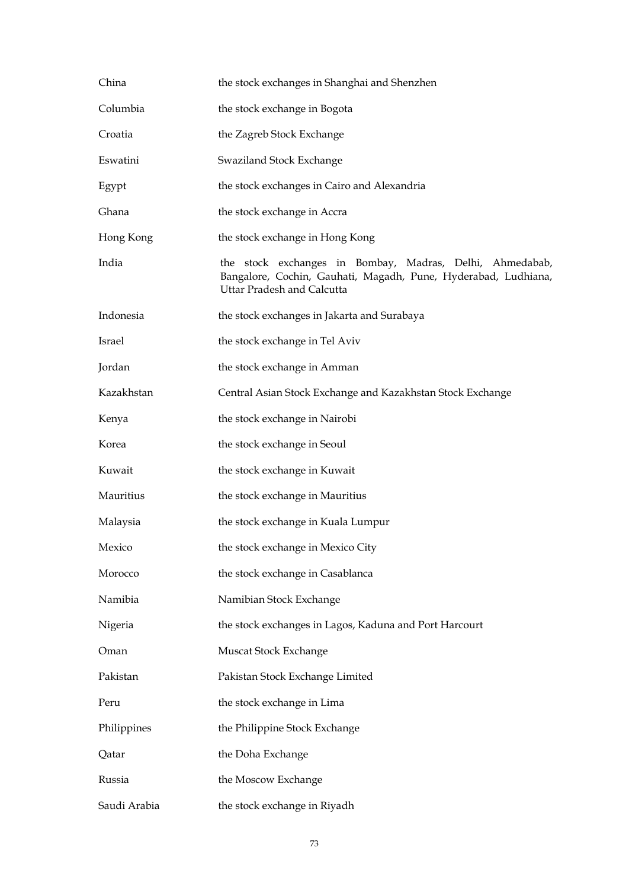| China        | the stock exchanges in Shanghai and Shenzhen                                                                                                             |
|--------------|----------------------------------------------------------------------------------------------------------------------------------------------------------|
| Columbia     | the stock exchange in Bogota                                                                                                                             |
| Croatia      | the Zagreb Stock Exchange                                                                                                                                |
| Eswatini     | Swaziland Stock Exchange                                                                                                                                 |
| Egypt        | the stock exchanges in Cairo and Alexandria                                                                                                              |
| Ghana        | the stock exchange in Accra                                                                                                                              |
| Hong Kong    | the stock exchange in Hong Kong                                                                                                                          |
| India        | the stock exchanges in Bombay, Madras, Delhi, Ahmedabab,<br>Bangalore, Cochin, Gauhati, Magadh, Pune, Hyderabad, Ludhiana,<br>Uttar Pradesh and Calcutta |
| Indonesia    | the stock exchanges in Jakarta and Surabaya                                                                                                              |
| Israel       | the stock exchange in Tel Aviv                                                                                                                           |
| Jordan       | the stock exchange in Amman                                                                                                                              |
| Kazakhstan   | Central Asian Stock Exchange and Kazakhstan Stock Exchange                                                                                               |
| Kenya        | the stock exchange in Nairobi                                                                                                                            |
| Korea        | the stock exchange in Seoul                                                                                                                              |
| Kuwait       | the stock exchange in Kuwait                                                                                                                             |
| Mauritius    | the stock exchange in Mauritius                                                                                                                          |
| Malaysia     | the stock exchange in Kuala Lumpur                                                                                                                       |
| Mexico       | the stock exchange in Mexico City                                                                                                                        |
| Morocco      | the stock exchange in Casablanca                                                                                                                         |
| Namibia      | Namibian Stock Exchange                                                                                                                                  |
| Nigeria      | the stock exchanges in Lagos, Kaduna and Port Harcourt                                                                                                   |
| Oman         | Muscat Stock Exchange                                                                                                                                    |
| Pakistan     | Pakistan Stock Exchange Limited                                                                                                                          |
| Peru         | the stock exchange in Lima                                                                                                                               |
| Philippines  | the Philippine Stock Exchange                                                                                                                            |
| Qatar        | the Doha Exchange                                                                                                                                        |
| Russia       | the Moscow Exchange                                                                                                                                      |
| Saudi Arabia | the stock exchange in Riyadh                                                                                                                             |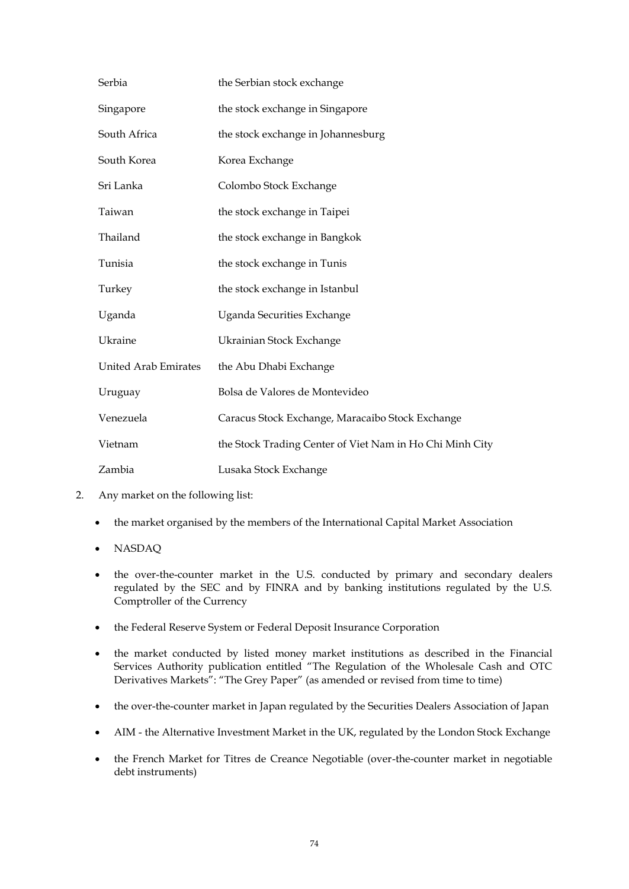| Serbia                      | the Serbian stock exchange                               |
|-----------------------------|----------------------------------------------------------|
| Singapore                   | the stock exchange in Singapore                          |
| South Africa                | the stock exchange in Johannesburg                       |
| South Korea                 | Korea Exchange                                           |
| Sri Lanka                   | Colombo Stock Exchange                                   |
| Taiwan                      | the stock exchange in Taipei                             |
| Thailand                    | the stock exchange in Bangkok                            |
| Tunisia                     | the stock exchange in Tunis                              |
| Turkey                      | the stock exchange in Istanbul                           |
| Uganda                      | Uganda Securities Exchange                               |
| Ukraine                     | Ukrainian Stock Exchange                                 |
| <b>United Arab Emirates</b> | the Abu Dhabi Exchange                                   |
| Uruguay                     | Bolsa de Valores de Montevideo                           |
| Venezuela                   | Caracus Stock Exchange, Maracaibo Stock Exchange         |
| Vietnam                     | the Stock Trading Center of Viet Nam in Ho Chi Minh City |
| Zambia                      | Lusaka Stock Exchange                                    |

- 2. Any market on the following list:
	- the market organised by the members of the International Capital Market Association
	- NASDAQ
	- the over-the-counter market in the U.S. conducted by primary and secondary dealers regulated by the SEC and by FINRA and by banking institutions regulated by the U.S. Comptroller of the Currency
	- the Federal Reserve System or Federal Deposit Insurance Corporation
	- the market conducted by listed money market institutions as described in the Financial Services Authority publication entitled "The Regulation of the Wholesale Cash and OTC Derivatives Markets": "The Grey Paper" (as amended or revised from time to time)
	- the over-the-counter market in Japan regulated by the Securities Dealers Association of Japan
	- AIM the Alternative Investment Market in the UK, regulated by the London Stock Exchange
	- the French Market for Titres de Creance Negotiable (over-the-counter market in negotiable debt instruments)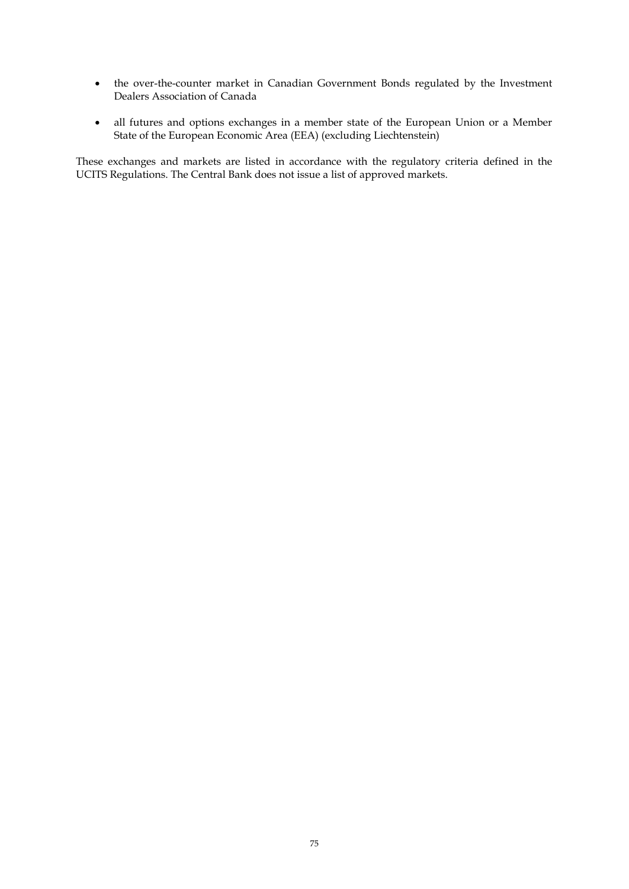- the over-the-counter market in Canadian Government Bonds regulated by the Investment Dealers Association of Canada
- all futures and options exchanges in a member state of the European Union or a Member State of the European Economic Area (EEA) (excluding Liechtenstein)

These exchanges and markets are listed in accordance with the regulatory criteria defined in the UCITS Regulations. The Central Bank does not issue a list of approved markets.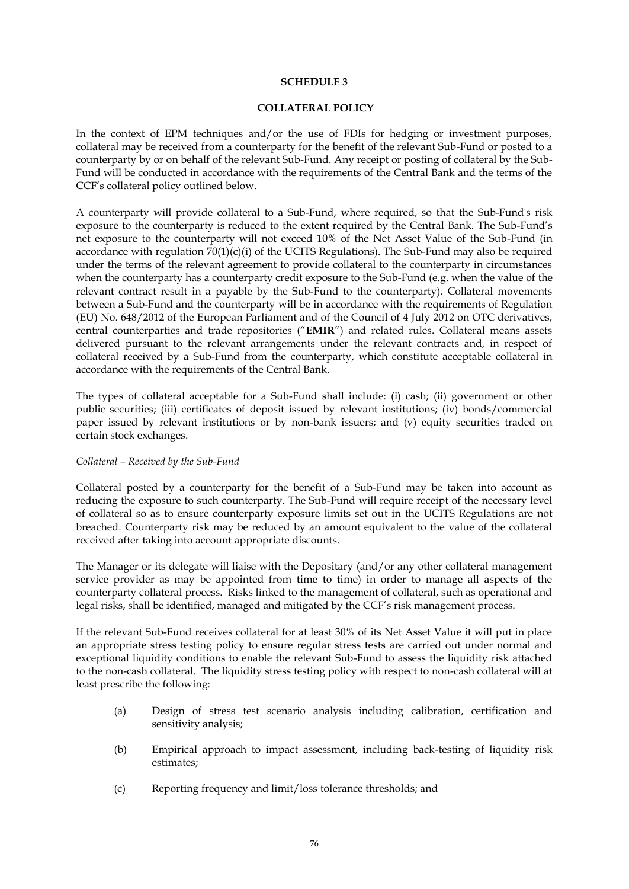#### **COLLATERAL POLICY**

In the context of EPM techniques and/or the use of FDIs for hedging or investment purposes, collateral may be received from a counterparty for the benefit of the relevant Sub-Fund or posted to a counterparty by or on behalf of the relevant Sub-Fund. Any receipt or posting of collateral by the Sub-Fund will be conducted in accordance with the requirements of the Central Bank and the terms of the CCF's collateral policy outlined below.

A counterparty will provide collateral to a Sub-Fund, where required, so that the Sub-Fund's risk exposure to the counterparty is reduced to the extent required by the Central Bank. The Sub-Fund's net exposure to the counterparty will not exceed 10% of the Net Asset Value of the Sub-Fund (in accordance with regulation  $70(1)(c)(i)$  of the UCITS Regulations). The Sub-Fund may also be required under the terms of the relevant agreement to provide collateral to the counterparty in circumstances when the counterparty has a counterparty credit exposure to the Sub-Fund (e.g. when the value of the relevant contract result in a payable by the Sub-Fund to the counterparty). Collateral movements between a Sub-Fund and the counterparty will be in accordance with the requirements of Regulation (EU) No. 648/2012 of the European Parliament and of the Council of 4 July 2012 on OTC derivatives, central counterparties and trade repositories ("**EMIR**") and related rules. Collateral means assets delivered pursuant to the relevant arrangements under the relevant contracts and, in respect of collateral received by a Sub-Fund from the counterparty, which constitute acceptable collateral in accordance with the requirements of the Central Bank.

The types of collateral acceptable for a Sub-Fund shall include: (i) cash; (ii) government or other public securities; (iii) certificates of deposit issued by relevant institutions; (iv) bonds/commercial paper issued by relevant institutions or by non-bank issuers; and (v) equity securities traded on certain stock exchanges.

#### *Collateral – Received by the Sub-Fund*

Collateral posted by a counterparty for the benefit of a Sub-Fund may be taken into account as reducing the exposure to such counterparty. The Sub-Fund will require receipt of the necessary level of collateral so as to ensure counterparty exposure limits set out in the UCITS Regulations are not breached. Counterparty risk may be reduced by an amount equivalent to the value of the collateral received after taking into account appropriate discounts.

The Manager or its delegate will liaise with the Depositary (and/or any other collateral management service provider as may be appointed from time to time) in order to manage all aspects of the counterparty collateral process. Risks linked to the management of collateral, such as operational and legal risks, shall be identified, managed and mitigated by the CCF's risk management process.

If the relevant Sub-Fund receives collateral for at least 30% of its Net Asset Value it will put in place an appropriate stress testing policy to ensure regular stress tests are carried out under normal and exceptional liquidity conditions to enable the relevant Sub-Fund to assess the liquidity risk attached to the non-cash collateral. The liquidity stress testing policy with respect to non-cash collateral will at least prescribe the following:

- (a) Design of stress test scenario analysis including calibration, certification and sensitivity analysis;
- (b) Empirical approach to impact assessment, including back-testing of liquidity risk estimates;
- (c) Reporting frequency and limit/loss tolerance thresholds; and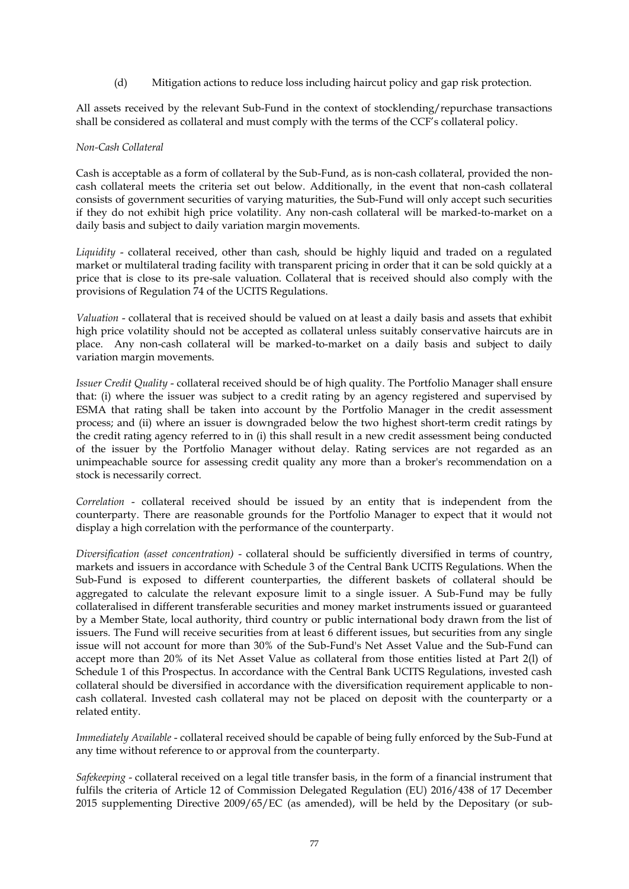(d) Mitigation actions to reduce loss including haircut policy and gap risk protection.

All assets received by the relevant Sub-Fund in the context of stocklending/repurchase transactions shall be considered as collateral and must comply with the terms of the CCF's collateral policy.

#### *Non-Cash Collateral*

Cash is acceptable as a form of collateral by the Sub-Fund, as is non-cash collateral, provided the noncash collateral meets the criteria set out below. Additionally, in the event that non-cash collateral consists of government securities of varying maturities, the Sub-Fund will only accept such securities if they do not exhibit high price volatility. Any non-cash collateral will be marked-to-market on a daily basis and subject to daily variation margin movements.

*Liquidity* - collateral received, other than cash, should be highly liquid and traded on a regulated market or multilateral trading facility with transparent pricing in order that it can be sold quickly at a price that is close to its pre-sale valuation. Collateral that is received should also comply with the provisions of Regulation 74 of the UCITS Regulations.

*Valuation* - collateral that is received should be valued on at least a daily basis and assets that exhibit high price volatility should not be accepted as collateral unless suitably conservative haircuts are in place. Any non-cash collateral will be marked-to-market on a daily basis and subject to daily variation margin movements.

*Issuer Credit Quality* - collateral received should be of high quality. The Portfolio Manager shall ensure that: (i) where the issuer was subject to a credit rating by an agency registered and supervised by ESMA that rating shall be taken into account by the Portfolio Manager in the credit assessment process; and (ii) where an issuer is downgraded below the two highest short-term credit ratings by the credit rating agency referred to in (i) this shall result in a new credit assessment being conducted of the issuer by the Portfolio Manager without delay. Rating services are not regarded as an unimpeachable source for assessing credit quality any more than a broker's recommendation on a stock is necessarily correct.

*Correlation* - collateral received should be issued by an entity that is independent from the counterparty. There are reasonable grounds for the Portfolio Manager to expect that it would not display a high correlation with the performance of the counterparty.

*Diversification (asset concentration)* - collateral should be sufficiently diversified in terms of country, markets and issuers in accordance with Schedule 3 of the Central Bank UCITS Regulations. When the Sub-Fund is exposed to different counterparties, the different baskets of collateral should be aggregated to calculate the relevant exposure limit to a single issuer. A Sub-Fund may be fully collateralised in different transferable securities and money market instruments issued or guaranteed by a Member State, local authority, third country or public international body drawn from the list of issuers. The Fund will receive securities from at least 6 different issues, but securities from any single issue will not account for more than 30% of the Sub-Fund's Net Asset Value and the Sub-Fund can accept more than 20% of its Net Asset Value as collateral from those entities listed at Part 2(l) of Schedule 1 of this Prospectus. In accordance with the Central Bank UCITS Regulations, invested cash collateral should be diversified in accordance with the diversification requirement applicable to noncash collateral. Invested cash collateral may not be placed on deposit with the counterparty or a related entity.

*Immediately Available* - collateral received should be capable of being fully enforced by the Sub-Fund at any time without reference to or approval from the counterparty.

*Safekeeping* - collateral received on a legal title transfer basis, in the form of a financial instrument that fulfils the criteria of Article 12 of Commission Delegated Regulation (EU) 2016/438 of 17 December 2015 supplementing Directive 2009/65/EC (as amended), will be held by the Depositary (or sub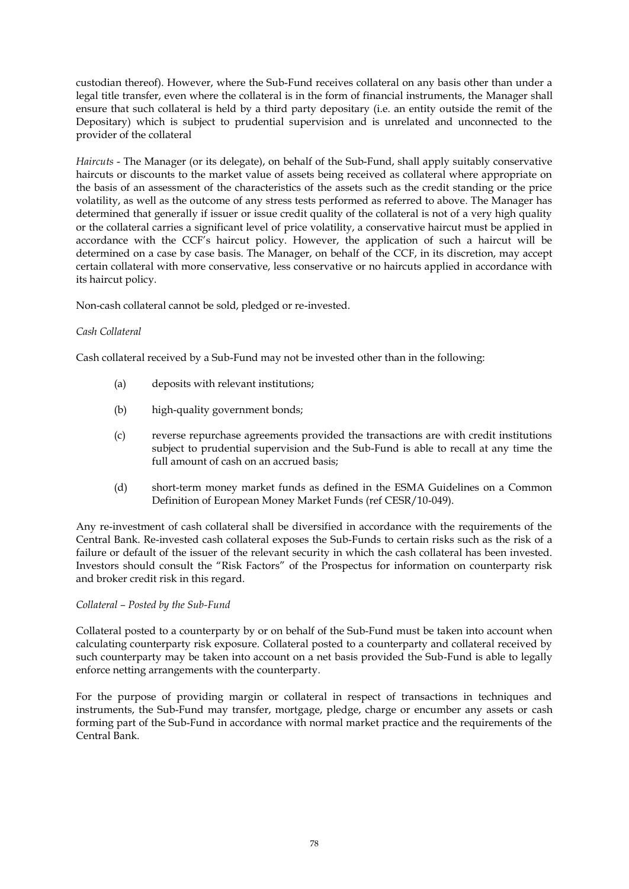custodian thereof). However, where the Sub-Fund receives collateral on any basis other than under a legal title transfer, even where the collateral is in the form of financial instruments, the Manager shall ensure that such collateral is held by a third party depositary (i.e. an entity outside the remit of the Depositary) which is subject to prudential supervision and is unrelated and unconnected to the provider of the collateral

*Haircuts* - The Manager (or its delegate), on behalf of the Sub-Fund, shall apply suitably conservative haircuts or discounts to the market value of assets being received as collateral where appropriate on the basis of an assessment of the characteristics of the assets such as the credit standing or the price volatility, as well as the outcome of any stress tests performed as referred to above. The Manager has determined that generally if issuer or issue credit quality of the collateral is not of a very high quality or the collateral carries a significant level of price volatility, a conservative haircut must be applied in accordance with the CCF's haircut policy. However, the application of such a haircut will be determined on a case by case basis. The Manager, on behalf of the CCF, in its discretion, may accept certain collateral with more conservative, less conservative or no haircuts applied in accordance with its haircut policy.

Non-cash collateral cannot be sold, pledged or re-invested.

# *Cash Collateral*

Cash collateral received by a Sub-Fund may not be invested other than in the following:

- (a) deposits with relevant institutions;
- (b) high-quality government bonds;
- (c) reverse repurchase agreements provided the transactions are with credit institutions subject to prudential supervision and the Sub-Fund is able to recall at any time the full amount of cash on an accrued basis;
- (d) short-term money market funds as defined in the ESMA Guidelines on a Common Definition of European Money Market Funds (ref CESR/10-049).

Any re-investment of cash collateral shall be diversified in accordance with the requirements of the Central Bank. Re-invested cash collateral exposes the Sub-Funds to certain risks such as the risk of a failure or default of the issuer of the relevant security in which the cash collateral has been invested. Investors should consult the "Risk Factors" of the Prospectus for information on counterparty risk and broker credit risk in this regard.

## *Collateral – Posted by the Sub-Fund*

Collateral posted to a counterparty by or on behalf of the Sub-Fund must be taken into account when calculating counterparty risk exposure. Collateral posted to a counterparty and collateral received by such counterparty may be taken into account on a net basis provided the Sub-Fund is able to legally enforce netting arrangements with the counterparty.

For the purpose of providing margin or collateral in respect of transactions in techniques and instruments, the Sub-Fund may transfer, mortgage, pledge, charge or encumber any assets or cash forming part of the Sub-Fund in accordance with normal market practice and the requirements of the Central Bank.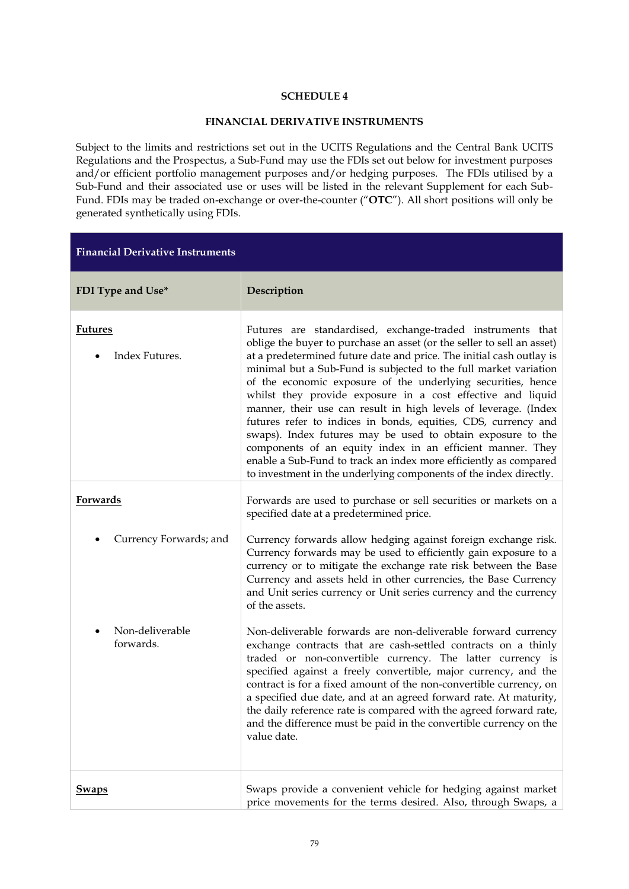# **FINANCIAL DERIVATIVE INSTRUMENTS**

Subject to the limits and restrictions set out in the UCITS Regulations and the Central Bank UCITS Regulations and the Prospectus, a Sub-Fund may use the FDIs set out below for investment purposes and/or efficient portfolio management purposes and/or hedging purposes. The FDIs utilised by a Sub-Fund and their associated use or uses will be listed in the relevant Supplement for each Sub-Fund. FDIs may be traded on-exchange or over-the-counter ("**OTC**"). All short positions will only be generated synthetically using FDIs.

| <b>Financial Derivative Instruments</b> |                                                                                                                                                                                                                                                                                                                                                                                                                                                                                                                                                                                                                                                                                                                                                                                                                            |  |
|-----------------------------------------|----------------------------------------------------------------------------------------------------------------------------------------------------------------------------------------------------------------------------------------------------------------------------------------------------------------------------------------------------------------------------------------------------------------------------------------------------------------------------------------------------------------------------------------------------------------------------------------------------------------------------------------------------------------------------------------------------------------------------------------------------------------------------------------------------------------------------|--|
| FDI Type and Use*                       | Description                                                                                                                                                                                                                                                                                                                                                                                                                                                                                                                                                                                                                                                                                                                                                                                                                |  |
| <b>Futures</b><br>Index Futures.        | Futures are standardised, exchange-traded instruments that<br>oblige the buyer to purchase an asset (or the seller to sell an asset)<br>at a predetermined future date and price. The initial cash outlay is<br>minimal but a Sub-Fund is subjected to the full market variation<br>of the economic exposure of the underlying securities, hence<br>whilst they provide exposure in a cost effective and liquid<br>manner, their use can result in high levels of leverage. (Index<br>futures refer to indices in bonds, equities, CDS, currency and<br>swaps). Index futures may be used to obtain exposure to the<br>components of an equity index in an efficient manner. They<br>enable a Sub-Fund to track an index more efficiently as compared<br>to investment in the underlying components of the index directly. |  |
| Forwards                                | Forwards are used to purchase or sell securities or markets on a<br>specified date at a predetermined price.                                                                                                                                                                                                                                                                                                                                                                                                                                                                                                                                                                                                                                                                                                               |  |
| Currency Forwards; and                  | Currency forwards allow hedging against foreign exchange risk.<br>Currency forwards may be used to efficiently gain exposure to a<br>currency or to mitigate the exchange rate risk between the Base<br>Currency and assets held in other currencies, the Base Currency<br>and Unit series currency or Unit series currency and the currency<br>of the assets.                                                                                                                                                                                                                                                                                                                                                                                                                                                             |  |
| Non-deliverable<br>forwards.            | Non-deliverable forwards are non-deliverable forward currency<br>exchange contracts that are cash-settled contracts on a thinly<br>traded or non-convertible currency. The latter currency is<br>specified against a freely convertible, major currency, and the<br>contract is for a fixed amount of the non-convertible currency, on<br>a specified due date, and at an agreed forward rate. At maturity,<br>the daily reference rate is compared with the agreed forward rate,<br>and the difference must be paid in the convertible currency on the<br>value date.                                                                                                                                                                                                                                                     |  |
| <b>Swaps</b>                            | Swaps provide a convenient vehicle for hedging against market<br>price movements for the terms desired. Also, through Swaps, a                                                                                                                                                                                                                                                                                                                                                                                                                                                                                                                                                                                                                                                                                             |  |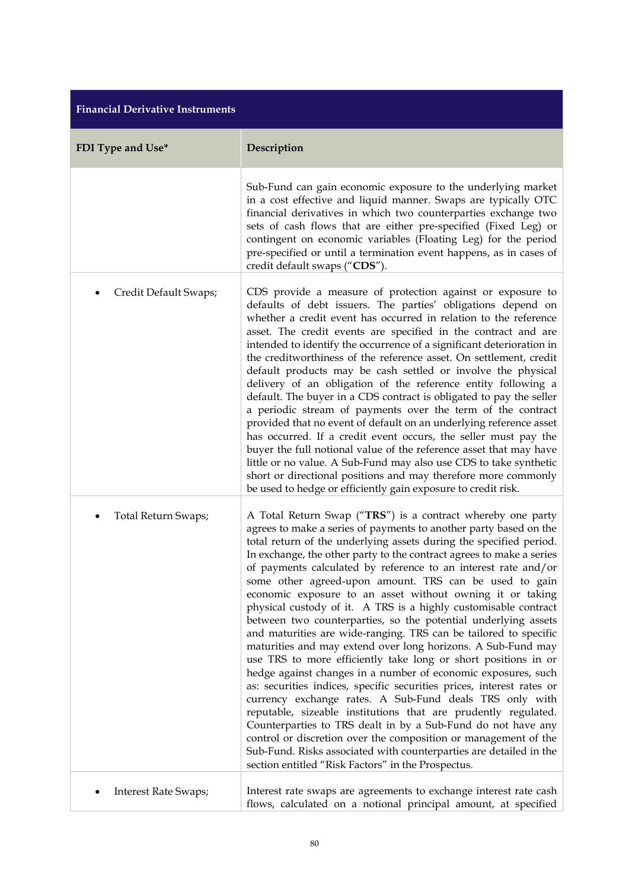| <b>Financial Derivative Instruments</b> |                                                                                                                                                                                                                                                                                                                                                                                                                                                                                                                                                                                                                                                                                                                                                                                                                                                                                                                                                                                                                                                                                                                                                                                                                                                                                                                                                          |  |  |
|-----------------------------------------|----------------------------------------------------------------------------------------------------------------------------------------------------------------------------------------------------------------------------------------------------------------------------------------------------------------------------------------------------------------------------------------------------------------------------------------------------------------------------------------------------------------------------------------------------------------------------------------------------------------------------------------------------------------------------------------------------------------------------------------------------------------------------------------------------------------------------------------------------------------------------------------------------------------------------------------------------------------------------------------------------------------------------------------------------------------------------------------------------------------------------------------------------------------------------------------------------------------------------------------------------------------------------------------------------------------------------------------------------------|--|--|
| FDI Type and Use*                       | Description                                                                                                                                                                                                                                                                                                                                                                                                                                                                                                                                                                                                                                                                                                                                                                                                                                                                                                                                                                                                                                                                                                                                                                                                                                                                                                                                              |  |  |
|                                         | Sub-Fund can gain economic exposure to the underlying market<br>in a cost effective and liquid manner. Swaps are typically OTC<br>financial derivatives in which two counterparties exchange two<br>sets of cash flows that are either pre-specified (Fixed Leg) or<br>contingent on economic variables (Floating Leg) for the period<br>pre-specified or until a termination event happens, as in cases of<br>credit default swaps ("CDS").                                                                                                                                                                                                                                                                                                                                                                                                                                                                                                                                                                                                                                                                                                                                                                                                                                                                                                             |  |  |
| Credit Default Swaps;<br>٠              | CDS provide a measure of protection against or exposure to<br>defaults of debt issuers. The parties' obligations depend on<br>whether a credit event has occurred in relation to the reference<br>asset. The credit events are specified in the contract and are<br>intended to identify the occurrence of a significant deterioration in<br>the creditworthiness of the reference asset. On settlement, credit<br>default products may be cash settled or involve the physical<br>delivery of an obligation of the reference entity following a<br>default. The buyer in a CDS contract is obligated to pay the seller<br>a periodic stream of payments over the term of the contract<br>provided that no event of default on an underlying reference asset<br>has occurred. If a credit event occurs, the seller must pay the<br>buyer the full notional value of the reference asset that may have<br>little or no value. A Sub-Fund may also use CDS to take synthetic<br>short or directional positions and may therefore more commonly<br>be used to hedge or efficiently gain exposure to credit risk.                                                                                                                                                                                                                                            |  |  |
| <b>Total Return Swaps;</b>              | A Total Return Swap ("TRS") is a contract whereby one party<br>agrees to make a series of payments to another party based on the<br>total return of the underlying assets during the specified period.<br>In exchange, the other party to the contract agrees to make a series<br>of payments calculated by reference to an interest rate and/or<br>some other agreed-upon amount. TRS can be used to gain<br>economic exposure to an asset without owning it or taking<br>physical custody of it. A TRS is a highly customisable contract<br>between two counterparties, so the potential underlying assets<br>and maturities are wide-ranging. TRS can be tailored to specific<br>maturities and may extend over long horizons. A Sub-Fund may<br>use TRS to more efficiently take long or short positions in or<br>hedge against changes in a number of economic exposures, such<br>as: securities indices, specific securities prices, interest rates or<br>currency exchange rates. A Sub-Fund deals TRS only with<br>reputable, sizeable institutions that are prudently regulated.<br>Counterparties to TRS dealt in by a Sub-Fund do not have any<br>control or discretion over the composition or management of the<br>Sub-Fund. Risks associated with counterparties are detailed in the<br>section entitled "Risk Factors" in the Prospectus. |  |  |
| <b>Interest Rate Swaps;</b>             | Interest rate swaps are agreements to exchange interest rate cash<br>flows, calculated on a notional principal amount, at specified                                                                                                                                                                                                                                                                                                                                                                                                                                                                                                                                                                                                                                                                                                                                                                                                                                                                                                                                                                                                                                                                                                                                                                                                                      |  |  |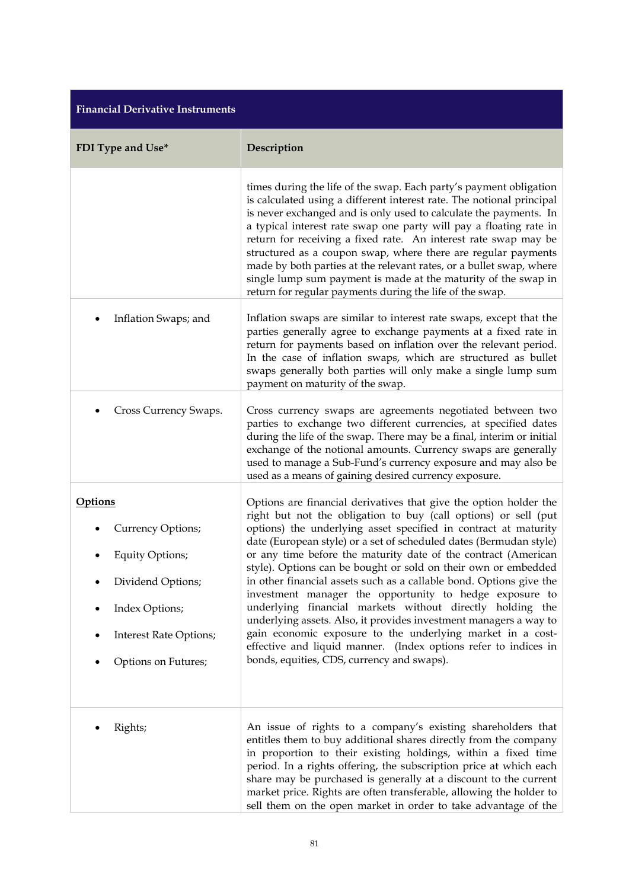| <b>Financial Derivative Instruments</b>                                                                                                               |                                                                                                                                                                                                                                                                                                                                                                                                                                                                                                                                                                                                                                                                                                                                                                                                                                                                      |  |
|-------------------------------------------------------------------------------------------------------------------------------------------------------|----------------------------------------------------------------------------------------------------------------------------------------------------------------------------------------------------------------------------------------------------------------------------------------------------------------------------------------------------------------------------------------------------------------------------------------------------------------------------------------------------------------------------------------------------------------------------------------------------------------------------------------------------------------------------------------------------------------------------------------------------------------------------------------------------------------------------------------------------------------------|--|
| FDI Type and Use*                                                                                                                                     | Description                                                                                                                                                                                                                                                                                                                                                                                                                                                                                                                                                                                                                                                                                                                                                                                                                                                          |  |
|                                                                                                                                                       | times during the life of the swap. Each party's payment obligation<br>is calculated using a different interest rate. The notional principal<br>is never exchanged and is only used to calculate the payments. In<br>a typical interest rate swap one party will pay a floating rate in<br>return for receiving a fixed rate. An interest rate swap may be<br>structured as a coupon swap, where there are regular payments<br>made by both parties at the relevant rates, or a bullet swap, where<br>single lump sum payment is made at the maturity of the swap in<br>return for regular payments during the life of the swap.                                                                                                                                                                                                                                      |  |
| Inflation Swaps; and                                                                                                                                  | Inflation swaps are similar to interest rate swaps, except that the<br>parties generally agree to exchange payments at a fixed rate in<br>return for payments based on inflation over the relevant period.<br>In the case of inflation swaps, which are structured as bullet<br>swaps generally both parties will only make a single lump sum<br>payment on maturity of the swap.                                                                                                                                                                                                                                                                                                                                                                                                                                                                                    |  |
| Cross Currency Swaps.                                                                                                                                 | Cross currency swaps are agreements negotiated between two<br>parties to exchange two different currencies, at specified dates<br>during the life of the swap. There may be a final, interim or initial<br>exchange of the notional amounts. Currency swaps are generally<br>used to manage a Sub-Fund's currency exposure and may also be<br>used as a means of gaining desired currency exposure.                                                                                                                                                                                                                                                                                                                                                                                                                                                                  |  |
| <b>Options</b><br>Currency Options;<br><b>Equity Options;</b><br>Dividend Options;<br>Index Options;<br>Interest Rate Options;<br>Options on Futures; | Options are financial derivatives that give the option holder the<br>right but not the obligation to buy (call options) or sell (put<br>options) the underlying asset specified in contract at maturity<br>date (European style) or a set of scheduled dates (Bermudan style)<br>or any time before the maturity date of the contract (American<br>style). Options can be bought or sold on their own or embedded<br>in other financial assets such as a callable bond. Options give the<br>investment manager the opportunity to hedge exposure to<br>underlying financial markets without directly holding the<br>underlying assets. Also, it provides investment managers a way to<br>gain economic exposure to the underlying market in a cost-<br>effective and liquid manner. (Index options refer to indices in<br>bonds, equities, CDS, currency and swaps). |  |
| Rights;                                                                                                                                               | An issue of rights to a company's existing shareholders that<br>entitles them to buy additional shares directly from the company<br>in proportion to their existing holdings, within a fixed time<br>period. In a rights offering, the subscription price at which each<br>share may be purchased is generally at a discount to the current<br>market price. Rights are often transferable, allowing the holder to<br>sell them on the open market in order to take advantage of the                                                                                                                                                                                                                                                                                                                                                                                 |  |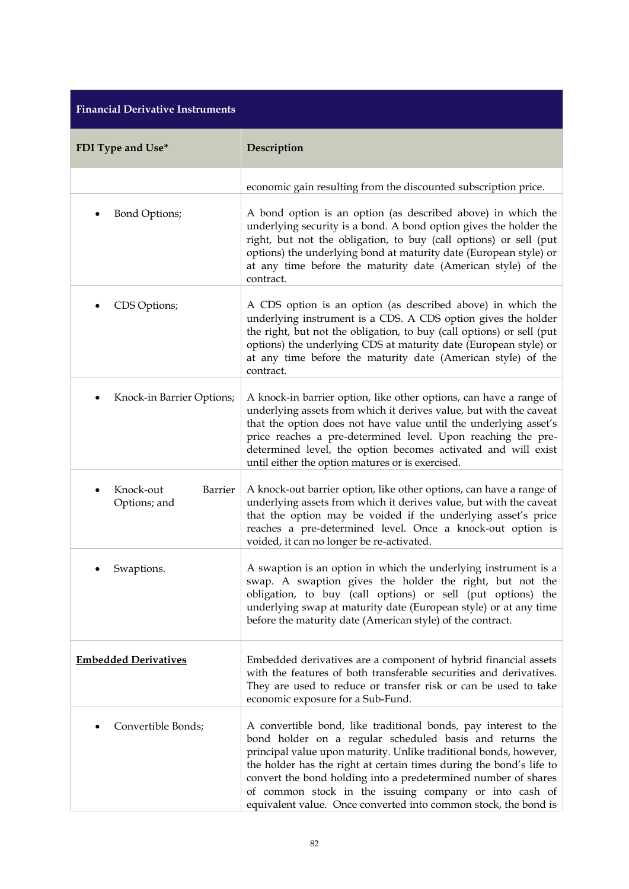| <b>Financial Derivative Instruments</b>     |                                                                                                                                                                                                                                                                                                                                                                                                                                                                        |  |
|---------------------------------------------|------------------------------------------------------------------------------------------------------------------------------------------------------------------------------------------------------------------------------------------------------------------------------------------------------------------------------------------------------------------------------------------------------------------------------------------------------------------------|--|
| FDI Type and Use*                           | Description                                                                                                                                                                                                                                                                                                                                                                                                                                                            |  |
|                                             | economic gain resulting from the discounted subscription price.                                                                                                                                                                                                                                                                                                                                                                                                        |  |
| Bond Options;                               | A bond option is an option (as described above) in which the<br>underlying security is a bond. A bond option gives the holder the<br>right, but not the obligation, to buy (call options) or sell (put<br>options) the underlying bond at maturity date (European style) or<br>at any time before the maturity date (American style) of the<br>contract.                                                                                                               |  |
| CDS Options;                                | A CDS option is an option (as described above) in which the<br>underlying instrument is a CDS. A CDS option gives the holder<br>the right, but not the obligation, to buy (call options) or sell (put<br>options) the underlying CDS at maturity date (European style) or<br>at any time before the maturity date (American style) of the<br>contract.                                                                                                                 |  |
| Knock-in Barrier Options;                   | A knock-in barrier option, like other options, can have a range of<br>underlying assets from which it derives value, but with the caveat<br>that the option does not have value until the underlying asset's<br>price reaches a pre-determined level. Upon reaching the pre-<br>determined level, the option becomes activated and will exist<br>until either the option matures or is exercised.                                                                      |  |
| Knock-out<br><b>Barrier</b><br>Options; and | A knock-out barrier option, like other options, can have a range of<br>underlying assets from which it derives value, but with the caveat<br>that the option may be voided if the underlying asset's price<br>reaches a pre-determined level. Once a knock-out option is<br>voided, it can no longer be re-activated.                                                                                                                                                  |  |
| Swaptions.                                  | A swaption is an option in which the underlying instrument is a<br>swap. A swaption gives the holder the right, but not the<br>obligation, to buy (call options) or sell (put options) the<br>underlying swap at maturity date (European style) or at any time<br>before the maturity date (American style) of the contract.                                                                                                                                           |  |
| <b>Embedded Derivatives</b>                 | Embedded derivatives are a component of hybrid financial assets<br>with the features of both transferable securities and derivatives.<br>They are used to reduce or transfer risk or can be used to take<br>economic exposure for a Sub-Fund.                                                                                                                                                                                                                          |  |
| Convertible Bonds;                          | A convertible bond, like traditional bonds, pay interest to the<br>bond holder on a regular scheduled basis and returns the<br>principal value upon maturity. Unlike traditional bonds, however,<br>the holder has the right at certain times during the bond's life to<br>convert the bond holding into a predetermined number of shares<br>of common stock in the issuing company or into cash of<br>equivalent value. Once converted into common stock, the bond is |  |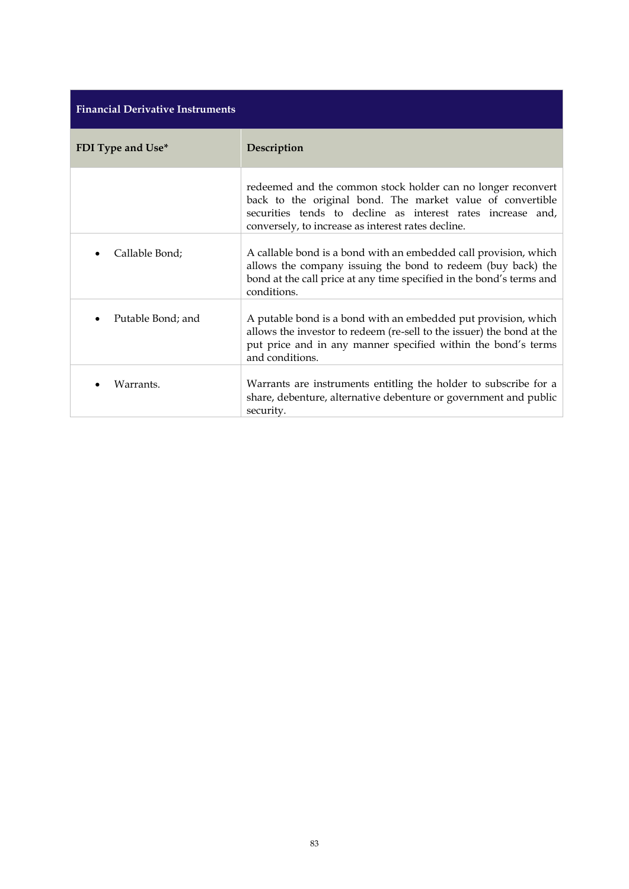| <b>Financial Derivative Instruments</b> |                                                                                                                                                                                                                                                 |  |
|-----------------------------------------|-------------------------------------------------------------------------------------------------------------------------------------------------------------------------------------------------------------------------------------------------|--|
| FDI Type and Use*                       | Description                                                                                                                                                                                                                                     |  |
|                                         | redeemed and the common stock holder can no longer reconvert<br>back to the original bond. The market value of convertible<br>securities tends to decline as interest rates increase and,<br>conversely, to increase as interest rates decline. |  |
| Callable Bond;                          | A callable bond is a bond with an embedded call provision, which<br>allows the company issuing the bond to redeem (buy back) the<br>bond at the call price at any time specified in the bond's terms and<br>conditions.                         |  |
| Putable Bond; and                       | A putable bond is a bond with an embedded put provision, which<br>allows the investor to redeem (re-sell to the issuer) the bond at the<br>put price and in any manner specified within the bond's terms<br>and conditions.                     |  |
| Warrants.                               | Warrants are instruments entitling the holder to subscribe for a<br>share, debenture, alternative debenture or government and public<br>security.                                                                                               |  |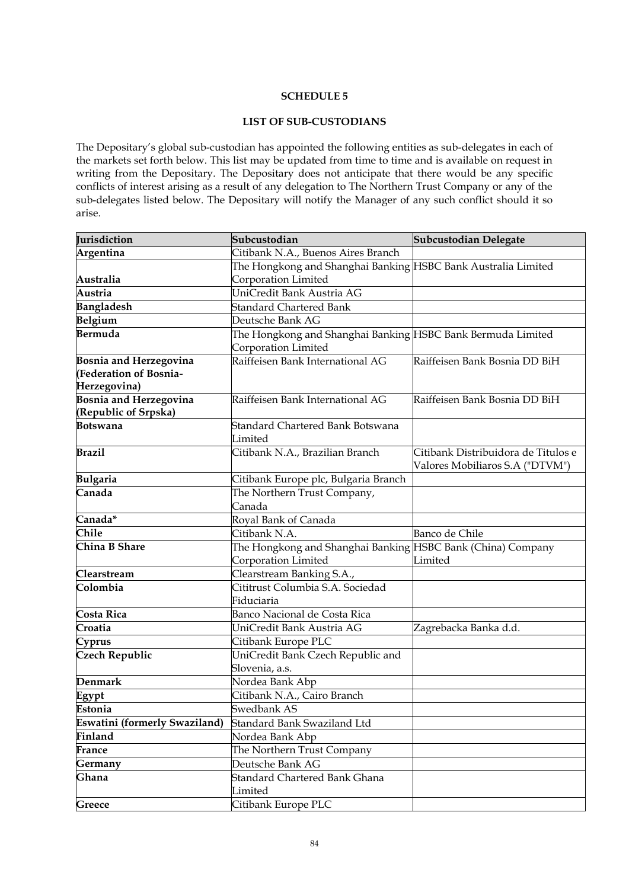## **LIST OF SUB-CUSTODIANS**

The Depositary's global sub-custodian has appointed the following entities as sub-delegates in each of the markets set forth below. This list may be updated from time to time and is available on request in writing from the Depositary. The Depositary does not anticipate that there would be any specific conflicts of interest arising as a result of any delegation to The Northern Trust Company or any of the sub-delegates listed below. The Depositary will notify the Manager of any such conflict should it so arise.

| Jurisdiction                  | Subcustodian                                                  | <b>Subcustodian Delegate</b>        |
|-------------------------------|---------------------------------------------------------------|-------------------------------------|
| Argentina                     | Citibank N.A., Buenos Aires Branch                            |                                     |
|                               | The Hongkong and Shanghai Banking HSBC Bank Australia Limited |                                     |
| Australia                     | Corporation Limited                                           |                                     |
| Austria                       | UniCredit Bank Austria AG                                     |                                     |
| <b>Bangladesh</b>             | <b>Standard Chartered Bank</b>                                |                                     |
| Belgium                       | Deutsche Bank AG                                              |                                     |
| Bermuda                       | The Hongkong and Shanghai Banking HSBC Bank Bermuda Limited   |                                     |
|                               | Corporation Limited                                           |                                     |
| <b>Bosnia and Herzegovina</b> | Raiffeisen Bank International AG                              | Raiffeisen Bank Bosnia DD BiH       |
| <b>(Federation of Bosnia-</b> |                                                               |                                     |
| Herzegovina)                  |                                                               |                                     |
| <b>Bosnia and Herzegovina</b> | Raiffeisen Bank International AG                              | Raiffeisen Bank Bosnia DD BiH       |
| (Republic of Srpska)          |                                                               |                                     |
| Botswana                      | Standard Chartered Bank Botswana                              |                                     |
|                               | Limited                                                       |                                     |
| <b>Brazil</b>                 | Citibank N.A., Brazilian Branch                               | Citibank Distribuidora de Titulos e |
|                               |                                                               | Valores Mobiliaros S.A ("DTVM")     |
| <b>Bulgaria</b>               | Citibank Europe plc, Bulgaria Branch                          |                                     |
| Canada                        | The Northern Trust Company,                                   |                                     |
|                               | Canada                                                        |                                     |
| Canada*                       | Royal Bank of Canada                                          |                                     |
| <b>Chile</b>                  | Citibank N.A.                                                 | Banco de Chile                      |
| China B Share                 | The Hongkong and Shanghai Banking HSBC Bank (China) Company   |                                     |
|                               | Corporation Limited                                           | Limited                             |
| Clearstream                   | Clearstream Banking S.A.,                                     |                                     |
| Colombia                      | Cititrust Columbia S.A. Sociedad                              |                                     |
|                               | Fiduciaria                                                    |                                     |
| Costa Rica                    | Banco Nacional de Costa Rica                                  |                                     |
| Croatia                       | UniCredit Bank Austria AG                                     | Zagrebacka Banka d.d.               |
| Cyprus                        | Citibank Europe PLC                                           |                                     |
| <b>Czech Republic</b>         | UniCredit Bank Czech Republic and                             |                                     |
|                               | Slovenia, a.s.                                                |                                     |
| Denmark                       | Nordea Bank Abp                                               |                                     |
| Egypt                         | Citibank N.A., Cairo Branch                                   |                                     |
| Estonia                       | Swedbank AS                                                   |                                     |
| Eswatini (formerly Swaziland) | Standard Bank Swaziland Ltd                                   |                                     |
| Finland                       | Nordea Bank Abp                                               |                                     |
| France                        | The Northern Trust Company                                    |                                     |
| Germany                       | Deutsche Bank AG                                              |                                     |
| Ghana                         | Standard Chartered Bank Ghana                                 |                                     |
|                               | Limited                                                       |                                     |
| Greece                        | Citibank Europe PLC                                           |                                     |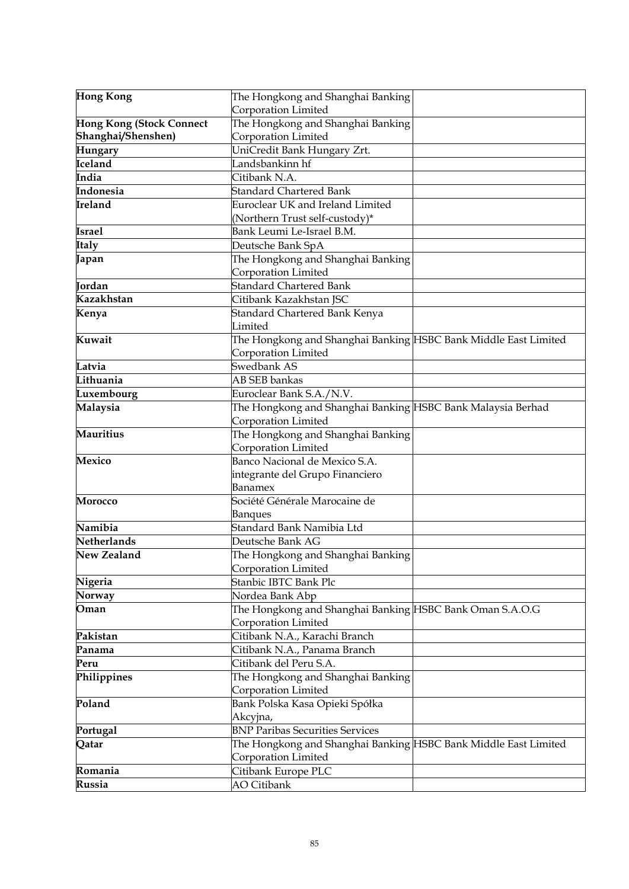| <b>Hong Kong</b>                | The Hongkong and Shanghai Banking                               |  |
|---------------------------------|-----------------------------------------------------------------|--|
|                                 | Corporation Limited                                             |  |
| <b>Hong Kong (Stock Connect</b> | The Hongkong and Shanghai Banking                               |  |
| Shanghai/Shenshen)              | Corporation Limited                                             |  |
| Hungary                         | UniCredit Bank Hungary Zrt.                                     |  |
| Iceland                         | Landsbankinn hf                                                 |  |
| India                           | Citibank N.A.                                                   |  |
| Indonesia                       | <b>Standard Chartered Bank</b>                                  |  |
| Ireland                         | Euroclear UK and Ireland Limited                                |  |
|                                 | (Northern Trust self-custody)*                                  |  |
| <b>Israel</b>                   | Bank Leumi Le-Israel B.M.                                       |  |
| Italy                           | Deutsche Bank SpA                                               |  |
| Japan                           | The Hongkong and Shanghai Banking                               |  |
|                                 | Corporation Limited                                             |  |
| Jordan                          | <b>Standard Chartered Bank</b>                                  |  |
| Kazakhstan                      | Citibank Kazakhstan JSC                                         |  |
| Kenya                           | Standard Chartered Bank Kenya                                   |  |
|                                 | Limited                                                         |  |
| Kuwait                          | The Hongkong and Shanghai Banking HSBC Bank Middle East Limited |  |
|                                 | Corporation Limited                                             |  |
| Latvia                          | Swedbank AS                                                     |  |
| Lithuania                       | AB SEB bankas                                                   |  |
| Luxembourg                      | Euroclear Bank S.A./N.V.                                        |  |
| Malaysia                        | The Hongkong and Shanghai Banking HSBC Bank Malaysia Berhad     |  |
|                                 | Corporation Limited                                             |  |
| <b>Mauritius</b>                | The Hongkong and Shanghai Banking                               |  |
|                                 | Corporation Limited                                             |  |
| <b>Mexico</b>                   | Banco Nacional de Mexico S.A.                                   |  |
|                                 | integrante del Grupo Financiero                                 |  |
|                                 | Banamex                                                         |  |
| <b>Morocco</b>                  | Société Générale Marocaine de                                   |  |
|                                 | <b>Banques</b>                                                  |  |
| Namibia                         | Standard Bank Namibia Ltd                                       |  |
| Netherlands                     | Deutsche Bank AG                                                |  |
| New Zealand                     | The Hongkong and Shanghai Banking                               |  |
|                                 | Corporation Limited                                             |  |
| Nigeria                         | Stanbic IBTC Bank Plc                                           |  |
| Norway                          | Nordea Bank Abp                                                 |  |
| Oman                            | The Hongkong and Shanghai Banking HSBC Bank Oman S.A.O.G        |  |
|                                 | Corporation Limited                                             |  |
| Pakistan                        | Citibank N.A., Karachi Branch                                   |  |
| Panama<br>Peru                  | Citibank N.A., Panama Branch<br>Citibank del Peru S.A.          |  |
| Philippines                     |                                                                 |  |
|                                 | The Hongkong and Shanghai Banking                               |  |
| Poland                          | Corporation Limited                                             |  |
|                                 | Bank Polska Kasa Opieki Spółka                                  |  |
|                                 | Akcyjna,<br><b>BNP Paribas Securities Services</b>              |  |
| Portugal<br>Qatar               | The Hongkong and Shanghai Banking HSBC Bank Middle East Limited |  |
|                                 | Corporation Limited                                             |  |
| Romania                         | Citibank Europe PLC                                             |  |
| Russia                          | <b>AO</b> Citibank                                              |  |
|                                 |                                                                 |  |